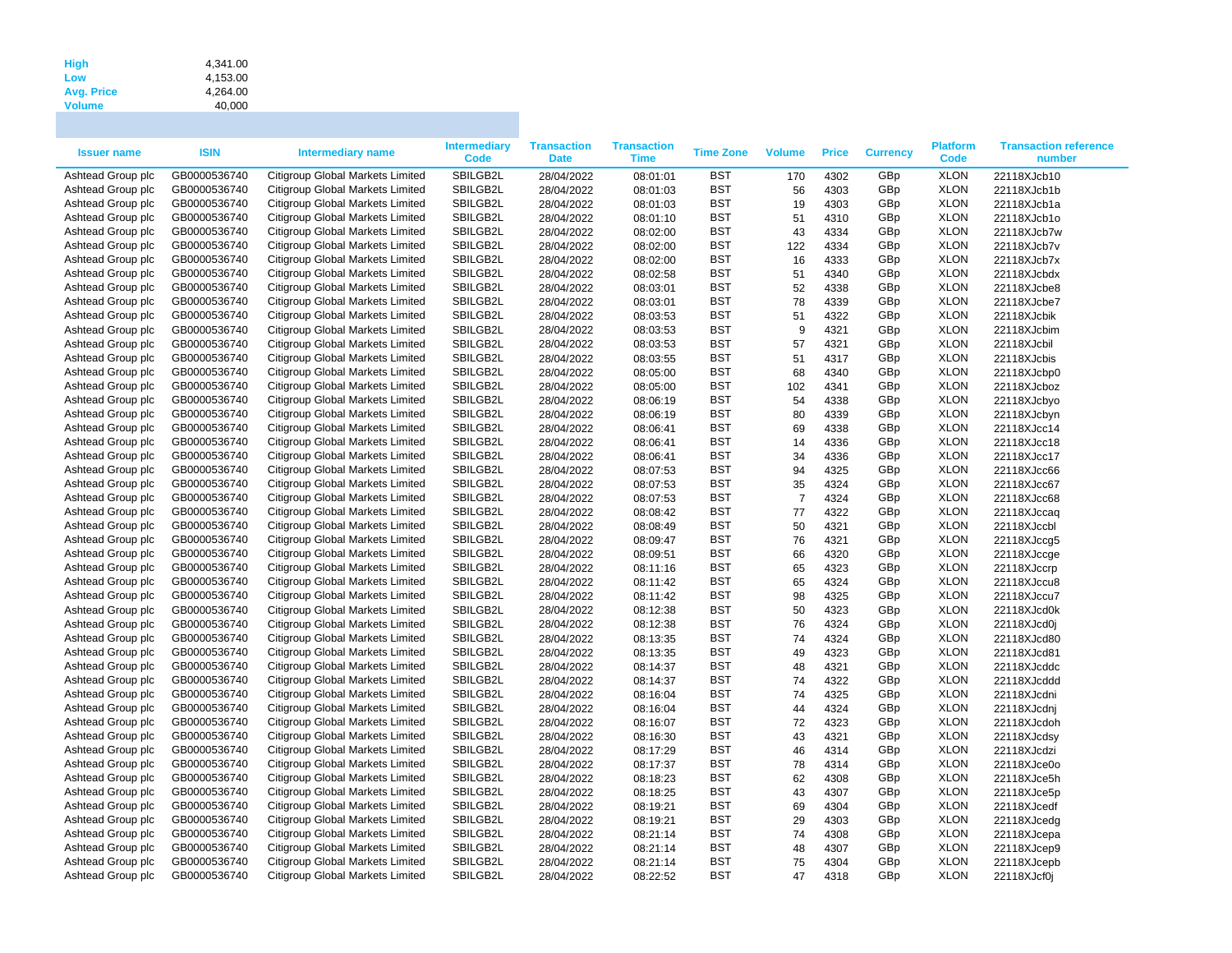| <b>High</b>       | 4.341.00 |
|-------------------|----------|
| Low               | 4.153.00 |
| <b>Avg. Price</b> | 4.264.00 |
| <b>Volume</b>     | 40,000   |

| <b>Issuer name</b>                     | <b>ISIN</b>                  | <b>Intermediary name</b>                                             | <b>Intermediary</b><br>Code | <b>Transaction</b><br><b>Date</b> | <b>Transaction</b><br>Time | <b>Time Zone</b> | <b>Volume</b>  | <b>Price</b> | <b>Currency</b> | <b>Platform</b><br><b>Code</b> | <b>Transaction reference</b><br>number |
|----------------------------------------|------------------------------|----------------------------------------------------------------------|-----------------------------|-----------------------------------|----------------------------|------------------|----------------|--------------|-----------------|--------------------------------|----------------------------------------|
| Ashtead Group plc                      | GB0000536740                 | Citigroup Global Markets Limited                                     | SBILGB2L                    | 28/04/2022                        | 08:01:01                   | <b>BST</b>       | 170            | 4302         | GBp             | <b>XLON</b>                    | 22118XJcb10                            |
| Ashtead Group plc                      | GB0000536740                 | Citigroup Global Markets Limited                                     | SBILGB2L                    | 28/04/2022                        | 08:01:03                   | <b>BST</b>       | 56             | 4303         | GBp             | <b>XLON</b>                    | 22118XJcb1b                            |
| Ashtead Group plc                      | GB0000536740                 | Citigroup Global Markets Limited                                     | SBILGB2L                    | 28/04/2022                        | 08:01:03                   | <b>BST</b>       | 19             | 4303         | GBp             | <b>XLON</b>                    | 22118XJcb1a                            |
| Ashtead Group plc                      | GB0000536740                 | Citigroup Global Markets Limited                                     | SBILGB2L                    | 28/04/2022                        | 08:01:10                   | <b>BST</b>       | 51             | 4310         | GBp             | <b>XLON</b>                    | 22118XJcb1o                            |
| Ashtead Group plc                      | GB0000536740                 | Citigroup Global Markets Limited                                     | SBILGB2L                    | 28/04/2022                        | 08:02:00                   | <b>BST</b>       | 43             | 4334         | GBp             | <b>XLON</b>                    | 22118XJcb7w                            |
| Ashtead Group plc                      | GB0000536740                 | Citigroup Global Markets Limited                                     | SBILGB2L                    | 28/04/2022                        | 08:02:00                   | <b>BST</b>       | 122            | 4334         | GBp             | <b>XLON</b>                    | 22118XJcb7v                            |
| Ashtead Group plc                      | GB0000536740                 | Citigroup Global Markets Limited                                     | SBILGB2L                    | 28/04/2022                        | 08:02:00                   | <b>BST</b>       | 16             | 4333         | GBp             | <b>XLON</b>                    | 22118XJcb7x                            |
| Ashtead Group plc                      | GB0000536740                 | Citigroup Global Markets Limited                                     | SBILGB2L                    | 28/04/2022                        | 08:02:58                   | <b>BST</b>       | 51             | 4340         | GBp             | <b>XLON</b>                    | 22118XJcbdx                            |
| Ashtead Group plc                      | GB0000536740                 | Citigroup Global Markets Limited                                     | SBILGB2L                    | 28/04/2022                        | 08:03:01                   | <b>BST</b>       | 52             | 4338         | GBp             | <b>XLON</b>                    | 22118XJcbe8                            |
| Ashtead Group plc                      | GB0000536740                 | Citigroup Global Markets Limited                                     | SBILGB2L                    | 28/04/2022                        | 08:03:01                   | <b>BST</b>       | 78             | 4339         | GBp             | <b>XLON</b>                    | 22118XJcbe7                            |
| Ashtead Group plc                      | GB0000536740                 | Citigroup Global Markets Limited                                     | SBILGB2L                    | 28/04/2022                        | 08:03:53                   | <b>BST</b>       | 51             | 4322         | GBp             | <b>XLON</b>                    | 22118XJcbik                            |
| Ashtead Group plc                      | GB0000536740                 | Citigroup Global Markets Limited                                     | SBILGB2L                    | 28/04/2022                        | 08:03:53                   | <b>BST</b>       | 9              | 4321         | GBp             | <b>XLON</b>                    | 22118XJcbim                            |
| Ashtead Group plc                      | GB0000536740                 | Citigroup Global Markets Limited                                     | SBILGB2L                    | 28/04/2022                        | 08:03:53                   | <b>BST</b>       | 57             | 4321         | GBp             | <b>XLON</b>                    | 22118XJcbil                            |
| Ashtead Group plc                      | GB0000536740                 | Citigroup Global Markets Limited                                     | SBILGB2L                    | 28/04/2022                        | 08:03:55                   | <b>BST</b>       | 51             | 4317         | GBp             | <b>XLON</b>                    | 22118XJcbis                            |
| Ashtead Group plc                      | GB0000536740                 | Citigroup Global Markets Limited                                     | SBILGB2L                    | 28/04/2022                        | 08:05:00                   | <b>BST</b>       | 68             | 4340         | GBp             | <b>XLON</b>                    | 22118XJcbp0                            |
| Ashtead Group plc                      | GB0000536740                 | Citigroup Global Markets Limited                                     | SBILGB2L                    | 28/04/2022                        | 08:05:00                   | <b>BST</b>       | 102            | 4341         | GBp             | <b>XLON</b>                    | 22118XJcboz                            |
| Ashtead Group plc                      | GB0000536740                 | Citigroup Global Markets Limited                                     | SBILGB2L                    | 28/04/2022                        | 08:06:19                   | <b>BST</b>       | 54             | 4338         | GBp             | <b>XLON</b>                    | 22118XJcbyo                            |
| Ashtead Group plc                      | GB0000536740                 | Citigroup Global Markets Limited                                     | SBILGB2L                    | 28/04/2022                        | 08:06:19                   | <b>BST</b>       | 80             | 4339         | GBp             | <b>XLON</b>                    | 22118XJcbyn                            |
| Ashtead Group plc                      | GB0000536740                 | Citigroup Global Markets Limited                                     | SBILGB2L                    | 28/04/2022                        | 08:06:41                   | <b>BST</b>       | 69             | 4338         | GBp             | <b>XLON</b>                    | 22118XJcc14                            |
| Ashtead Group plc                      | GB0000536740                 | Citigroup Global Markets Limited                                     | SBILGB2L                    | 28/04/2022                        | 08:06:41                   | <b>BST</b>       | 14             | 4336         | GBp             | <b>XLON</b>                    | 22118XJcc18                            |
| Ashtead Group plc                      | GB0000536740                 | Citigroup Global Markets Limited                                     | SBILGB2L                    | 28/04/2022                        | 08:06:41                   | <b>BST</b>       | 34             | 4336         | GBp             | <b>XLON</b>                    | 22118XJcc17                            |
| Ashtead Group plc                      | GB0000536740                 | Citigroup Global Markets Limited                                     | SBILGB2L                    | 28/04/2022                        | 08:07:53                   | <b>BST</b>       | 94             | 4325         | GBp             | <b>XLON</b>                    | 22118XJcc66                            |
| Ashtead Group plc                      | GB0000536740                 | Citigroup Global Markets Limited                                     | SBILGB2L                    | 28/04/2022                        | 08:07:53                   | <b>BST</b>       | 35             | 4324         | GBp             | <b>XLON</b>                    | 22118XJcc67                            |
| Ashtead Group plc                      | GB0000536740                 | Citigroup Global Markets Limited                                     | SBILGB2L                    | 28/04/2022                        | 08:07:53                   | <b>BST</b>       | $\overline{7}$ | 4324         | GBp             | <b>XLON</b>                    | 22118XJcc68                            |
| Ashtead Group plc                      | GB0000536740                 | Citigroup Global Markets Limited                                     | SBILGB2L                    | 28/04/2022                        | 08:08:42                   | <b>BST</b>       | 77             | 4322         | GBp             | <b>XLON</b>                    | 22118XJccaq                            |
| Ashtead Group plc                      | GB0000536740                 | Citigroup Global Markets Limited                                     | SBILGB2L                    | 28/04/2022                        | 08:08:49                   | <b>BST</b>       | 50             | 4321         | GBp             | <b>XLON</b>                    | 22118XJccbl                            |
| Ashtead Group plc                      | GB0000536740                 | Citigroup Global Markets Limited                                     | SBILGB2L                    | 28/04/2022                        | 08:09:47                   | <b>BST</b>       | 76             | 4321         | GBp             | <b>XLON</b>                    | 22118XJccg5                            |
| Ashtead Group plc                      | GB0000536740                 | Citigroup Global Markets Limited                                     | SBILGB2L                    | 28/04/2022                        | 08:09:51                   | <b>BST</b>       | 66             | 4320         | GBp             | <b>XLON</b>                    | 22118XJccge                            |
| Ashtead Group plc                      | GB0000536740                 | Citigroup Global Markets Limited                                     | SBILGB2L                    | 28/04/2022                        | 08:11:16                   | <b>BST</b>       | 65             | 4323         | GBp             | <b>XLON</b>                    | 22118XJccrp                            |
| Ashtead Group plc                      | GB0000536740                 | Citigroup Global Markets Limited                                     | SBILGB2L                    | 28/04/2022                        | 08:11:42                   | <b>BST</b>       | 65             | 4324         | GBp             | <b>XLON</b>                    | 22118XJccu8                            |
| Ashtead Group plc                      | GB0000536740                 | Citigroup Global Markets Limited                                     | SBILGB2L                    | 28/04/2022                        | 08:11:42                   | <b>BST</b>       | 98             | 4325         | GBp             | <b>XLON</b>                    | 22118XJccu7                            |
| Ashtead Group plc                      | GB0000536740                 | Citigroup Global Markets Limited                                     | SBILGB2L                    | 28/04/2022                        | 08:12:38                   | <b>BST</b>       | 50             | 4323         | GBp             | <b>XLON</b>                    | 22118XJcd0k                            |
| Ashtead Group plc                      | GB0000536740                 | Citigroup Global Markets Limited                                     | SBILGB2L                    | 28/04/2022                        | 08:12:38                   | <b>BST</b>       | 76             | 4324         | GBp             | <b>XLON</b>                    |                                        |
| Ashtead Group plc                      | GB0000536740                 | Citigroup Global Markets Limited                                     | SBILGB2L                    | 28/04/2022                        | 08:13:35                   | <b>BST</b>       | 74             | 4324         | GBp             | <b>XLON</b>                    | 22118XJcd0j<br>22118XJcd80             |
| Ashtead Group plc                      | GB0000536740                 | Citigroup Global Markets Limited                                     | SBILGB2L                    |                                   | 08:13:35                   | <b>BST</b>       | 49             | 4323         | GBp             | <b>XLON</b>                    | 22118XJcd81                            |
| Ashtead Group plc                      | GB0000536740                 | Citigroup Global Markets Limited                                     | SBILGB2L                    | 28/04/2022<br>28/04/2022          | 08:14:37                   | <b>BST</b>       | 48             | 4321         | GBp             | <b>XLON</b>                    | 22118XJcddc                            |
| Ashtead Group plc                      | GB0000536740                 | Citigroup Global Markets Limited                                     | SBILGB2L                    | 28/04/2022                        | 08:14:37                   | <b>BST</b>       | 74             | 4322         | GBp             | <b>XLON</b>                    | 22118XJcddd                            |
| Ashtead Group plc                      | GB0000536740                 | Citigroup Global Markets Limited                                     | SBILGB2L                    |                                   |                            | <b>BST</b>       | 74             | 4325         | GBp             | <b>XLON</b>                    |                                        |
| Ashtead Group plc                      | GB0000536740                 | Citigroup Global Markets Limited                                     | SBILGB2L                    | 28/04/2022<br>28/04/2022          | 08:16:04<br>08:16:04       | <b>BST</b>       | 44             | 4324         | GBp             | <b>XLON</b>                    | 22118XJcdni                            |
| Ashtead Group plc                      | GB0000536740                 | Citigroup Global Markets Limited                                     | SBILGB2L                    | 28/04/2022                        | 08:16:07                   | <b>BST</b>       | 72             |              | GBp             | <b>XLON</b>                    | 22118XJcdnj                            |
| Ashtead Group plc                      | GB0000536740                 | Citigroup Global Markets Limited                                     | SBILGB2L                    |                                   |                            | <b>BST</b>       |                | 4323         | GBp             | <b>XLON</b>                    | 22118XJcdoh                            |
| Ashtead Group plc                      | GB0000536740                 | Citigroup Global Markets Limited                                     | SBILGB2L                    | 28/04/2022                        | 08:16:30                   | <b>BST</b>       | 43             | 4321<br>4314 |                 | <b>XLON</b>                    | 22118XJcdsy                            |
|                                        |                              |                                                                      |                             | 28/04/2022                        | 08:17:29                   | <b>BST</b>       | 46             |              | GBp             | <b>XLON</b>                    | 22118XJcdzi                            |
| Ashtead Group plc<br>Ashtead Group plc | GB0000536740<br>GB0000536740 | Citigroup Global Markets Limited<br>Citigroup Global Markets Limited | SBILGB2L<br>SBILGB2L        | 28/04/2022                        | 08:17:37                   | <b>BST</b>       | 78             | 4314<br>4308 | GBp<br>GBp      | <b>XLON</b>                    | 22118XJce0o                            |
|                                        |                              |                                                                      |                             | 28/04/2022                        | 08:18:23                   |                  | 62             |              |                 |                                | 22118XJce5h                            |
| Ashtead Group plc                      | GB0000536740                 | Citigroup Global Markets Limited                                     | SBILGB2L                    | 28/04/2022                        | 08:18:25                   | <b>BST</b>       | 43             | 4307         | GBp             | <b>XLON</b>                    | 22118XJce5p                            |
| Ashtead Group plc                      | GB0000536740                 | Citigroup Global Markets Limited                                     | SBILGB2L                    | 28/04/2022                        | 08:19:21                   | <b>BST</b>       | 69             | 4304         | GBp             | <b>XLON</b>                    | 22118XJcedf                            |
| Ashtead Group plc                      | GB0000536740                 | Citigroup Global Markets Limited                                     | SBILGB2L                    | 28/04/2022                        | 08:19:21                   | <b>BST</b>       | 29             | 4303         | GBp             | <b>XLON</b>                    | 22118XJcedg                            |
| Ashtead Group plc                      | GB0000536740                 | Citigroup Global Markets Limited                                     | SBILGB2L                    | 28/04/2022                        | 08:21:14                   | <b>BST</b>       | 74             | 4308         | GBp             | <b>XLON</b>                    | 22118XJcepa                            |
| Ashtead Group plc                      | GB0000536740                 | Citigroup Global Markets Limited                                     | SBILGB2L                    | 28/04/2022                        | 08:21:14                   | <b>BST</b>       | 48             | 4307         | GBp             | <b>XLON</b>                    | 22118XJcep9                            |
| Ashtead Group plc                      | GB0000536740                 | Citigroup Global Markets Limited                                     | SBILGB2L                    | 28/04/2022                        | 08:21:14                   | <b>BST</b>       | 75             | 4304         | GBp             | <b>XLON</b>                    | 22118XJcepb                            |
| Ashtead Group plc                      | GB0000536740                 | Citigroup Global Markets Limited                                     | SBILGB2L                    | 28/04/2022                        | 08:22:52                   | <b>BST</b>       | 47             | 4318         | GBp             | <b>XLON</b>                    | 22118XJcf0j                            |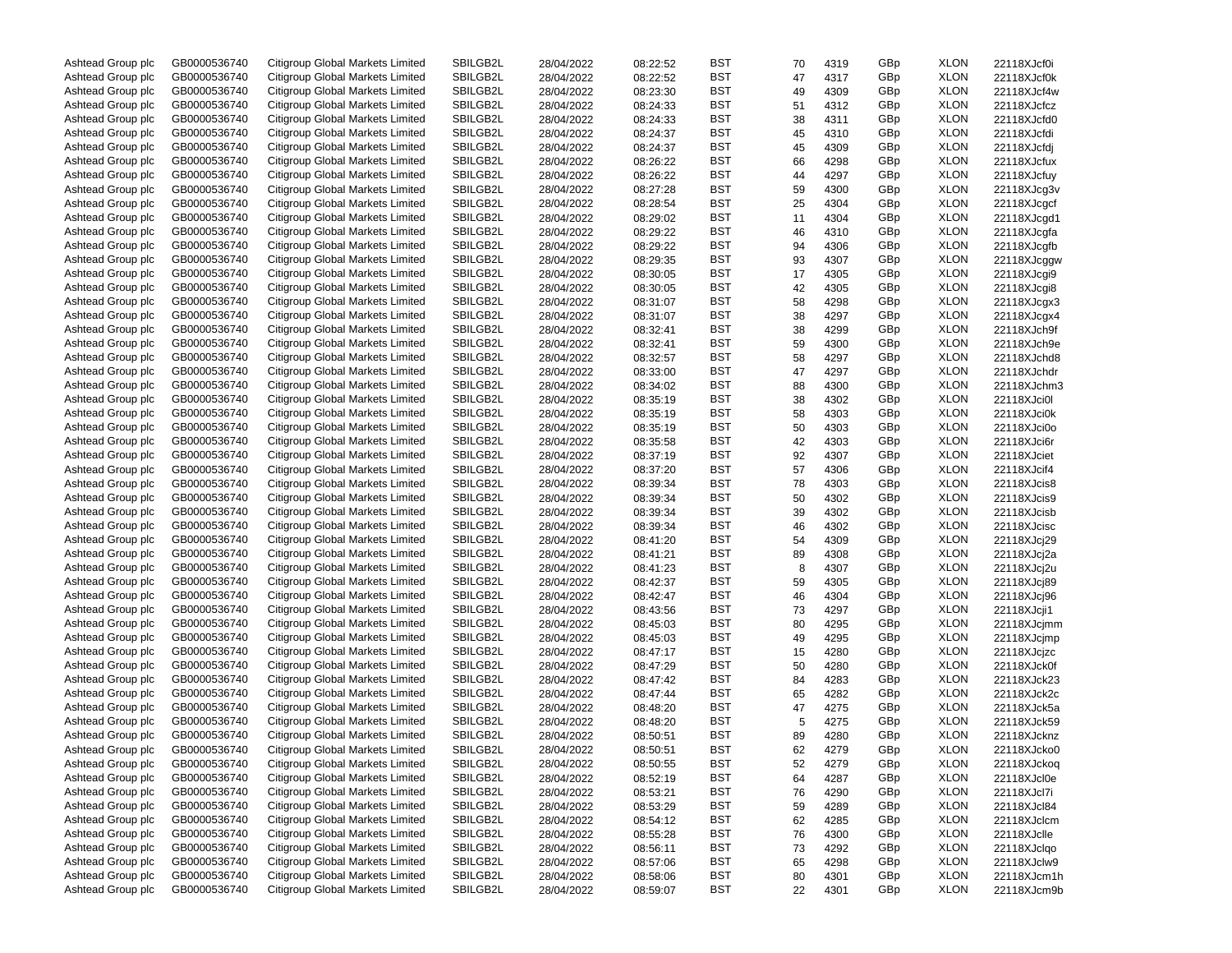| Ashtead Group plc | GB0000536740 | Citigroup Global Markets Limited | SBILGB2L | 28/04/2022 | 08:22:52 | BST        | 70 | 4319 | GBp | <b>XLON</b> | 22118XJcf0i |
|-------------------|--------------|----------------------------------|----------|------------|----------|------------|----|------|-----|-------------|-------------|
| Ashtead Group plc | GB0000536740 | Citigroup Global Markets Limited | SBILGB2L | 28/04/2022 | 08:22:52 | BST        | 47 | 4317 | GBp | XLON        | 22118XJcf0k |
| Ashtead Group plc | GB0000536740 | Citigroup Global Markets Limited | SBILGB2L | 28/04/2022 | 08:23:30 | BST        | 49 | 4309 | GBp | XLON        | 22118XJcf4w |
| Ashtead Group plc | GB0000536740 | Citigroup Global Markets Limited | SBILGB2L | 28/04/2022 | 08:24:33 | BST        | 51 | 4312 | GBp | XLON        | 22118XJcfcz |
| Ashtead Group plc | GB0000536740 | Citigroup Global Markets Limited | SBILGB2L | 28/04/2022 | 08:24:33 | BST        | 38 | 4311 | GBp | XLON        | 22118XJcfd0 |
| Ashtead Group plc | GB0000536740 | Citigroup Global Markets Limited | SBILGB2L | 28/04/2022 | 08:24:37 | BST        | 45 | 4310 | GBp | XLON        | 22118XJcfdi |
| Ashtead Group plc | GB0000536740 | Citigroup Global Markets Limited | SBILGB2L | 28/04/2022 | 08:24:37 | BST        | 45 | 4309 | GBp | XLON        | 22118XJcfdj |
| Ashtead Group plc | GB0000536740 | Citigroup Global Markets Limited | SBILGB2L | 28/04/2022 | 08:26:22 | BST        | 66 | 4298 | GBp | XLON        | 22118XJcfux |
| Ashtead Group plc | GB0000536740 | Citigroup Global Markets Limited | SBILGB2L | 28/04/2022 | 08:26:22 | BST        | 44 | 4297 | GBp | XLON        | 22118XJcfuy |
| Ashtead Group plc | GB0000536740 | Citigroup Global Markets Limited | SBILGB2L |            |          | BST        |    |      |     | XLON        |             |
|                   |              |                                  |          | 28/04/2022 | 08:27:28 |            | 59 | 4300 | GBp |             | 22118XJcg3v |
| Ashtead Group plc | GB0000536740 | Citigroup Global Markets Limited | SBILGB2L | 28/04/2022 | 08:28:54 | BST        | 25 | 4304 | GBp | XLON        | 22118XJcgcf |
| Ashtead Group plc | GB0000536740 | Citigroup Global Markets Limited | SBILGB2L | 28/04/2022 | 08:29:02 | BST        | 11 | 4304 | GBp | XLON        | 22118XJcgd1 |
| Ashtead Group plc | GB0000536740 | Citigroup Global Markets Limited | SBILGB2L | 28/04/2022 | 08:29:22 | BST        | 46 | 4310 | GBp | XLON        | 22118XJcgfa |
| Ashtead Group plc | GB0000536740 | Citigroup Global Markets Limited | SBILGB2L | 28/04/2022 | 08:29:22 | BST        | 94 | 4306 | GBp | XLON        | 22118XJcgfb |
| Ashtead Group plc | GB0000536740 | Citigroup Global Markets Limited | SBILGB2L | 28/04/2022 | 08:29:35 | BST        | 93 | 4307 | GBp | XLON        | 22118XJcggw |
| Ashtead Group plc | GB0000536740 | Citigroup Global Markets Limited | SBILGB2L | 28/04/2022 | 08:30:05 | BST        | 17 | 4305 | GBp | XLON        | 22118XJcgi9 |
| Ashtead Group plc | GB0000536740 | Citigroup Global Markets Limited | SBILGB2L | 28/04/2022 | 08:30:05 | BST        | 42 | 4305 | GBp | XLON        | 22118XJcgi8 |
| Ashtead Group plc | GB0000536740 | Citigroup Global Markets Limited | SBILGB2L | 28/04/2022 | 08:31:07 | BST        | 58 | 4298 | GBp | XLON        | 22118XJcgx3 |
| Ashtead Group plc | GB0000536740 | Citigroup Global Markets Limited | SBILGB2L | 28/04/2022 | 08:31:07 | BST        | 38 | 4297 | GBp | XLON        | 22118XJcgx4 |
| Ashtead Group plc | GB0000536740 | Citigroup Global Markets Limited | SBILGB2L | 28/04/2022 | 08:32:41 | BST        | 38 | 4299 | GBp | XLON        | 22118XJch9f |
| Ashtead Group plc | GB0000536740 | Citigroup Global Markets Limited | SBILGB2L | 28/04/2022 | 08:32:41 | BST        | 59 | 4300 | GBp | XLON        | 22118XJch9e |
| Ashtead Group plc | GB0000536740 | Citigroup Global Markets Limited | SBILGB2L | 28/04/2022 | 08:32:57 | BST        | 58 | 4297 | GBp | XLON        | 22118XJchd8 |
| Ashtead Group plc | GB0000536740 | Citigroup Global Markets Limited | SBILGB2L | 28/04/2022 | 08:33:00 | BST        | 47 | 4297 | GBp | XLON        | 22118XJchdr |
| Ashtead Group plc | GB0000536740 | Citigroup Global Markets Limited | SBILGB2L | 28/04/2022 | 08:34:02 | BST        | 88 | 4300 | GBp | XLON        | 22118XJchm3 |
| Ashtead Group plc | GB0000536740 | Citigroup Global Markets Limited | SBILGB2L | 28/04/2022 | 08:35:19 | BST        | 38 | 4302 | GBp | XLON        | 22118XJci0l |
| Ashtead Group plc | GB0000536740 | Citigroup Global Markets Limited | SBILGB2L |            |          | BST        |    | 4303 | GBp | XLON        | 22118XJci0k |
|                   | GB0000536740 |                                  |          | 28/04/2022 | 08:35:19 |            | 58 |      |     |             |             |
| Ashtead Group plc |              | Citigroup Global Markets Limited | SBILGB2L | 28/04/2022 | 08:35:19 | BST        | 50 | 4303 | GBp | XLON        | 22118XJci0o |
| Ashtead Group plc | GB0000536740 | Citigroup Global Markets Limited | SBILGB2L | 28/04/2022 | 08:35:58 | BST        | 42 | 4303 | GBp | XLON        | 22118XJci6r |
| Ashtead Group plc | GB0000536740 | Citigroup Global Markets Limited | SBILGB2L | 28/04/2022 | 08:37:19 | BST        | 92 | 4307 | GBp | XLON        | 22118XJciet |
| Ashtead Group plc | GB0000536740 | Citigroup Global Markets Limited | SBILGB2L | 28/04/2022 | 08:37:20 | BST        | 57 | 4306 | GBp | XLON        | 22118XJcif4 |
| Ashtead Group plc | GB0000536740 | Citigroup Global Markets Limited | SBILGB2L | 28/04/2022 | 08:39:34 | BST        | 78 | 4303 | GBp | XLON        | 22118XJcis8 |
| Ashtead Group plc | GB0000536740 | Citigroup Global Markets Limited | SBILGB2L | 28/04/2022 | 08:39:34 | BST        | 50 | 4302 | GBp | XLON        | 22118XJcis9 |
| Ashtead Group plc | GB0000536740 | Citigroup Global Markets Limited | SBILGB2L | 28/04/2022 | 08:39:34 | BST        | 39 | 4302 | GBp | XLON        | 22118XJcisb |
| Ashtead Group plc | GB0000536740 | Citigroup Global Markets Limited | SBILGB2L | 28/04/2022 | 08:39:34 | BST        | 46 | 4302 | GBp | XLON        | 22118XJcisc |
| Ashtead Group plc | GB0000536740 | Citigroup Global Markets Limited | SBILGB2L | 28/04/2022 | 08:41:20 | BST        | 54 | 4309 | GBp | XLON        | 22118XJcj29 |
| Ashtead Group plc | GB0000536740 | Citigroup Global Markets Limited | SBILGB2L | 28/04/2022 | 08:41:21 | BST        | 89 | 4308 | GBp | XLON        | 22118XJcj2a |
| Ashtead Group plc | GB0000536740 | Citigroup Global Markets Limited | SBILGB2L | 28/04/2022 | 08:41:23 | BST        | 8  | 4307 | GBp | XLON        | 22118XJcj2u |
| Ashtead Group plc | GB0000536740 | Citigroup Global Markets Limited | SBILGB2L | 28/04/2022 | 08:42:37 | BST        | 59 | 4305 | GBp | XLON        | 22118XJcj89 |
| Ashtead Group plc | GB0000536740 | Citigroup Global Markets Limited | SBILGB2L | 28/04/2022 | 08:42:47 | BST        | 46 | 4304 | GBp | XLON        | 22118XJcj96 |
| Ashtead Group plc | GB0000536740 | Citigroup Global Markets Limited | SBILGB2L | 28/04/2022 | 08:43:56 | BST        | 73 | 4297 | GBp | XLON        | 22118XJcji1 |
| Ashtead Group plc | GB0000536740 | Citigroup Global Markets Limited | SBILGB2L | 28/04/2022 | 08:45:03 | BST        | 80 | 4295 | GBp | XLON        | 22118XJcjmm |
| Ashtead Group plc | GB0000536740 | Citigroup Global Markets Limited | SBILGB2L | 28/04/2022 | 08:45:03 | BST        | 49 | 4295 | GBp | XLON        | 22118XJcjmp |
| Ashtead Group plc | GB0000536740 | Citigroup Global Markets Limited | SBILGB2L | 28/04/2022 | 08:47:17 | BST        | 15 | 4280 | GBp | XLON        | 22118XJcjzc |
| Ashtead Group plc | GB0000536740 | Citigroup Global Markets Limited | SBILGB2L |            |          | BST        |    |      |     | XLON        |             |
|                   |              |                                  |          | 28/04/2022 | 08:47:29 |            | 50 | 4280 | GBp |             | 22118XJck0f |
| Ashtead Group plc | GB0000536740 | Citigroup Global Markets Limited | SBILGB2L | 28/04/2022 | 08:47:42 | BST        | 84 | 4283 | GBp | XLON        | 22118XJck23 |
| Ashtead Group plc | GB0000536740 | Citigroup Global Markets Limited | SBILGB2L | 28/04/2022 | 08:47:44 | BST        | 65 | 4282 | GBp | XLON        | 22118XJck2c |
| Ashtead Group plc | GB0000536740 | Citigroup Global Markets Limited | SBILGB2L | 28/04/2022 | 08:48:20 | BST        | 47 | 4275 | GBp | XLON        | 22118XJck5a |
| Ashtead Group plc | GB0000536740 | Citigroup Global Markets Limited | SBILGB2L | 28/04/2022 | 08:48:20 | BST        | 5  | 4275 | GBp | XLON        | 22118XJck59 |
| Ashtead Group plc | GB0000536740 | Citigroup Global Markets Limited | SBILGB2L | 28/04/2022 | 08:50:51 | BST        | 89 | 4280 | GBp | XLON        | 22118XJcknz |
| Ashtead Group plc | GB0000536740 | Citigroup Global Markets Limited | SBILGB2L | 28/04/2022 | 08:50:51 | <b>BST</b> | 62 | 4279 | GBp | XLON        | 22118XJcko0 |
| Ashtead Group plc | GB0000536740 | Citigroup Global Markets Limited | SBILGB2L | 28/04/2022 | 08:50:55 | <b>BST</b> | 52 | 4279 | GBp | <b>XLON</b> | 22118XJckoq |
| Ashtead Group plc | GB0000536740 | Citigroup Global Markets Limited | SBILGB2L | 28/04/2022 | 08:52:19 | <b>BST</b> | 64 | 4287 | GBp | XLON        | 22118XJcl0e |
| Ashtead Group plc | GB0000536740 | Citigroup Global Markets Limited | SBILGB2L | 28/04/2022 | 08:53:21 | <b>BST</b> | 76 | 4290 | GBp | <b>XLON</b> | 22118XJcl7i |
| Ashtead Group plc | GB0000536740 | Citigroup Global Markets Limited | SBILGB2L | 28/04/2022 | 08:53:29 | <b>BST</b> | 59 | 4289 | GBp | XLON        | 22118XJcl84 |
| Ashtead Group plc | GB0000536740 | Citigroup Global Markets Limited | SBILGB2L | 28/04/2022 | 08:54:12 | <b>BST</b> | 62 | 4285 | GBp | <b>XLON</b> | 22118XJclcm |
| Ashtead Group plc | GB0000536740 | Citigroup Global Markets Limited | SBILGB2L | 28/04/2022 | 08:55:28 | <b>BST</b> | 76 | 4300 | GBp | XLON        | 22118XJclle |
| Ashtead Group plc | GB0000536740 | Citigroup Global Markets Limited | SBILGB2L | 28/04/2022 | 08:56:11 | <b>BST</b> | 73 | 4292 | GBp | XLON        | 22118XJclqo |
| Ashtead Group plc | GB0000536740 | Citigroup Global Markets Limited | SBILGB2L | 28/04/2022 | 08:57:06 | <b>BST</b> | 65 | 4298 | GBp | XLON        | 22118XJclw9 |
| Ashtead Group plc | GB0000536740 | Citigroup Global Markets Limited | SBILGB2L | 28/04/2022 | 08:58:06 | <b>BST</b> | 80 | 4301 | GBp | XLON        | 22118XJcm1h |
| Ashtead Group plc | GB0000536740 | Citigroup Global Markets Limited | SBILGB2L | 28/04/2022 | 08:59:07 | <b>BST</b> | 22 | 4301 | GBp | XLON        | 22118XJcm9b |
|                   |              |                                  |          |            |          |            |    |      |     |             |             |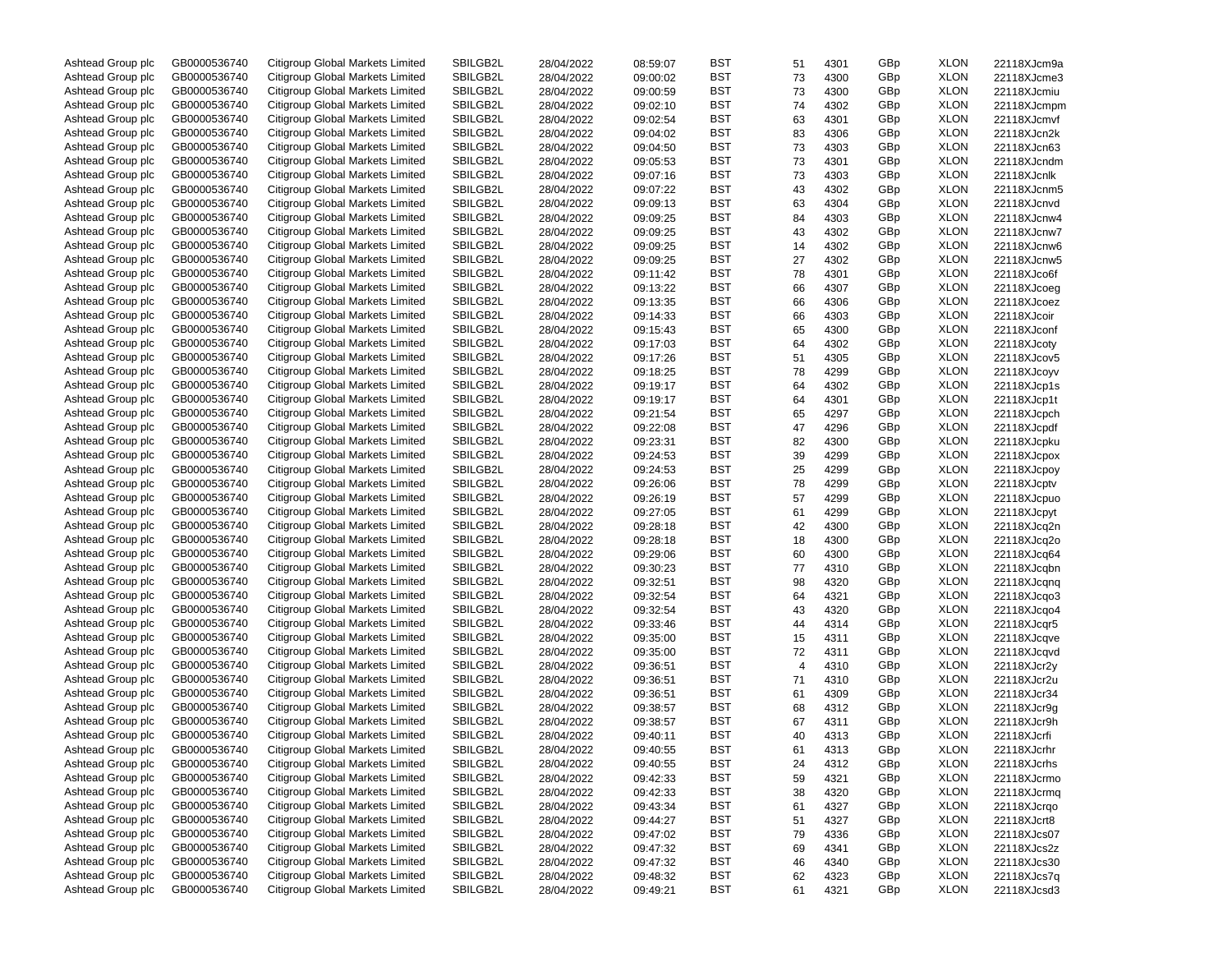| Ashtead Group plc | GB0000536740 | Citigroup Global Markets Limited | SBILGB2L | 28/04/2022 | 08:59:07 | BST        | 51 | 4301 | GBp | <b>XLON</b> | 22118XJcm9a |
|-------------------|--------------|----------------------------------|----------|------------|----------|------------|----|------|-----|-------------|-------------|
| Ashtead Group plc | GB0000536740 | Citigroup Global Markets Limited | SBILGB2L | 28/04/2022 | 09:00:02 | BST        | 73 | 4300 | GBp | <b>XLON</b> | 22118XJcme3 |
| Ashtead Group plc | GB0000536740 | Citigroup Global Markets Limited | SBILGB2L | 28/04/2022 | 09:00:59 | BST        | 73 | 4300 | GBp | <b>XLON</b> | 22118XJcmiu |
| Ashtead Group plc | GB0000536740 | Citigroup Global Markets Limited | SBILGB2L | 28/04/2022 | 09:02:10 | BST        | 74 | 4302 | GBp | <b>XLON</b> | 22118XJcmpm |
| Ashtead Group plc | GB0000536740 | Citigroup Global Markets Limited | SBILGB2L | 28/04/2022 | 09:02:54 | BST        | 63 | 4301 | GBp | <b>XLON</b> | 22118XJcmvf |
| Ashtead Group plc | GB0000536740 | Citigroup Global Markets Limited | SBILGB2L | 28/04/2022 | 09:04:02 | BST        | 83 | 4306 | GBp | <b>XLON</b> | 22118XJcn2k |
| Ashtead Group plc | GB0000536740 | Citigroup Global Markets Limited | SBILGB2L | 28/04/2022 | 09:04:50 | BST        | 73 | 4303 | GBp | <b>XLON</b> | 22118XJcn63 |
| Ashtead Group plc | GB0000536740 | Citigroup Global Markets Limited | SBILGB2L | 28/04/2022 | 09:05:53 | BST        | 73 | 4301 | GBp | <b>XLON</b> | 22118XJcndm |
| Ashtead Group plc | GB0000536740 | Citigroup Global Markets Limited | SBILGB2L | 28/04/2022 | 09:07:16 | BST        | 73 | 4303 | GBp | <b>XLON</b> | 22118XJcnlk |
|                   | GB0000536740 | Citigroup Global Markets Limited | SBILGB2L |            |          | BST        |    |      | GBp | <b>XLON</b> |             |
| Ashtead Group plc |              |                                  |          | 28/04/2022 | 09:07:22 |            | 43 | 4302 |     |             | 22118XJcnm5 |
| Ashtead Group plc | GB0000536740 | Citigroup Global Markets Limited | SBILGB2L | 28/04/2022 | 09:09:13 | BST        | 63 | 4304 | GBp | <b>XLON</b> | 22118XJcnvd |
| Ashtead Group plc | GB0000536740 | Citigroup Global Markets Limited | SBILGB2L | 28/04/2022 | 09:09:25 | BST        | 84 | 4303 | GBp | <b>XLON</b> | 22118XJcnw4 |
| Ashtead Group plc | GB0000536740 | Citigroup Global Markets Limited | SBILGB2L | 28/04/2022 | 09:09:25 | BST        | 43 | 4302 | GBp | <b>XLON</b> | 22118XJcnw7 |
| Ashtead Group plc | GB0000536740 | Citigroup Global Markets Limited | SBILGB2L | 28/04/2022 | 09:09:25 | BST        | 14 | 4302 | GBp | <b>XLON</b> | 22118XJcnw6 |
| Ashtead Group plc | GB0000536740 | Citigroup Global Markets Limited | SBILGB2L | 28/04/2022 | 09:09:25 | BST        | 27 | 4302 | GBp | <b>XLON</b> | 22118XJcnw5 |
| Ashtead Group plc | GB0000536740 | Citigroup Global Markets Limited | SBILGB2L | 28/04/2022 | 09:11:42 | BST        | 78 | 4301 | GBp | <b>XLON</b> | 22118XJco6f |
| Ashtead Group plc | GB0000536740 | Citigroup Global Markets Limited | SBILGB2L | 28/04/2022 | 09:13:22 | BST        | 66 | 4307 | GBp | <b>XLON</b> | 22118XJcoeg |
| Ashtead Group plc | GB0000536740 | Citigroup Global Markets Limited | SBILGB2L | 28/04/2022 | 09:13:35 | BST        | 66 | 4306 | GBp | <b>XLON</b> | 22118XJcoez |
| Ashtead Group plc | GB0000536740 | Citigroup Global Markets Limited | SBILGB2L | 28/04/2022 | 09:14:33 | BST        | 66 | 4303 | GBp | <b>XLON</b> | 22118XJcoir |
| Ashtead Group plc | GB0000536740 | Citigroup Global Markets Limited | SBILGB2L | 28/04/2022 | 09:15:43 | BST        | 65 | 4300 | GBp | <b>XLON</b> | 22118XJconf |
| Ashtead Group plc | GB0000536740 | Citigroup Global Markets Limited | SBILGB2L | 28/04/2022 | 09:17:03 | BST        | 64 | 4302 | GBp | <b>XLON</b> | 22118XJcoty |
| Ashtead Group plc | GB0000536740 | Citigroup Global Markets Limited | SBILGB2L | 28/04/2022 | 09:17:26 | BST        | 51 | 4305 | GBp | <b>XLON</b> | 22118XJcov5 |
| Ashtead Group plc | GB0000536740 | Citigroup Global Markets Limited | SBILGB2L | 28/04/2022 | 09:18:25 | BST        | 78 | 4299 | GBp | <b>XLON</b> | 22118XJcoyv |
| Ashtead Group plc | GB0000536740 | Citigroup Global Markets Limited | SBILGB2L | 28/04/2022 | 09:19:17 | BST        | 64 | 4302 | GBp | <b>XLON</b> | 22118XJcp1s |
| Ashtead Group plc | GB0000536740 | Citigroup Global Markets Limited | SBILGB2L | 28/04/2022 | 09:19:17 | BST        | 64 | 4301 | GBp | <b>XLON</b> | 22118XJcp1t |
| Ashtead Group plc | GB0000536740 | Citigroup Global Markets Limited | SBILGB2L |            | 09:21:54 | BST        |    |      | GBp | <b>XLON</b> |             |
|                   |              |                                  |          | 28/04/2022 |          |            | 65 | 4297 |     |             | 22118XJcpch |
| Ashtead Group plc | GB0000536740 | Citigroup Global Markets Limited | SBILGB2L | 28/04/2022 | 09:22:08 | BST        | 47 | 4296 | GBp | <b>XLON</b> | 22118XJcpdf |
| Ashtead Group plc | GB0000536740 | Citigroup Global Markets Limited | SBILGB2L | 28/04/2022 | 09:23:31 | BST        | 82 | 4300 | GBp | <b>XLON</b> | 22118XJcpku |
| Ashtead Group plc | GB0000536740 | Citigroup Global Markets Limited | SBILGB2L | 28/04/2022 | 09:24:53 | BST        | 39 | 4299 | GBp | <b>XLON</b> | 22118XJcpox |
| Ashtead Group plc | GB0000536740 | Citigroup Global Markets Limited | SBILGB2L | 28/04/2022 | 09:24:53 | BST        | 25 | 4299 | GBp | <b>XLON</b> | 22118XJcpoy |
| Ashtead Group plc | GB0000536740 | Citigroup Global Markets Limited | SBILGB2L | 28/04/2022 | 09:26:06 | BST        | 78 | 4299 | GBp | <b>XLON</b> | 22118XJcptv |
| Ashtead Group plc | GB0000536740 | Citigroup Global Markets Limited | SBILGB2L | 28/04/2022 | 09:26:19 | BST        | 57 | 4299 | GBp | <b>XLON</b> | 22118XJcpuo |
| Ashtead Group plc | GB0000536740 | Citigroup Global Markets Limited | SBILGB2L | 28/04/2022 | 09:27:05 | BST        | 61 | 4299 | GBp | <b>XLON</b> | 22118XJcpyt |
| Ashtead Group plc | GB0000536740 | Citigroup Global Markets Limited | SBILGB2L | 28/04/2022 | 09:28:18 | BST        | 42 | 4300 | GBp | <b>XLON</b> | 22118XJcq2n |
| Ashtead Group plc | GB0000536740 | Citigroup Global Markets Limited | SBILGB2L | 28/04/2022 | 09:28:18 | BST        | 18 | 4300 | GBp | <b>XLON</b> | 22118XJcq2o |
| Ashtead Group plc | GB0000536740 | Citigroup Global Markets Limited | SBILGB2L | 28/04/2022 | 09:29:06 | BST        | 60 | 4300 | GBp | <b>XLON</b> | 22118XJcq64 |
| Ashtead Group plc | GB0000536740 | Citigroup Global Markets Limited | SBILGB2L | 28/04/2022 | 09:30:23 | BST        | 77 | 4310 | GBp | <b>XLON</b> | 22118XJcqbn |
| Ashtead Group plc | GB0000536740 | Citigroup Global Markets Limited | SBILGB2L | 28/04/2022 | 09:32:51 | BST        | 98 | 4320 | GBp | <b>XLON</b> | 22118XJcqnq |
| Ashtead Group plc | GB0000536740 | Citigroup Global Markets Limited | SBILGB2L | 28/04/2022 | 09:32:54 | BST        | 64 | 4321 | GBp | <b>XLON</b> | 22118XJcqo3 |
| Ashtead Group plc | GB0000536740 | Citigroup Global Markets Limited | SBILGB2L | 28/04/2022 | 09:32:54 | BST        | 43 | 4320 | GBp | <b>XLON</b> | 22118XJcqo4 |
| Ashtead Group plc | GB0000536740 | Citigroup Global Markets Limited | SBILGB2L | 28/04/2022 | 09:33:46 | BST        | 44 | 4314 | GBp | <b>XLON</b> | 22118XJcqr5 |
| Ashtead Group plc | GB0000536740 | Citigroup Global Markets Limited | SBILGB2L | 28/04/2022 | 09:35:00 | BST        | 15 | 4311 | GBp | <b>XLON</b> | 22118XJcqve |
| Ashtead Group plc | GB0000536740 | Citigroup Global Markets Limited | SBILGB2L | 28/04/2022 | 09:35:00 | BST        | 72 | 4311 | GBp | <b>XLON</b> | 22118XJcqvd |
|                   | GB0000536740 | Citigroup Global Markets Limited | SBILGB2L |            |          | BST        |    |      |     | <b>XLON</b> |             |
| Ashtead Group plc |              |                                  |          | 28/04/2022 | 09:36:51 |            | 4  | 4310 | GBp |             | 22118XJcr2y |
| Ashtead Group plc | GB0000536740 | Citigroup Global Markets Limited | SBILGB2L | 28/04/2022 | 09:36:51 | BST        | 71 | 4310 | GBp | <b>XLON</b> | 22118XJcr2u |
| Ashtead Group plc | GB0000536740 | Citigroup Global Markets Limited | SBILGB2L | 28/04/2022 | 09:36:51 | BST        | 61 | 4309 | GBp | <b>XLON</b> | 22118XJcr34 |
| Ashtead Group plc | GB0000536740 | Citigroup Global Markets Limited | SBILGB2L | 28/04/2022 | 09:38:57 | BST        | 68 | 4312 | GBp | <b>XLON</b> | 22118XJcr9g |
| Ashtead Group plc | GB0000536740 | Citigroup Global Markets Limited | SBILGB2L | 28/04/2022 | 09:38:57 | BST        | 67 | 4311 | GBp | <b>XLON</b> | 22118XJcr9h |
| Ashtead Group plc | GB0000536740 | Citigroup Global Markets Limited | SBILGB2L | 28/04/2022 | 09:40:11 | BST        | 40 | 4313 | GBp | <b>XLON</b> | 22118XJcrfi |
| Ashtead Group plc | GB0000536740 | Citigroup Global Markets Limited | SBILGB2L | 28/04/2022 | 09:40:55 | BST        | 61 | 4313 | GBp | <b>XLON</b> | 22118XJcrhr |
| Ashtead Group plc | GB0000536740 | Citigroup Global Markets Limited | SBILGB2L | 28/04/2022 | 09:40:55 | BST        | 24 | 4312 | GBp | XLON        | 22118XJcrhs |
| Ashtead Group plc | GB0000536740 | Citigroup Global Markets Limited | SBILGB2L | 28/04/2022 | 09:42:33 | BST        | 59 | 4321 | GBp | XLON        | 22118XJcrmo |
| Ashtead Group plc | GB0000536740 | Citigroup Global Markets Limited | SBILGB2L | 28/04/2022 | 09:42:33 | BST        | 38 | 4320 | GBp | XLON        | 22118XJcrmq |
| Ashtead Group plc | GB0000536740 | Citigroup Global Markets Limited | SBILGB2L | 28/04/2022 | 09:43:34 | <b>BST</b> | 61 | 4327 | GBp | XLON        | 22118XJcrqo |
| Ashtead Group plc | GB0000536740 | Citigroup Global Markets Limited | SBILGB2L | 28/04/2022 | 09:44:27 | BST        | 51 | 4327 | GBp | XLON        | 22118XJcrt8 |
| Ashtead Group plc | GB0000536740 | Citigroup Global Markets Limited | SBILGB2L | 28/04/2022 | 09:47:02 | BST        | 79 | 4336 | GBp | XLON        | 22118XJcs07 |
| Ashtead Group plc | GB0000536740 | Citigroup Global Markets Limited | SBILGB2L | 28/04/2022 | 09:47:32 | BST        | 69 | 4341 | GBp | XLON        | 22118XJcs2z |
| Ashtead Group plc | GB0000536740 | Citigroup Global Markets Limited | SBILGB2L | 28/04/2022 | 09:47:32 | BST        | 46 | 4340 | GBp | XLON        | 22118XJcs30 |
| Ashtead Group plc | GB0000536740 | Citigroup Global Markets Limited | SBILGB2L | 28/04/2022 | 09:48:32 | <b>BST</b> | 62 | 4323 | GBp | XLON        | 22118XJcs7q |
| Ashtead Group plc | GB0000536740 | Citigroup Global Markets Limited | SBILGB2L | 28/04/2022 | 09:49:21 | BST        | 61 | 4321 | GBp | XLON        | 22118XJcsd3 |
|                   |              |                                  |          |            |          |            |    |      |     |             |             |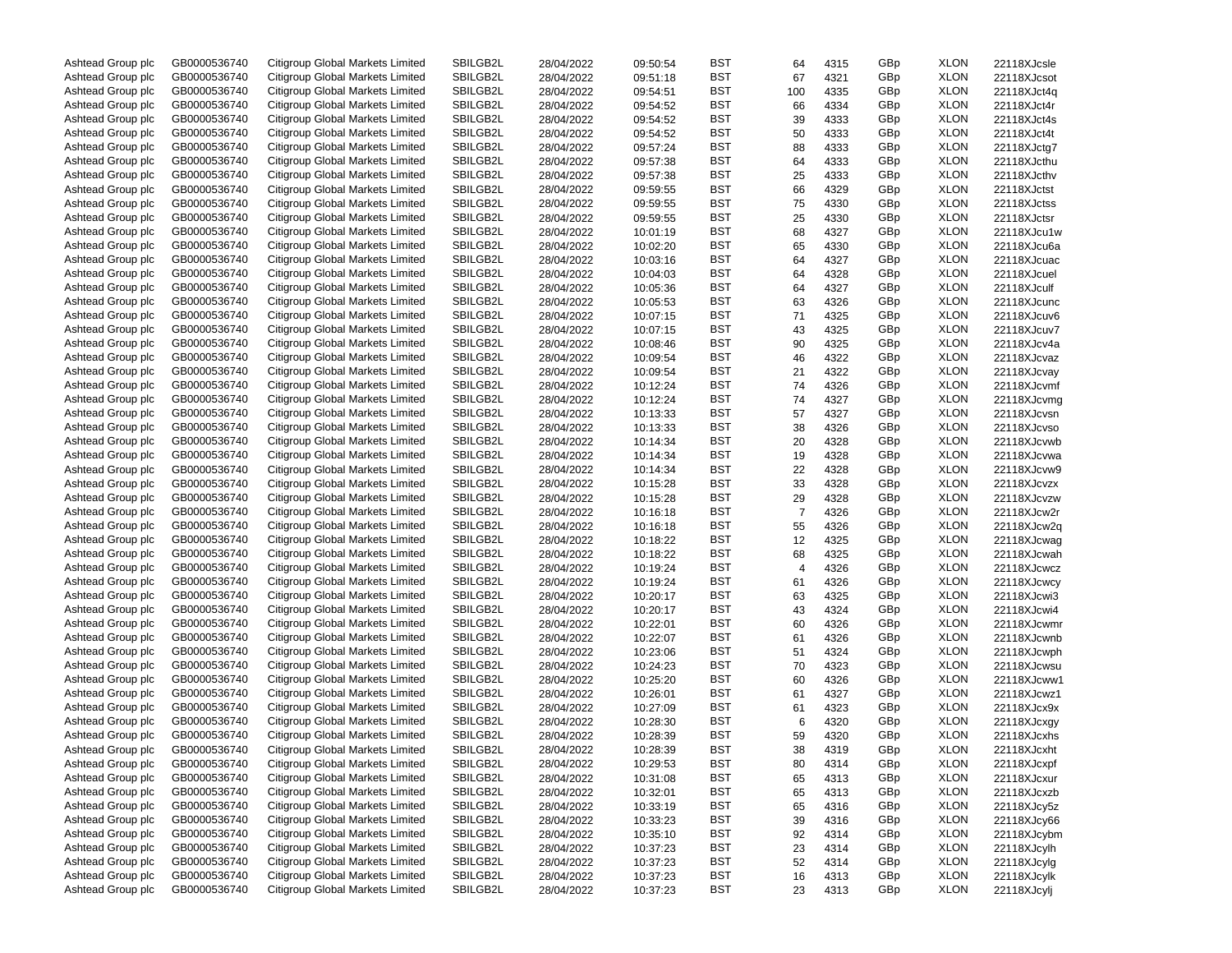| Ashtead Group plc | GB0000536740 | Citigroup Global Markets Limited | SBILGB2L | 28/04/2022 | 09:50:54 | BST        | 64             | 4315 | GBp | <b>XLON</b> | 22118XJcsle |
|-------------------|--------------|----------------------------------|----------|------------|----------|------------|----------------|------|-----|-------------|-------------|
| Ashtead Group plc | GB0000536740 | Citigroup Global Markets Limited | SBILGB2L | 28/04/2022 | 09:51:18 | BST        | 67             | 4321 | GBp | <b>XLON</b> | 22118XJcsot |
| Ashtead Group plc | GB0000536740 | Citigroup Global Markets Limited | SBILGB2L | 28/04/2022 | 09:54:51 | BST        | 100            | 4335 | GBp | <b>XLON</b> | 22118XJct4q |
| Ashtead Group plc | GB0000536740 | Citigroup Global Markets Limited | SBILGB2L | 28/04/2022 | 09:54:52 | BST        | 66             | 4334 | GBp | <b>XLON</b> | 22118XJct4r |
| Ashtead Group plc | GB0000536740 | Citigroup Global Markets Limited | SBILGB2L | 28/04/2022 | 09:54:52 | BST        | 39             | 4333 | GBp | <b>XLON</b> | 22118XJct4s |
| Ashtead Group plc | GB0000536740 | Citigroup Global Markets Limited | SBILGB2L | 28/04/2022 | 09:54:52 | BST        | 50             | 4333 | GBp | <b>XLON</b> | 22118XJct4t |
| Ashtead Group plc | GB0000536740 | Citigroup Global Markets Limited | SBILGB2L | 28/04/2022 | 09:57:24 | BST        | 88             | 4333 | GBp | <b>XLON</b> | 22118XJctg7 |
| Ashtead Group plc | GB0000536740 | Citigroup Global Markets Limited | SBILGB2L | 28/04/2022 | 09:57:38 | BST        | 64             | 4333 | GBp | <b>XLON</b> | 22118XJcthu |
| Ashtead Group plc | GB0000536740 | Citigroup Global Markets Limited | SBILGB2L | 28/04/2022 | 09:57:38 | BST        | 25             | 4333 | GBp | <b>XLON</b> | 22118XJcthv |
| Ashtead Group plc | GB0000536740 | Citigroup Global Markets Limited | SBILGB2L |            |          | BST        |                |      |     | <b>XLON</b> |             |
|                   |              |                                  |          | 28/04/2022 | 09:59:55 |            | 66             | 4329 | GBp |             | 22118XJctst |
| Ashtead Group plc | GB0000536740 | Citigroup Global Markets Limited | SBILGB2L | 28/04/2022 | 09:59:55 | BST        | 75             | 4330 | GBp | <b>XLON</b> | 22118XJctss |
| Ashtead Group plc | GB0000536740 | Citigroup Global Markets Limited | SBILGB2L | 28/04/2022 | 09:59:55 | BST        | 25             | 4330 | GBp | <b>XLON</b> | 22118XJctsr |
| Ashtead Group plc | GB0000536740 | Citigroup Global Markets Limited | SBILGB2L | 28/04/2022 | 10:01:19 | BST        | 68             | 4327 | GBp | <b>XLON</b> | 22118XJcu1w |
| Ashtead Group plc | GB0000536740 | Citigroup Global Markets Limited | SBILGB2L | 28/04/2022 | 10:02:20 | BST        | 65             | 4330 | GBp | <b>XLON</b> | 22118XJcu6a |
| Ashtead Group plc | GB0000536740 | Citigroup Global Markets Limited | SBILGB2L | 28/04/2022 | 10:03:16 | BST        | 64             | 4327 | GBp | <b>XLON</b> | 22118XJcuac |
| Ashtead Group plc | GB0000536740 | Citigroup Global Markets Limited | SBILGB2L | 28/04/2022 | 10:04:03 | BST        | 64             | 4328 | GBp | <b>XLON</b> | 22118XJcuel |
| Ashtead Group plc | GB0000536740 | Citigroup Global Markets Limited | SBILGB2L | 28/04/2022 | 10:05:36 | BST        | 64             | 4327 | GBp | <b>XLON</b> | 22118XJculf |
| Ashtead Group plc | GB0000536740 | Citigroup Global Markets Limited | SBILGB2L | 28/04/2022 | 10:05:53 | BST        | 63             | 4326 | GBp | <b>XLON</b> | 22118XJcunc |
| Ashtead Group plc | GB0000536740 | Citigroup Global Markets Limited | SBILGB2L | 28/04/2022 | 10:07:15 | BST        | 71             | 4325 | GBp | <b>XLON</b> | 22118XJcuv6 |
| Ashtead Group plc | GB0000536740 | Citigroup Global Markets Limited | SBILGB2L | 28/04/2022 | 10:07:15 | BST        | 43             | 4325 | GBp | <b>XLON</b> | 22118XJcuv7 |
| Ashtead Group plc | GB0000536740 | Citigroup Global Markets Limited | SBILGB2L | 28/04/2022 | 10:08:46 | BST        | 90             | 4325 | GBp | <b>XLON</b> | 22118XJcv4a |
| Ashtead Group plc | GB0000536740 | Citigroup Global Markets Limited | SBILGB2L | 28/04/2022 | 10:09:54 | BST        | 46             | 4322 | GBp | <b>XLON</b> | 22118XJcvaz |
| Ashtead Group plc | GB0000536740 | Citigroup Global Markets Limited | SBILGB2L | 28/04/2022 | 10:09:54 | BST        | 21             | 4322 | GBp | <b>XLON</b> | 22118XJcvay |
| Ashtead Group plc | GB0000536740 | Citigroup Global Markets Limited | SBILGB2L | 28/04/2022 | 10:12:24 | BST        | 74             | 4326 | GBp | <b>XLON</b> | 22118XJcvmf |
| Ashtead Group plc | GB0000536740 | Citigroup Global Markets Limited | SBILGB2L |            |          | BST        |                |      | GBp | <b>XLON</b> |             |
|                   | GB0000536740 |                                  |          | 28/04/2022 | 10:12:24 |            | 74             | 4327 |     |             | 22118XJcvmg |
| Ashtead Group plc |              | Citigroup Global Markets Limited | SBILGB2L | 28/04/2022 | 10:13:33 | BST        | 57             | 4327 | GBp | <b>XLON</b> | 22118XJcvsn |
| Ashtead Group plc | GB0000536740 | Citigroup Global Markets Limited | SBILGB2L | 28/04/2022 | 10:13:33 | BST        | 38             | 4326 | GBp | <b>XLON</b> | 22118XJcvso |
| Ashtead Group plc | GB0000536740 | Citigroup Global Markets Limited | SBILGB2L | 28/04/2022 | 10:14:34 | BST        | 20             | 4328 | GBp | <b>XLON</b> | 22118XJcvwb |
| Ashtead Group plc | GB0000536740 | Citigroup Global Markets Limited | SBILGB2L | 28/04/2022 | 10:14:34 | BST        | 19             | 4328 | GBp | <b>XLON</b> | 22118XJcvwa |
| Ashtead Group plc | GB0000536740 | Citigroup Global Markets Limited | SBILGB2L | 28/04/2022 | 10:14:34 | BST        | 22             | 4328 | GBp | <b>XLON</b> | 22118XJcvw9 |
| Ashtead Group plc | GB0000536740 | Citigroup Global Markets Limited | SBILGB2L | 28/04/2022 | 10:15:28 | BST        | 33             | 4328 | GBp | <b>XLON</b> | 22118XJcvzx |
| Ashtead Group plc | GB0000536740 | Citigroup Global Markets Limited | SBILGB2L | 28/04/2022 | 10:15:28 | BST        | 29             | 4328 | GBp | <b>XLON</b> | 22118XJcvzw |
| Ashtead Group plc | GB0000536740 | Citigroup Global Markets Limited | SBILGB2L | 28/04/2022 | 10:16:18 | BST        | $\overline{7}$ | 4326 | GBp | <b>XLON</b> | 22118XJcw2r |
| Ashtead Group plc | GB0000536740 | Citigroup Global Markets Limited | SBILGB2L | 28/04/2022 | 10:16:18 | BST        | 55             | 4326 | GBp | <b>XLON</b> | 22118XJcw2q |
| Ashtead Group plc | GB0000536740 | Citigroup Global Markets Limited | SBILGB2L | 28/04/2022 | 10:18:22 | BST        | 12             | 4325 | GBp | <b>XLON</b> | 22118XJcwag |
| Ashtead Group plc | GB0000536740 | Citigroup Global Markets Limited | SBILGB2L | 28/04/2022 | 10:18:22 | BST        | 68             | 4325 | GBp | <b>XLON</b> | 22118XJcwah |
| Ashtead Group plc | GB0000536740 | Citigroup Global Markets Limited | SBILGB2L | 28/04/2022 | 10:19:24 | BST        | $\overline{4}$ | 4326 | GBp | <b>XLON</b> | 22118XJcwcz |
| Ashtead Group plc | GB0000536740 | Citigroup Global Markets Limited | SBILGB2L | 28/04/2022 | 10:19:24 | BST        | 61             | 4326 | GBp | <b>XLON</b> | 22118XJcwcy |
| Ashtead Group plc | GB0000536740 | Citigroup Global Markets Limited | SBILGB2L | 28/04/2022 | 10:20:17 | BST        | 63             | 4325 | GBp | <b>XLON</b> | 22118XJcwi3 |
| Ashtead Group plc | GB0000536740 | Citigroup Global Markets Limited | SBILGB2L | 28/04/2022 | 10:20:17 | BST        | 43             | 4324 | GBp | <b>XLON</b> | 22118XJcwi4 |
| Ashtead Group plc | GB0000536740 | Citigroup Global Markets Limited | SBILGB2L |            | 10:22:01 | BST        | 60             | 4326 | GBp | <b>XLON</b> |             |
|                   |              |                                  |          | 28/04/2022 |          |            |                |      |     |             | 22118XJcwmr |
| Ashtead Group plc | GB0000536740 | Citigroup Global Markets Limited | SBILGB2L | 28/04/2022 | 10:22:07 | BST        | 61             | 4326 | GBp | <b>XLON</b> | 22118XJcwnb |
| Ashtead Group plc | GB0000536740 | Citigroup Global Markets Limited | SBILGB2L | 28/04/2022 | 10:23:06 | BST        | 51             | 4324 | GBp | <b>XLON</b> | 22118XJcwph |
| Ashtead Group plc | GB0000536740 | Citigroup Global Markets Limited | SBILGB2L | 28/04/2022 | 10:24:23 | BST        | 70             | 4323 | GBp | <b>XLON</b> | 22118XJcwsu |
| Ashtead Group plc | GB0000536740 | Citigroup Global Markets Limited | SBILGB2L | 28/04/2022 | 10:25:20 | BST        | 60             | 4326 | GBp | <b>XLON</b> | 22118XJcww1 |
| Ashtead Group plc | GB0000536740 | Citigroup Global Markets Limited | SBILGB2L | 28/04/2022 | 10:26:01 | BST        | 61             | 4327 | GBp | <b>XLON</b> | 22118XJcwz1 |
| Ashtead Group plc | GB0000536740 | Citigroup Global Markets Limited | SBILGB2L | 28/04/2022 | 10:27:09 | BST        | 61             | 4323 | GBp | <b>XLON</b> | 22118XJcx9x |
| Ashtead Group plc | GB0000536740 | Citigroup Global Markets Limited | SBILGB2L | 28/04/2022 | 10:28:30 | BST        | 6              | 4320 | GBp | <b>XLON</b> | 22118XJcxgy |
| Ashtead Group plc | GB0000536740 | Citigroup Global Markets Limited | SBILGB2L | 28/04/2022 | 10:28:39 | BST        | 59             | 4320 | GBp | <b>XLON</b> | 22118XJcxhs |
| Ashtead Group plc | GB0000536740 | Citigroup Global Markets Limited | SBILGB2L | 28/04/2022 | 10:28:39 | BST        | 38             | 4319 | GBp | <b>XLON</b> | 22118XJcxht |
| Ashtead Group plc | GB0000536740 | Citigroup Global Markets Limited | SBILGB2L | 28/04/2022 | 10:29:53 | <b>BST</b> | 80             | 4314 | GBp | XLON        | 22118XJcxpf |
| Ashtead Group plc | GB0000536740 | Citigroup Global Markets Limited | SBILGB2L | 28/04/2022 | 10:31:08 | BST        | 65             | 4313 | GBp | <b>XLON</b> | 22118XJcxur |
| Ashtead Group plc | GB0000536740 | Citigroup Global Markets Limited | SBILGB2L | 28/04/2022 | 10:32:01 | BST        | 65             | 4313 | GBp | <b>XLON</b> | 22118XJcxzb |
| Ashtead Group plc | GB0000536740 | Citigroup Global Markets Limited | SBILGB2L | 28/04/2022 | 10:33:19 | BST        | 65             | 4316 | GBp | <b>XLON</b> | 22118XJcy5z |
| Ashtead Group plc | GB0000536740 | Citigroup Global Markets Limited | SBILGB2L | 28/04/2022 | 10:33:23 | BST        | 39             | 4316 | GBp | <b>XLON</b> | 22118XJcy66 |
| Ashtead Group plc | GB0000536740 | Citigroup Global Markets Limited | SBILGB2L | 28/04/2022 | 10:35:10 | BST        | 92             | 4314 | GBp | <b>XLON</b> | 22118XJcybm |
| Ashtead Group plc | GB0000536740 | Citigroup Global Markets Limited | SBILGB2L | 28/04/2022 | 10:37:23 | BST        | 23             | 4314 | GBp | <b>XLON</b> | 22118XJcylh |
| Ashtead Group plc | GB0000536740 | Citigroup Global Markets Limited | SBILGB2L |            |          | BST        |                |      | GBp | <b>XLON</b> | 22118XJcylg |
| Ashtead Group plc | GB0000536740 | Citigroup Global Markets Limited |          | 28/04/2022 | 10:37:23 |            | 52             | 4314 |     |             |             |
|                   |              |                                  | SBILGB2L | 28/04/2022 | 10:37:23 | BST        | 16             | 4313 | GBp | <b>XLON</b> | 22118XJcylk |
| Ashtead Group plc | GB0000536740 | Citigroup Global Markets Limited | SBILGB2L | 28/04/2022 | 10:37:23 | BST        | 23             | 4313 | GBp | <b>XLON</b> | 22118XJcylj |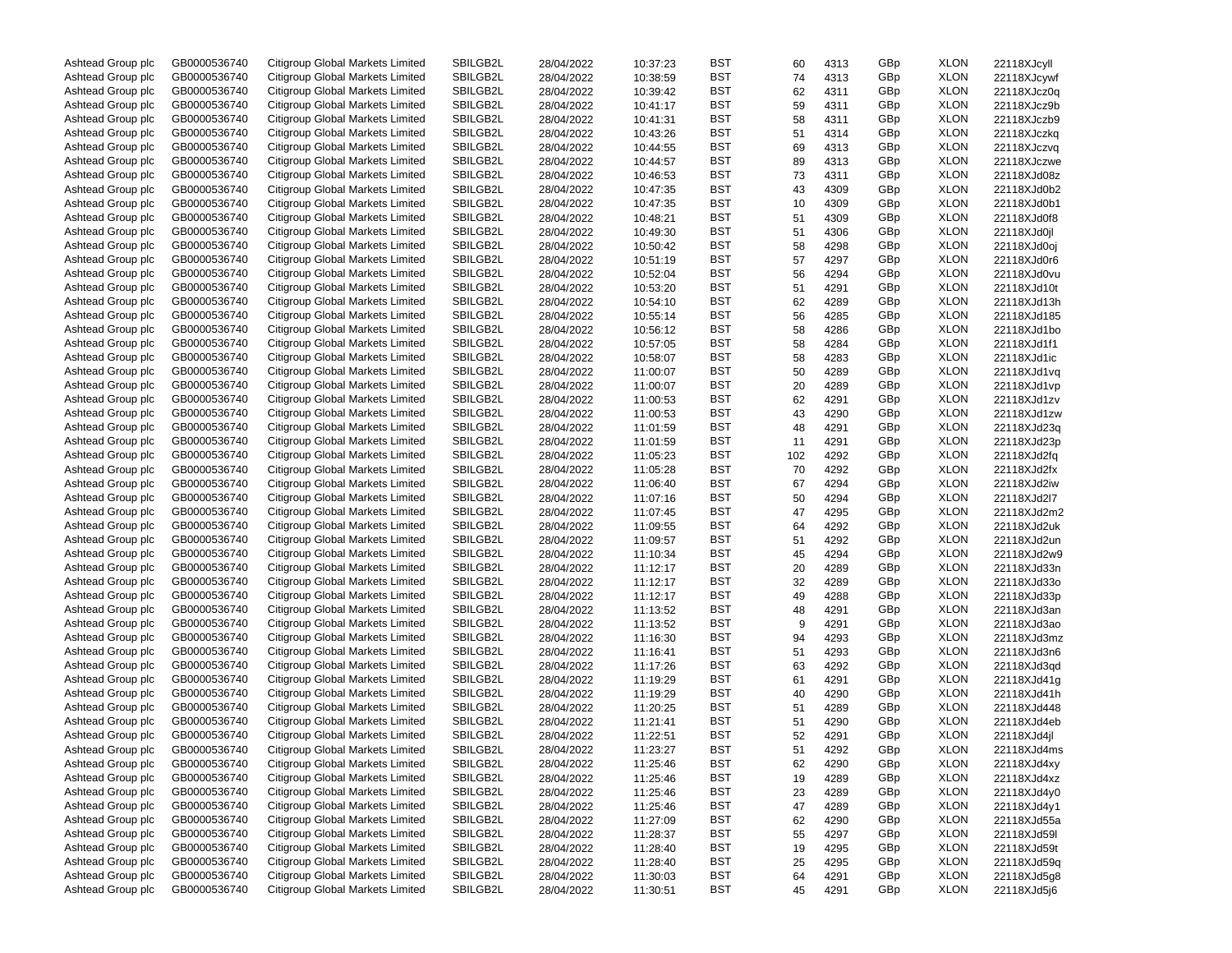| Ashtead Group plc | GB0000536740 | Citigroup Global Markets Limited | SBILGB2L | 28/04/2022 | 10:37:23 | BST | 60  | 4313 | GBp | <b>XLON</b> | 22118XJcyll |
|-------------------|--------------|----------------------------------|----------|------------|----------|-----|-----|------|-----|-------------|-------------|
| Ashtead Group plc | GB0000536740 | Citigroup Global Markets Limited | SBILGB2L | 28/04/2022 | 10:38:59 | BST | 74  | 4313 | GBp | <b>XLON</b> | 22118XJcywf |
| Ashtead Group plc | GB0000536740 | Citigroup Global Markets Limited | SBILGB2L | 28/04/2022 | 10:39:42 | BST | 62  | 4311 | GBp | <b>XLON</b> | 22118XJcz0q |
| Ashtead Group plc | GB0000536740 | Citigroup Global Markets Limited | SBILGB2L | 28/04/2022 | 10:41:17 | BST | 59  | 4311 | GBp | <b>XLON</b> | 22118XJcz9b |
| Ashtead Group plc | GB0000536740 | Citigroup Global Markets Limited | SBILGB2L | 28/04/2022 | 10:41:31 | BST | 58  | 4311 | GBp | <b>XLON</b> | 22118XJczb9 |
| Ashtead Group plc | GB0000536740 | Citigroup Global Markets Limited | SBILGB2L | 28/04/2022 | 10:43:26 | BST | 51  | 4314 | GBp | <b>XLON</b> | 22118XJczkg |
| Ashtead Group plc | GB0000536740 | Citigroup Global Markets Limited | SBILGB2L | 28/04/2022 | 10:44:55 | BST | 69  | 4313 | GBp | <b>XLON</b> | 22118XJczvq |
| Ashtead Group plc | GB0000536740 | Citigroup Global Markets Limited | SBILGB2L | 28/04/2022 | 10:44:57 | BST | 89  | 4313 | GBp | <b>XLON</b> | 22118XJczwe |
| Ashtead Group plc | GB0000536740 | Citigroup Global Markets Limited | SBILGB2L | 28/04/2022 | 10:46:53 | BST | 73  | 4311 | GBp | <b>XLON</b> | 22118XJd08z |
| Ashtead Group plc | GB0000536740 | Citigroup Global Markets Limited | SBILGB2L |            |          | BST |     |      |     | <b>XLON</b> |             |
|                   |              |                                  |          | 28/04/2022 | 10:47:35 |     | 43  | 4309 | GBp |             | 22118XJd0b2 |
| Ashtead Group plc | GB0000536740 | Citigroup Global Markets Limited | SBILGB2L | 28/04/2022 | 10:47:35 | BST | 10  | 4309 | GBp | <b>XLON</b> | 22118XJd0b1 |
| Ashtead Group plc | GB0000536740 | Citigroup Global Markets Limited | SBILGB2L | 28/04/2022 | 10:48:21 | BST | 51  | 4309 | GBp | <b>XLON</b> | 22118XJd0f8 |
| Ashtead Group plc | GB0000536740 | Citigroup Global Markets Limited | SBILGB2L | 28/04/2022 | 10:49:30 | BST | 51  | 4306 | GBp | <b>XLON</b> | 22118XJd0jl |
| Ashtead Group plc | GB0000536740 | Citigroup Global Markets Limited | SBILGB2L | 28/04/2022 | 10:50:42 | BST | 58  | 4298 | GBp | <b>XLON</b> | 22118XJd0oj |
| Ashtead Group plc | GB0000536740 | Citigroup Global Markets Limited | SBILGB2L | 28/04/2022 | 10:51:19 | BST | 57  | 4297 | GBp | <b>XLON</b> | 22118XJd0r6 |
| Ashtead Group plc | GB0000536740 | Citigroup Global Markets Limited | SBILGB2L | 28/04/2022 | 10:52:04 | BST | 56  | 4294 | GBp | <b>XLON</b> | 22118XJd0vu |
| Ashtead Group plc | GB0000536740 | Citigroup Global Markets Limited | SBILGB2L | 28/04/2022 | 10:53:20 | BST | 51  | 4291 | GBp | <b>XLON</b> | 22118XJd10t |
| Ashtead Group plc | GB0000536740 | Citigroup Global Markets Limited | SBILGB2L | 28/04/2022 | 10:54:10 | BST | 62  | 4289 | GBp | <b>XLON</b> | 22118XJd13h |
| Ashtead Group plc | GB0000536740 | Citigroup Global Markets Limited | SBILGB2L | 28/04/2022 | 10:55:14 | BST | 56  | 4285 | GBp | <b>XLON</b> | 22118XJd185 |
| Ashtead Group plc | GB0000536740 | Citigroup Global Markets Limited | SBILGB2L | 28/04/2022 | 10:56:12 | BST | 58  | 4286 | GBp | <b>XLON</b> | 22118XJd1bo |
| Ashtead Group plc | GB0000536740 | Citigroup Global Markets Limited | SBILGB2L | 28/04/2022 | 10:57:05 | BST | 58  | 4284 | GBp | <b>XLON</b> | 22118XJd1f1 |
| Ashtead Group plc | GB0000536740 | Citigroup Global Markets Limited | SBILGB2L | 28/04/2022 | 10:58:07 | BST | 58  | 4283 | GBp | <b>XLON</b> | 22118XJd1ic |
| Ashtead Group plc | GB0000536740 | Citigroup Global Markets Limited | SBILGB2L | 28/04/2022 | 11:00:07 | BST | 50  | 4289 | GBp | <b>XLON</b> | 22118XJd1vq |
| Ashtead Group plc | GB0000536740 | Citigroup Global Markets Limited | SBILGB2L | 28/04/2022 | 11:00:07 | BST | 20  | 4289 | GBp | <b>XLON</b> | 22118XJd1vp |
| Ashtead Group plc | GB0000536740 | Citigroup Global Markets Limited | SBILGB2L |            | 11:00:53 | BST |     |      |     | <b>XLON</b> |             |
|                   |              |                                  |          | 28/04/2022 |          |     | 62  | 4291 | GBp |             | 22118XJd1zv |
| Ashtead Group plc | GB0000536740 | Citigroup Global Markets Limited | SBILGB2L | 28/04/2022 | 11:00:53 | BST | 43  | 4290 | GBp | <b>XLON</b> | 22118XJd1zw |
| Ashtead Group plc | GB0000536740 | Citigroup Global Markets Limited | SBILGB2L | 28/04/2022 | 11:01:59 | BST | 48  | 4291 | GBp | <b>XLON</b> | 22118XJd23q |
| Ashtead Group plc | GB0000536740 | Citigroup Global Markets Limited | SBILGB2L | 28/04/2022 | 11:01:59 | BST | 11  | 4291 | GBp | <b>XLON</b> | 22118XJd23p |
| Ashtead Group plc | GB0000536740 | Citigroup Global Markets Limited | SBILGB2L | 28/04/2022 | 11:05:23 | BST | 102 | 4292 | GBp | <b>XLON</b> | 22118XJd2fq |
| Ashtead Group plc | GB0000536740 | Citigroup Global Markets Limited | SBILGB2L | 28/04/2022 | 11:05:28 | BST | 70  | 4292 | GBp | <b>XLON</b> | 22118XJd2fx |
| Ashtead Group plc | GB0000536740 | Citigroup Global Markets Limited | SBILGB2L | 28/04/2022 | 11:06:40 | BST | 67  | 4294 | GBp | <b>XLON</b> | 22118XJd2iw |
| Ashtead Group plc | GB0000536740 | Citigroup Global Markets Limited | SBILGB2L | 28/04/2022 | 11:07:16 | BST | 50  | 4294 | GBp | <b>XLON</b> | 22118XJd2l7 |
| Ashtead Group plc | GB0000536740 | Citigroup Global Markets Limited | SBILGB2L | 28/04/2022 | 11:07:45 | BST | 47  | 4295 | GBp | <b>XLON</b> | 22118XJd2m2 |
| Ashtead Group plc | GB0000536740 | Citigroup Global Markets Limited | SBILGB2L | 28/04/2022 | 11:09:55 | BST | 64  | 4292 | GBp | <b>XLON</b> | 22118XJd2uk |
| Ashtead Group plc | GB0000536740 | Citigroup Global Markets Limited | SBILGB2L | 28/04/2022 | 11:09:57 | BST | 51  | 4292 | GBp | <b>XLON</b> | 22118XJd2un |
| Ashtead Group plc | GB0000536740 | Citigroup Global Markets Limited | SBILGB2L | 28/04/2022 | 11:10:34 | BST | 45  | 4294 | GBp | <b>XLON</b> | 22118XJd2w9 |
| Ashtead Group plc | GB0000536740 | Citigroup Global Markets Limited | SBILGB2L | 28/04/2022 | 11:12:17 | BST | 20  | 4289 | GBp | <b>XLON</b> | 22118XJd33n |
| Ashtead Group plc | GB0000536740 | Citigroup Global Markets Limited | SBILGB2L | 28/04/2022 | 11:12:17 | BST | 32  | 4289 | GBp | <b>XLON</b> | 22118XJd33o |
| Ashtead Group plc | GB0000536740 | Citigroup Global Markets Limited | SBILGB2L | 28/04/2022 | 11:12:17 | BST | 49  | 4288 | GBp | <b>XLON</b> | 22118XJd33p |
| Ashtead Group plc | GB0000536740 | Citigroup Global Markets Limited | SBILGB2L | 28/04/2022 | 11:13:52 | BST | 48  | 4291 | GBp | <b>XLON</b> | 22118XJd3an |
| Ashtead Group plc | GB0000536740 | Citigroup Global Markets Limited | SBILGB2L | 28/04/2022 |          | BST | 9   |      | GBp | <b>XLON</b> | 22118XJd3ao |
|                   |              |                                  |          |            | 11:13:52 |     |     | 4291 |     |             |             |
| Ashtead Group plc | GB0000536740 | Citigroup Global Markets Limited | SBILGB2L | 28/04/2022 | 11:16:30 | BST | 94  | 4293 | GBp | <b>XLON</b> | 22118XJd3mz |
| Ashtead Group plc | GB0000536740 | Citigroup Global Markets Limited | SBILGB2L | 28/04/2022 | 11:16:41 | BST | 51  | 4293 | GBp | <b>XLON</b> | 22118XJd3n6 |
| Ashtead Group plc | GB0000536740 | Citigroup Global Markets Limited | SBILGB2L | 28/04/2022 | 11:17:26 | BST | 63  | 4292 | GBp | <b>XLON</b> | 22118XJd3qd |
| Ashtead Group plc | GB0000536740 | Citigroup Global Markets Limited | SBILGB2L | 28/04/2022 | 11:19:29 | BST | 61  | 4291 | GBp | <b>XLON</b> | 22118XJd41g |
| Ashtead Group plc | GB0000536740 | Citigroup Global Markets Limited | SBILGB2L | 28/04/2022 | 11:19:29 | BST | 40  | 4290 | GBp | <b>XLON</b> | 22118XJd41h |
| Ashtead Group plc | GB0000536740 | Citigroup Global Markets Limited | SBILGB2L | 28/04/2022 | 11:20:25 | BST | 51  | 4289 | GBp | <b>XLON</b> | 22118XJd448 |
| Ashtead Group plc | GB0000536740 | Citigroup Global Markets Limited | SBILGB2L | 28/04/2022 | 11:21:41 | BST | 51  | 4290 | GBp | <b>XLON</b> | 22118XJd4eb |
| Ashtead Group plc | GB0000536740 | Citigroup Global Markets Limited | SBILGB2L | 28/04/2022 | 11:22:51 | BST | 52  | 4291 | GBp | <b>XLON</b> | 22118XJd4jl |
| Ashtead Group plc | GB0000536740 | Citigroup Global Markets Limited | SBILGB2L | 28/04/2022 | 11:23:27 | BST | 51  | 4292 | GBp | <b>XLON</b> | 22118XJd4ms |
| Ashtead Group plc | GB0000536740 | Citigroup Global Markets Limited | SBILGB2L | 28/04/2022 | 11:25:46 | BST | 62  | 4290 | GBp | <b>XLON</b> | 22118XJd4xy |
| Ashtead Group plc | GB0000536740 | Citigroup Global Markets Limited | SBILGB2L | 28/04/2022 | 11:25:46 | BST | 19  | 4289 | GBp | <b>XLON</b> | 22118XJd4xz |
| Ashtead Group plc | GB0000536740 | Citigroup Global Markets Limited | SBILGB2L | 28/04/2022 | 11:25:46 | BST | 23  | 4289 | GBp | <b>XLON</b> | 22118XJd4y0 |
| Ashtead Group plc | GB0000536740 | Citigroup Global Markets Limited | SBILGB2L | 28/04/2022 | 11:25:46 | BST | 47  | 4289 | GBp | <b>XLON</b> | 22118XJd4y1 |
| Ashtead Group plc | GB0000536740 | Citigroup Global Markets Limited | SBILGB2L | 28/04/2022 | 11:27:09 | BST | 62  | 4290 | GBp | <b>XLON</b> | 22118XJd55a |
| Ashtead Group plc | GB0000536740 | Citigroup Global Markets Limited | SBILGB2L | 28/04/2022 | 11:28:37 | BST | 55  | 4297 | GBp | <b>XLON</b> | 22118XJd59I |
| Ashtead Group plc |              | Citigroup Global Markets Limited |          |            |          |     |     |      |     |             |             |
|                   | GB0000536740 |                                  | SBILGB2L | 28/04/2022 | 11:28:40 | BST | 19  | 4295 | GBp | <b>XLON</b> | 22118XJd59t |
| Ashtead Group plc | GB0000536740 | Citigroup Global Markets Limited | SBILGB2L | 28/04/2022 | 11:28:40 | BST | 25  | 4295 | GBp | <b>XLON</b> | 22118XJd59q |
| Ashtead Group plc | GB0000536740 | Citigroup Global Markets Limited | SBILGB2L | 28/04/2022 | 11:30:03 | BST | 64  | 4291 | GBp | <b>XLON</b> | 22118XJd5g8 |
| Ashtead Group plc | GB0000536740 | Citigroup Global Markets Limited | SBILGB2L | 28/04/2022 | 11:30:51 | BST | 45  | 4291 | GBp | <b>XLON</b> | 22118XJd5j6 |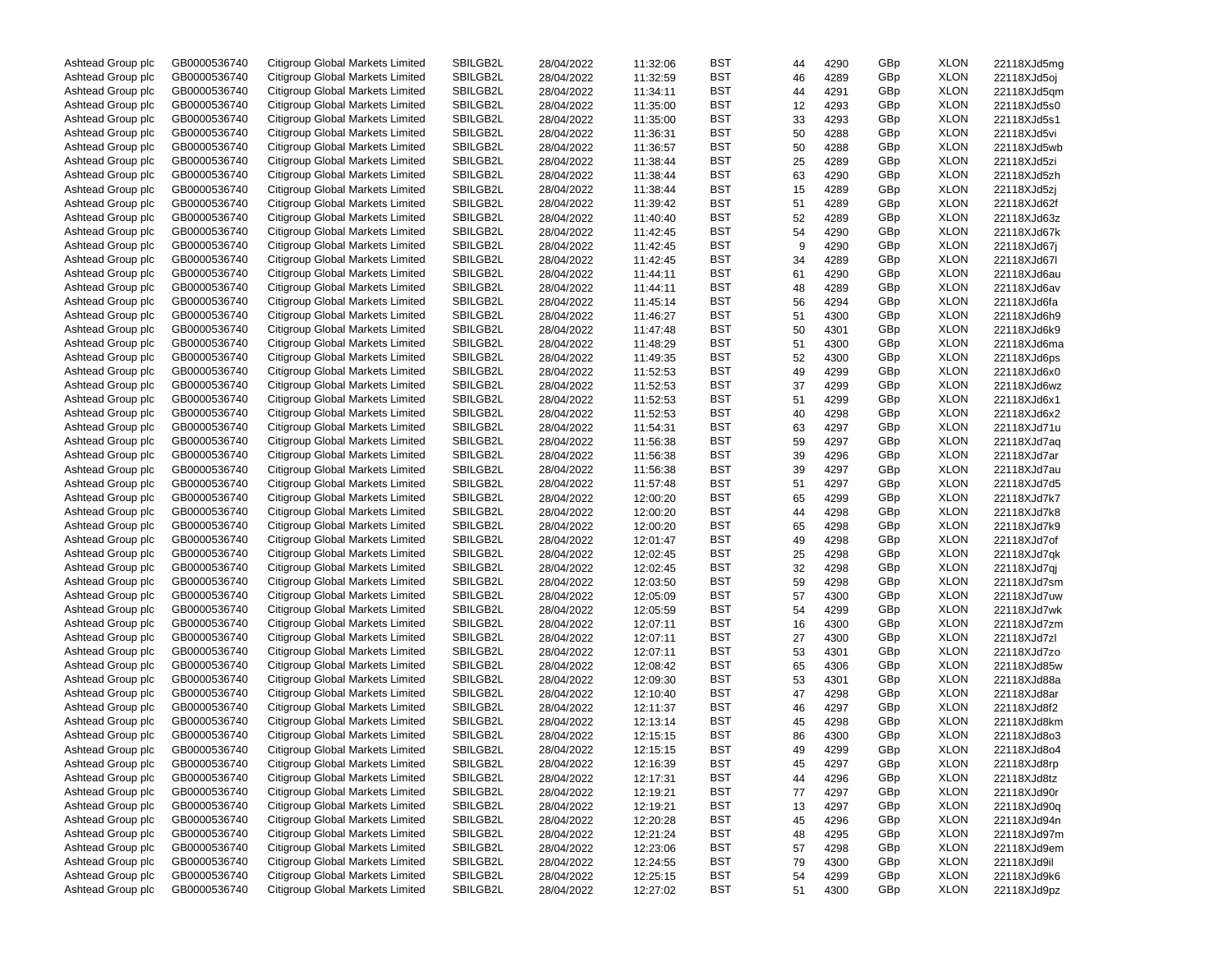| Ashtead Group plc | GB0000536740 | Citigroup Global Markets Limited | SBILGB2L | 28/04/2022 | 11:32:06 | BST        | 44 | 4290 | GBp | <b>XLON</b> | 22118XJd5mg |
|-------------------|--------------|----------------------------------|----------|------------|----------|------------|----|------|-----|-------------|-------------|
| Ashtead Group plc | GB0000536740 | Citigroup Global Markets Limited | SBILGB2L | 28/04/2022 | 11:32:59 | BST        | 46 | 4289 | GBp | <b>XLON</b> | 22118XJd5oj |
| Ashtead Group plc | GB0000536740 | Citigroup Global Markets Limited | SBILGB2L | 28/04/2022 | 11:34:11 | BST        | 44 | 4291 | GBp | <b>XLON</b> | 22118XJd5qm |
| Ashtead Group plc | GB0000536740 | Citigroup Global Markets Limited | SBILGB2L | 28/04/2022 | 11:35:00 | BST        | 12 | 4293 | GBp | <b>XLON</b> | 22118XJd5s0 |
| Ashtead Group plc | GB0000536740 | Citigroup Global Markets Limited | SBILGB2L | 28/04/2022 | 11:35:00 | BST        | 33 | 4293 | GBp | <b>XLON</b> | 22118XJd5s1 |
| Ashtead Group plc | GB0000536740 | Citigroup Global Markets Limited | SBILGB2L | 28/04/2022 | 11:36:31 | BST        | 50 | 4288 | GBp | <b>XLON</b> | 22118XJd5vi |
| Ashtead Group plc | GB0000536740 | Citigroup Global Markets Limited | SBILGB2L | 28/04/2022 | 11:36:57 | BST        | 50 | 4288 | GBp | <b>XLON</b> | 22118XJd5wb |
| Ashtead Group plc | GB0000536740 | Citigroup Global Markets Limited | SBILGB2L | 28/04/2022 | 11:38:44 | BST        | 25 | 4289 | GBp | <b>XLON</b> | 22118XJd5zi |
| Ashtead Group plc | GB0000536740 | Citigroup Global Markets Limited | SBILGB2L | 28/04/2022 | 11:38:44 | BST        | 63 | 4290 | GBp | <b>XLON</b> | 22118XJd5zh |
|                   |              |                                  |          |            |          |            |    |      |     |             |             |
| Ashtead Group plc | GB0000536740 | Citigroup Global Markets Limited | SBILGB2L | 28/04/2022 | 11:38:44 | BST        | 15 | 4289 | GBp | <b>XLON</b> | 22118XJd5zj |
| Ashtead Group plc | GB0000536740 | Citigroup Global Markets Limited | SBILGB2L | 28/04/2022 | 11:39:42 | BST        | 51 | 4289 | GBp | <b>XLON</b> | 22118XJd62f |
| Ashtead Group plc | GB0000536740 | Citigroup Global Markets Limited | SBILGB2L | 28/04/2022 | 11:40:40 | BST        | 52 | 4289 | GBp | <b>XLON</b> | 22118XJd63z |
| Ashtead Group plc | GB0000536740 | Citigroup Global Markets Limited | SBILGB2L | 28/04/2022 | 11:42:45 | BST        | 54 | 4290 | GBp | <b>XLON</b> | 22118XJd67k |
| Ashtead Group plc | GB0000536740 | Citigroup Global Markets Limited | SBILGB2L | 28/04/2022 | 11:42:45 | BST        | 9  | 4290 | GBp | <b>XLON</b> | 22118XJd67j |
| Ashtead Group plc | GB0000536740 | Citigroup Global Markets Limited | SBILGB2L | 28/04/2022 | 11:42:45 | BST        | 34 | 4289 | GBp | <b>XLON</b> | 22118XJd67l |
| Ashtead Group plc | GB0000536740 | Citigroup Global Markets Limited | SBILGB2L | 28/04/2022 | 11:44:11 | BST        | 61 | 4290 | GBp | <b>XLON</b> | 22118XJd6au |
| Ashtead Group plc | GB0000536740 | Citigroup Global Markets Limited | SBILGB2L | 28/04/2022 | 11:44:11 | BST        | 48 | 4289 | GBp | <b>XLON</b> | 22118XJd6av |
| Ashtead Group plc | GB0000536740 | Citigroup Global Markets Limited | SBILGB2L | 28/04/2022 | 11:45:14 | BST        | 56 | 4294 | GBp | <b>XLON</b> | 22118XJd6fa |
| Ashtead Group plc | GB0000536740 | Citigroup Global Markets Limited | SBILGB2L | 28/04/2022 | 11:46:27 | BST        | 51 | 4300 | GBp | <b>XLON</b> | 22118XJd6h9 |
| Ashtead Group plc | GB0000536740 | Citigroup Global Markets Limited | SBILGB2L | 28/04/2022 | 11:47:48 | BST        | 50 | 4301 | GBp | <b>XLON</b> | 22118XJd6k9 |
| Ashtead Group plc | GB0000536740 | Citigroup Global Markets Limited | SBILGB2L | 28/04/2022 | 11:48:29 | BST        | 51 | 4300 | GBp | <b>XLON</b> | 22118XJd6ma |
| Ashtead Group plc | GB0000536740 | Citigroup Global Markets Limited | SBILGB2L | 28/04/2022 | 11:49:35 | BST        | 52 | 4300 | GBp | <b>XLON</b> | 22118XJd6ps |
| Ashtead Group plc | GB0000536740 | Citigroup Global Markets Limited | SBILGB2L | 28/04/2022 | 11:52:53 | BST        | 49 | 4299 | GBp | <b>XLON</b> | 22118XJd6x0 |
| Ashtead Group plc | GB0000536740 | Citigroup Global Markets Limited | SBILGB2L | 28/04/2022 | 11:52:53 | BST        | 37 | 4299 | GBp | <b>XLON</b> | 22118XJd6wz |
| Ashtead Group plc | GB0000536740 | Citigroup Global Markets Limited | SBILGB2L | 28/04/2022 | 11:52:53 | BST        | 51 | 4299 | GBp | <b>XLON</b> | 22118XJd6x1 |
| Ashtead Group plc | GB0000536740 | Citigroup Global Markets Limited | SBILGB2L |            |          | BST        |    |      | GBp | <b>XLON</b> |             |
|                   |              |                                  |          | 28/04/2022 | 11:52:53 |            | 40 | 4298 |     |             | 22118XJd6x2 |
| Ashtead Group plc | GB0000536740 | Citigroup Global Markets Limited | SBILGB2L | 28/04/2022 | 11:54:31 | BST        | 63 | 4297 | GBp | <b>XLON</b> | 22118XJd71u |
| Ashtead Group plc | GB0000536740 | Citigroup Global Markets Limited | SBILGB2L | 28/04/2022 | 11:56:38 | BST        | 59 | 4297 | GBp | <b>XLON</b> | 22118XJd7aq |
| Ashtead Group plc | GB0000536740 | Citigroup Global Markets Limited | SBILGB2L | 28/04/2022 | 11:56:38 | BST        | 39 | 4296 | GBp | <b>XLON</b> | 22118XJd7ar |
| Ashtead Group plc | GB0000536740 | Citigroup Global Markets Limited | SBILGB2L | 28/04/2022 | 11:56:38 | BST        | 39 | 4297 | GBp | <b>XLON</b> | 22118XJd7au |
| Ashtead Group plc | GB0000536740 | Citigroup Global Markets Limited | SBILGB2L | 28/04/2022 | 11:57:48 | BST        | 51 | 4297 | GBp | <b>XLON</b> | 22118XJd7d5 |
| Ashtead Group plc | GB0000536740 | Citigroup Global Markets Limited | SBILGB2L | 28/04/2022 | 12:00:20 | BST        | 65 | 4299 | GBp | <b>XLON</b> | 22118XJd7k7 |
| Ashtead Group plc | GB0000536740 | Citigroup Global Markets Limited | SBILGB2L | 28/04/2022 | 12:00:20 | BST        | 44 | 4298 | GBp | <b>XLON</b> | 22118XJd7k8 |
| Ashtead Group plc | GB0000536740 | Citigroup Global Markets Limited | SBILGB2L | 28/04/2022 | 12:00:20 | BST        | 65 | 4298 | GBp | <b>XLON</b> | 22118XJd7k9 |
| Ashtead Group plc | GB0000536740 | Citigroup Global Markets Limited | SBILGB2L | 28/04/2022 | 12:01:47 | BST        | 49 | 4298 | GBp | <b>XLON</b> | 22118XJd7of |
| Ashtead Group plc | GB0000536740 | Citigroup Global Markets Limited | SBILGB2L | 28/04/2022 | 12:02:45 | BST        | 25 | 4298 | GBp | <b>XLON</b> | 22118XJd7qk |
| Ashtead Group plc | GB0000536740 | Citigroup Global Markets Limited | SBILGB2L | 28/04/2022 | 12:02:45 | BST        | 32 | 4298 | GBp | <b>XLON</b> | 22118XJd7qj |
| Ashtead Group plc | GB0000536740 | Citigroup Global Markets Limited | SBILGB2L | 28/04/2022 | 12:03:50 | BST        | 59 | 4298 | GBp | <b>XLON</b> | 22118XJd7sm |
| Ashtead Group plc | GB0000536740 | Citigroup Global Markets Limited | SBILGB2L | 28/04/2022 | 12:05:09 | BST        | 57 | 4300 | GBp | <b>XLON</b> | 22118XJd7uw |
| Ashtead Group plc | GB0000536740 | Citigroup Global Markets Limited | SBILGB2L | 28/04/2022 | 12:05:59 | BST        | 54 | 4299 | GBp | <b>XLON</b> | 22118XJd7wk |
| Ashtead Group plc | GB0000536740 | Citigroup Global Markets Limited | SBILGB2L | 28/04/2022 | 12:07:11 | BST        | 16 | 4300 | GBp | <b>XLON</b> | 22118XJd7zm |
| Ashtead Group plc | GB0000536740 | Citigroup Global Markets Limited | SBILGB2L | 28/04/2022 | 12:07:11 | BST        | 27 | 4300 | GBp | <b>XLON</b> | 22118XJd7zl |
| Ashtead Group plc | GB0000536740 | Citigroup Global Markets Limited | SBILGB2L |            | 12:07:11 | BST        | 53 |      | GBp | <b>XLON</b> |             |
|                   |              |                                  |          | 28/04/2022 | 12:08:42 |            |    | 4301 |     |             | 22118XJd7zo |
| Ashtead Group plc | GB0000536740 | Citigroup Global Markets Limited | SBILGB2L | 28/04/2022 |          | BST        | 65 | 4306 | GBp | <b>XLON</b> | 22118XJd85w |
| Ashtead Group plc | GB0000536740 | Citigroup Global Markets Limited | SBILGB2L | 28/04/2022 | 12:09:30 | BST        | 53 | 4301 | GBp | <b>XLON</b> | 22118XJd88a |
| Ashtead Group plc | GB0000536740 | Citigroup Global Markets Limited | SBILGB2L | 28/04/2022 | 12:10:40 | BST        | 47 | 4298 | GBp | <b>XLON</b> | 22118XJd8ar |
| Ashtead Group plc | GB0000536740 | Citigroup Global Markets Limited | SBILGB2L | 28/04/2022 | 12:11:37 | BST        | 46 | 4297 | GBp | <b>XLON</b> | 22118XJd8f2 |
| Ashtead Group plc | GB0000536740 | Citigroup Global Markets Limited | SBILGB2L | 28/04/2022 | 12:13:14 | BST        | 45 | 4298 | GBp | <b>XLON</b> | 22118XJd8km |
| Ashtead Group plc | GB0000536740 | Citigroup Global Markets Limited | SBILGB2L | 28/04/2022 | 12:15:15 | BST        | 86 | 4300 | GBp | <b>XLON</b> | 22118XJd8o3 |
| Ashtead Group plc | GB0000536740 | Citigroup Global Markets Limited | SBILGB2L | 28/04/2022 | 12:15:15 | BST        | 49 | 4299 | GBp | <b>XLON</b> | 22118XJd8o4 |
| Ashtead Group plc | GB0000536740 | Citigroup Global Markets Limited | SBILGB2L | 28/04/2022 | 12:16:39 | BST        | 45 | 4297 | GBp | XLON        | 22118XJd8rp |
| Ashtead Group plc | GB0000536740 | Citigroup Global Markets Limited | SBILGB2L | 28/04/2022 | 12:17:31 | BST        | 44 | 4296 | GBp | XLON        | 22118XJd8tz |
| Ashtead Group plc | GB0000536740 | Citigroup Global Markets Limited | SBILGB2L | 28/04/2022 | 12:19:21 | BST        | 77 | 4297 | GBp | XLON        | 22118XJd90r |
| Ashtead Group plc | GB0000536740 | Citigroup Global Markets Limited | SBILGB2L | 28/04/2022 | 12:19:21 | BST        | 13 | 4297 | GBp | XLON        | 22118XJd90q |
| Ashtead Group plc | GB0000536740 | Citigroup Global Markets Limited | SBILGB2L | 28/04/2022 | 12:20:28 | BST        | 45 | 4296 | GBp | XLON        | 22118XJd94n |
| Ashtead Group plc | GB0000536740 | Citigroup Global Markets Limited | SBILGB2L | 28/04/2022 | 12:21:24 | BST        | 48 | 4295 | GBp | XLON        | 22118XJd97m |
| Ashtead Group plc | GB0000536740 | Citigroup Global Markets Limited | SBILGB2L | 28/04/2022 | 12:23:06 | BST        | 57 | 4298 | GBp | XLON        | 22118XJd9em |
| Ashtead Group plc | GB0000536740 | Citigroup Global Markets Limited | SBILGB2L | 28/04/2022 | 12:24:55 | <b>BST</b> | 79 | 4300 | GBp | XLON        | 22118XJd9il |
| Ashtead Group plc | GB0000536740 | Citigroup Global Markets Limited | SBILGB2L | 28/04/2022 | 12:25:15 | <b>BST</b> | 54 | 4299 | GBp | XLON        | 22118XJd9k6 |
| Ashtead Group plc | GB0000536740 | Citigroup Global Markets Limited | SBILGB2L | 28/04/2022 |          | BST        | 51 |      | GBp | XLON        |             |
|                   |              |                                  |          |            | 12:27:02 |            |    | 4300 |     |             | 22118XJd9pz |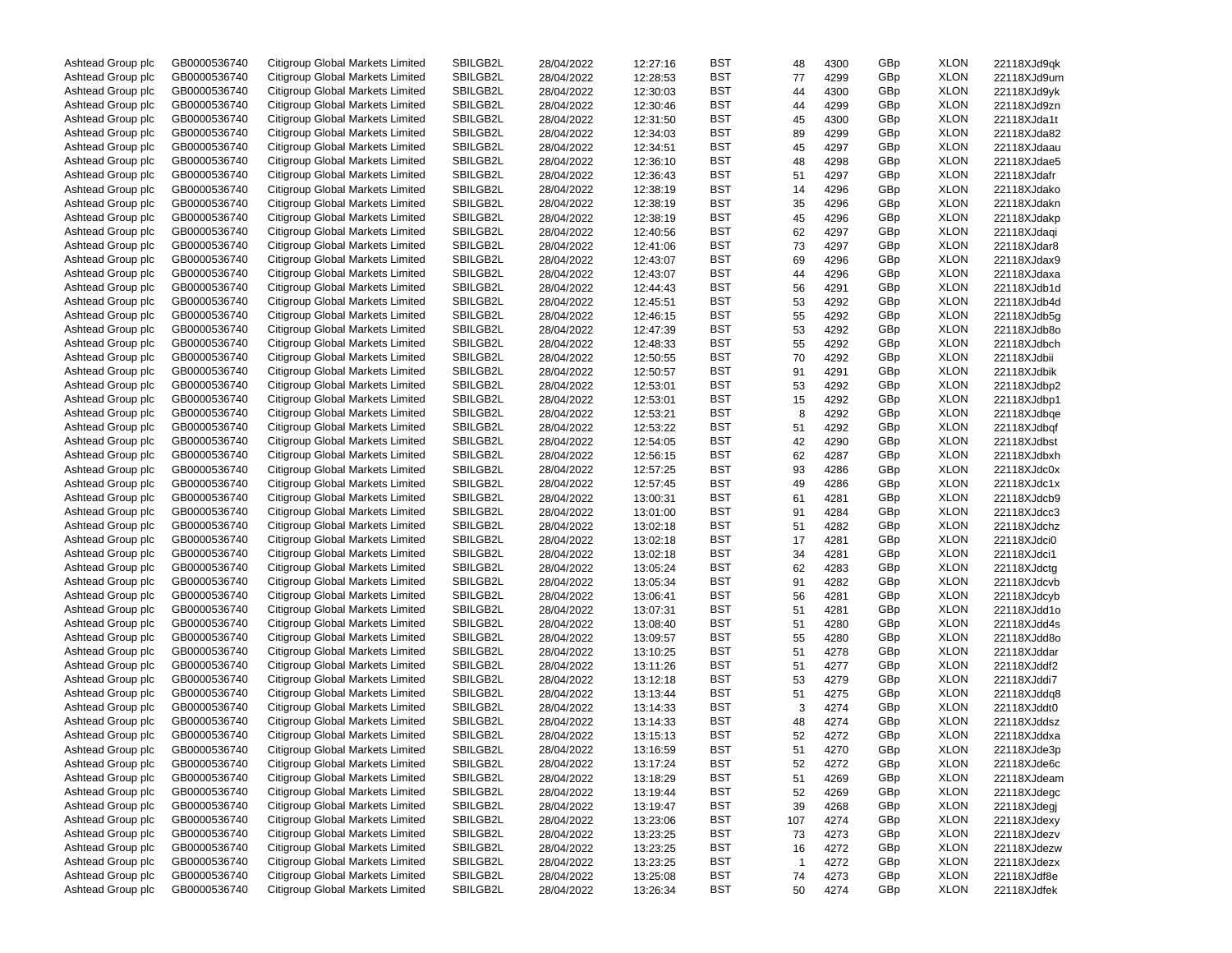| Ashtead Group plc | GB0000536740 | Citigroup Global Markets Limited | SBILGB2L | 28/04/2022 | 12:27:16 | BST        | 48  | 4300 | GBp | <b>XLON</b> | 22118XJd9qk |
|-------------------|--------------|----------------------------------|----------|------------|----------|------------|-----|------|-----|-------------|-------------|
| Ashtead Group plc | GB0000536740 | Citigroup Global Markets Limited | SBILGB2L | 28/04/2022 | 12:28:53 | BST        | 77  | 4299 | GBp | <b>XLON</b> | 22118XJd9um |
| Ashtead Group plc | GB0000536740 | Citigroup Global Markets Limited | SBILGB2L | 28/04/2022 | 12:30:03 | BST        | 44  | 4300 | GBp | <b>XLON</b> | 22118XJd9yk |
| Ashtead Group plc | GB0000536740 | Citigroup Global Markets Limited | SBILGB2L | 28/04/2022 | 12:30:46 | BST        | 44  | 4299 | GBp | <b>XLON</b> | 22118XJd9zn |
| Ashtead Group plc | GB0000536740 | Citigroup Global Markets Limited | SBILGB2L | 28/04/2022 | 12:31:50 | BST        | 45  | 4300 | GBp | <b>XLON</b> | 22118XJda1t |
| Ashtead Group plc | GB0000536740 | Citigroup Global Markets Limited | SBILGB2L | 28/04/2022 | 12:34:03 | BST        | 89  | 4299 | GBp | <b>XLON</b> | 22118XJda82 |
| Ashtead Group plc | GB0000536740 | Citigroup Global Markets Limited | SBILGB2L | 28/04/2022 | 12:34:51 | BST        | 45  | 4297 | GBp | <b>XLON</b> | 22118XJdaau |
| Ashtead Group plc | GB0000536740 | Citigroup Global Markets Limited | SBILGB2L | 28/04/2022 | 12:36:10 | BST        | 48  | 4298 | GBp | <b>XLON</b> | 22118XJdae5 |
| Ashtead Group plc | GB0000536740 | Citigroup Global Markets Limited | SBILGB2L | 28/04/2022 | 12:36:43 | BST        | 51  | 4297 | GBp | <b>XLON</b> | 22118XJdafr |
|                   |              |                                  |          |            |          |            |     |      |     |             |             |
| Ashtead Group plc | GB0000536740 | Citigroup Global Markets Limited | SBILGB2L | 28/04/2022 | 12:38:19 | BST        | 14  | 4296 | GBp | <b>XLON</b> | 22118XJdako |
| Ashtead Group plc | GB0000536740 | Citigroup Global Markets Limited | SBILGB2L | 28/04/2022 | 12:38:19 | BST        | 35  | 4296 | GBp | <b>XLON</b> | 22118XJdakn |
| Ashtead Group plc | GB0000536740 | Citigroup Global Markets Limited | SBILGB2L | 28/04/2022 | 12:38:19 | BST        | 45  | 4296 | GBp | <b>XLON</b> | 22118XJdakp |
| Ashtead Group plc | GB0000536740 | Citigroup Global Markets Limited | SBILGB2L | 28/04/2022 | 12:40:56 | BST        | 62  | 4297 | GBp | <b>XLON</b> | 22118XJdaqi |
| Ashtead Group plc | GB0000536740 | Citigroup Global Markets Limited | SBILGB2L | 28/04/2022 | 12:41:06 | BST        | 73  | 4297 | GBp | <b>XLON</b> | 22118XJdar8 |
| Ashtead Group plc | GB0000536740 | Citigroup Global Markets Limited | SBILGB2L | 28/04/2022 | 12:43:07 | BST        | 69  | 4296 | GBp | <b>XLON</b> | 22118XJdax9 |
| Ashtead Group plc | GB0000536740 | Citigroup Global Markets Limited | SBILGB2L | 28/04/2022 | 12:43:07 | BST        | 44  | 4296 | GBp | <b>XLON</b> | 22118XJdaxa |
| Ashtead Group plc | GB0000536740 | Citigroup Global Markets Limited | SBILGB2L | 28/04/2022 | 12:44:43 | BST        | 56  | 4291 | GBp | <b>XLON</b> | 22118XJdb1d |
| Ashtead Group plc | GB0000536740 | Citigroup Global Markets Limited | SBILGB2L | 28/04/2022 | 12:45:51 | BST        | 53  | 4292 | GBp | <b>XLON</b> | 22118XJdb4d |
| Ashtead Group plc | GB0000536740 | Citigroup Global Markets Limited | SBILGB2L | 28/04/2022 | 12:46:15 | BST        | 55  | 4292 | GBp | <b>XLON</b> | 22118XJdb5g |
| Ashtead Group plc | GB0000536740 | Citigroup Global Markets Limited | SBILGB2L | 28/04/2022 | 12:47:39 | BST        | 53  | 4292 | GBp | <b>XLON</b> | 22118XJdb8o |
| Ashtead Group plc | GB0000536740 | Citigroup Global Markets Limited | SBILGB2L | 28/04/2022 | 12:48:33 | BST        | 55  | 4292 | GBp | <b>XLON</b> | 22118XJdbch |
| Ashtead Group plc | GB0000536740 | Citigroup Global Markets Limited | SBILGB2L | 28/04/2022 | 12:50:55 | BST        | 70  | 4292 | GBp | <b>XLON</b> | 22118XJdbii |
| Ashtead Group plc | GB0000536740 | Citigroup Global Markets Limited | SBILGB2L | 28/04/2022 | 12:50:57 | BST        | 91  | 4291 | GBp | <b>XLON</b> | 22118XJdbik |
| Ashtead Group plc | GB0000536740 | Citigroup Global Markets Limited | SBILGB2L | 28/04/2022 | 12:53:01 | BST        | 53  | 4292 | GBp | <b>XLON</b> | 22118XJdbp2 |
| Ashtead Group plc | GB0000536740 | Citigroup Global Markets Limited | SBILGB2L | 28/04/2022 | 12:53:01 | BST        | 15  | 4292 | GBp | <b>XLON</b> | 22118XJdbp1 |
| Ashtead Group plc | GB0000536740 | Citigroup Global Markets Limited | SBILGB2L |            |          | BST        |     |      | GBp | <b>XLON</b> | 22118XJdbge |
|                   |              | Citigroup Global Markets Limited |          | 28/04/2022 | 12:53:21 |            | 8   | 4292 |     |             |             |
| Ashtead Group plc | GB0000536740 |                                  | SBILGB2L | 28/04/2022 | 12:53:22 | BST        | 51  | 4292 | GBp | <b>XLON</b> | 22118XJdbqf |
| Ashtead Group plc | GB0000536740 | Citigroup Global Markets Limited | SBILGB2L | 28/04/2022 | 12:54:05 | BST        | 42  | 4290 | GBp | <b>XLON</b> | 22118XJdbst |
| Ashtead Group plc | GB0000536740 | Citigroup Global Markets Limited | SBILGB2L | 28/04/2022 | 12:56:15 | BST        | 62  | 4287 | GBp | <b>XLON</b> | 22118XJdbxh |
| Ashtead Group plc | GB0000536740 | Citigroup Global Markets Limited | SBILGB2L | 28/04/2022 | 12:57:25 | BST        | 93  | 4286 | GBp | <b>XLON</b> | 22118XJdc0x |
| Ashtead Group plc | GB0000536740 | Citigroup Global Markets Limited | SBILGB2L | 28/04/2022 | 12:57:45 | BST        | 49  | 4286 | GBp | <b>XLON</b> | 22118XJdc1x |
| Ashtead Group plc | GB0000536740 | Citigroup Global Markets Limited | SBILGB2L | 28/04/2022 | 13:00:31 | BST        | 61  | 4281 | GBp | <b>XLON</b> | 22118XJdcb9 |
| Ashtead Group plc | GB0000536740 | Citigroup Global Markets Limited | SBILGB2L | 28/04/2022 | 13:01:00 | BST        | 91  | 4284 | GBp | <b>XLON</b> | 22118XJdcc3 |
| Ashtead Group plc | GB0000536740 | Citigroup Global Markets Limited | SBILGB2L | 28/04/2022 | 13:02:18 | BST        | 51  | 4282 | GBp | <b>XLON</b> | 22118XJdchz |
| Ashtead Group plc | GB0000536740 | Citigroup Global Markets Limited | SBILGB2L | 28/04/2022 | 13:02:18 | BST        | 17  | 4281 | GBp | <b>XLON</b> | 22118XJdci0 |
| Ashtead Group plc | GB0000536740 | Citigroup Global Markets Limited | SBILGB2L | 28/04/2022 | 13:02:18 | BST        | 34  | 4281 | GBp | <b>XLON</b> | 22118XJdci1 |
| Ashtead Group plc | GB0000536740 | Citigroup Global Markets Limited | SBILGB2L | 28/04/2022 | 13:05:24 | BST        | 62  | 4283 | GBp | <b>XLON</b> | 22118XJdctg |
| Ashtead Group plc | GB0000536740 | Citigroup Global Markets Limited | SBILGB2L | 28/04/2022 | 13:05:34 | BST        | 91  | 4282 | GBp | <b>XLON</b> | 22118XJdcvb |
| Ashtead Group plc | GB0000536740 | Citigroup Global Markets Limited | SBILGB2L | 28/04/2022 | 13:06:41 | BST        | 56  | 4281 | GBp | <b>XLON</b> | 22118XJdcyb |
| Ashtead Group plc | GB0000536740 | Citigroup Global Markets Limited | SBILGB2L | 28/04/2022 | 13:07:31 | BST        | 51  | 4281 | GBp | <b>XLON</b> | 22118XJdd1o |
| Ashtead Group plc | GB0000536740 | Citigroup Global Markets Limited | SBILGB2L | 28/04/2022 | 13:08:40 | BST        | 51  | 4280 | GBp | <b>XLON</b> | 22118XJdd4s |
| Ashtead Group plc | GB0000536740 | Citigroup Global Markets Limited | SBILGB2L | 28/04/2022 | 13:09:57 | BST        | 55  | 4280 | GBp | <b>XLON</b> | 22118XJdd8o |
| Ashtead Group plc | GB0000536740 | Citigroup Global Markets Limited | SBILGB2L | 28/04/2022 | 13:10:25 | BST        | 51  | 4278 | GBp | <b>XLON</b> | 22118XJddar |
| Ashtead Group plc | GB0000536740 | Citigroup Global Markets Limited | SBILGB2L | 28/04/2022 | 13:11:26 | BST        | 51  | 4277 | GBp | <b>XLON</b> | 22118XJddf2 |
| Ashtead Group plc | GB0000536740 | Citigroup Global Markets Limited | SBILGB2L |            |          | BST        |     | 4279 | GBp | <b>XLON</b> | 22118XJddi7 |
|                   |              |                                  |          | 28/04/2022 | 13:12:18 |            | 53  |      |     |             |             |
| Ashtead Group plc | GB0000536740 | Citigroup Global Markets Limited | SBILGB2L | 28/04/2022 | 13:13:44 | BST        | 51  | 4275 | GBp | <b>XLON</b> | 22118XJddq8 |
| Ashtead Group plc | GB0000536740 | Citigroup Global Markets Limited | SBILGB2L | 28/04/2022 | 13:14:33 | BST        | 3   | 4274 | GBp | <b>XLON</b> | 22118XJddt0 |
| Ashtead Group plc | GB0000536740 | Citigroup Global Markets Limited | SBILGB2L | 28/04/2022 | 13:14:33 | BST        | 48  | 4274 | GBp | <b>XLON</b> | 22118XJddsz |
| Ashtead Group plc | GB0000536740 | Citigroup Global Markets Limited | SBILGB2L | 28/04/2022 | 13:15:13 | BST        | 52  | 4272 | GBp | <b>XLON</b> | 22118XJddxa |
| Ashtead Group plc | GB0000536740 | Citigroup Global Markets Limited | SBILGB2L | 28/04/2022 | 13:16:59 | BST        | 51  | 4270 | GBp | <b>XLON</b> | 22118XJde3p |
| Ashtead Group plc | GB0000536740 | Citigroup Global Markets Limited | SBILGB2L | 28/04/2022 | 13:17:24 | BST        | 52  | 4272 | GBp | <b>XLON</b> | 22118XJde6c |
| Ashtead Group plc | GB0000536740 | Citigroup Global Markets Limited | SBILGB2L | 28/04/2022 | 13:18:29 | BST        | 51  | 4269 | GBp | <b>XLON</b> | 22118XJdeam |
| Ashtead Group plc | GB0000536740 | Citigroup Global Markets Limited | SBILGB2L | 28/04/2022 | 13:19:44 | BST        | 52  | 4269 | GBp | <b>XLON</b> | 22118XJdegc |
| Ashtead Group plc | GB0000536740 | Citigroup Global Markets Limited | SBILGB2L | 28/04/2022 | 13:19:47 | <b>BST</b> | 39  | 4268 | GBp | <b>XLON</b> | 22118XJdegj |
| Ashtead Group plc | GB0000536740 | Citigroup Global Markets Limited | SBILGB2L | 28/04/2022 | 13:23:06 | BST        | 107 | 4274 | GBp | <b>XLON</b> | 22118XJdexy |
| Ashtead Group plc | GB0000536740 | Citigroup Global Markets Limited | SBILGB2L | 28/04/2022 | 13:23:25 | BST        | 73  | 4273 | GBp | <b>XLON</b> | 22118XJdezv |
| Ashtead Group plc | GB0000536740 | Citigroup Global Markets Limited | SBILGB2L | 28/04/2022 | 13:23:25 | BST        | 16  | 4272 | GBp | <b>XLON</b> | 22118XJdezw |
| Ashtead Group plc | GB0000536740 | Citigroup Global Markets Limited | SBILGB2L | 28/04/2022 | 13:23:25 | <b>BST</b> | 1   | 4272 | GBp | <b>XLON</b> | 22118XJdezx |
| Ashtead Group plc | GB0000536740 | Citigroup Global Markets Limited | SBILGB2L | 28/04/2022 | 13:25:08 | BST        | 74  | 4273 | GBp | <b>XLON</b> | 22118XJdf8e |
| Ashtead Group plc | GB0000536740 | Citigroup Global Markets Limited | SBILGB2L |            |          | BST        |     |      | GBp | <b>XLON</b> | 22118XJdfek |
|                   |              |                                  |          | 28/04/2022 | 13:26:34 |            | 50  | 4274 |     |             |             |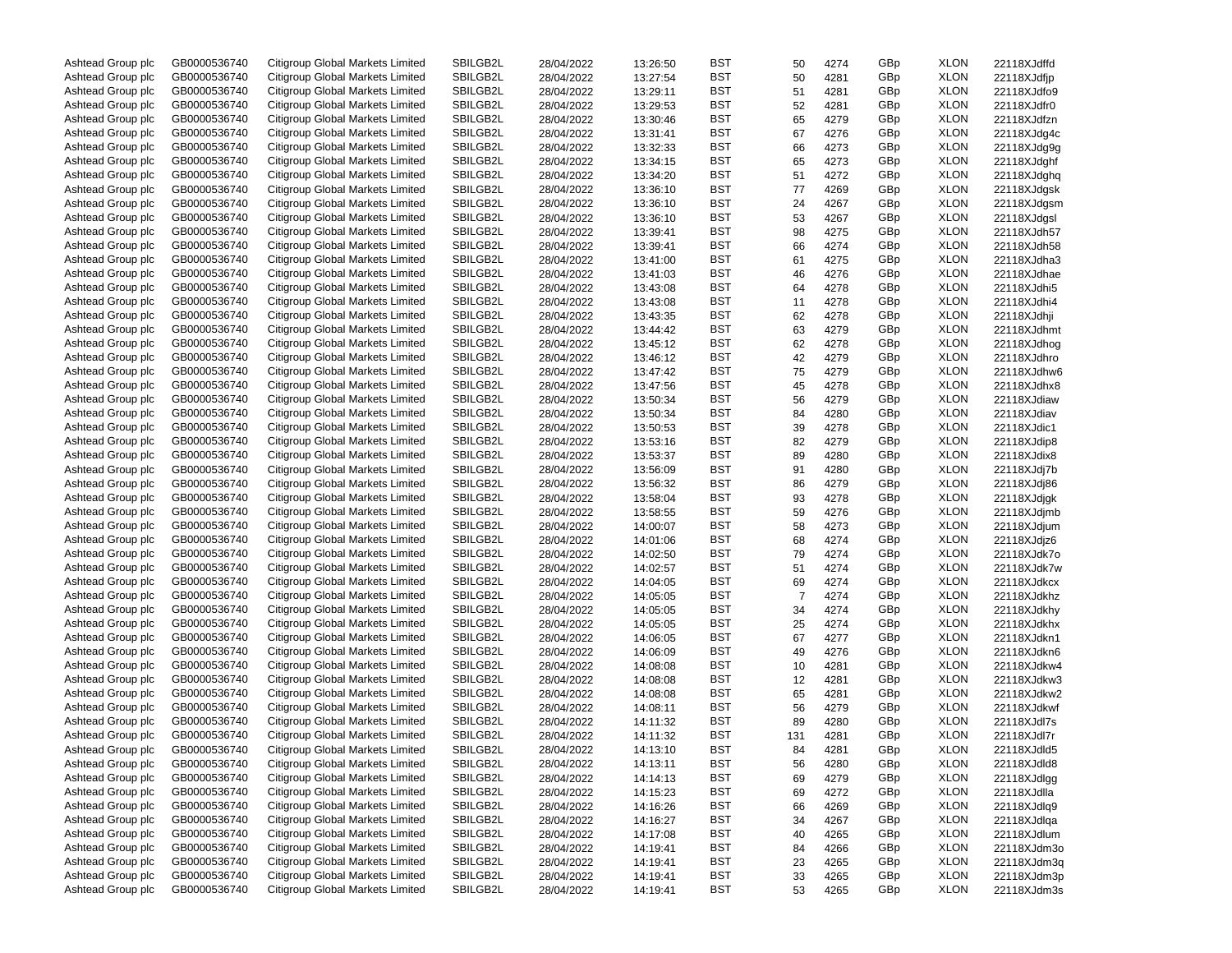| Ashtead Group plc | GB0000536740 | Citigroup Global Markets Limited | SBILGB2L | 28/04/2022 | 13:26:50 | BST | 50             | 4274 | GBp | <b>XLON</b> | 22118XJdffd |
|-------------------|--------------|----------------------------------|----------|------------|----------|-----|----------------|------|-----|-------------|-------------|
| Ashtead Group plc | GB0000536740 | Citigroup Global Markets Limited | SBILGB2L | 28/04/2022 | 13:27:54 | BST | 50             | 4281 | GBp | <b>XLON</b> | 22118XJdfjp |
| Ashtead Group plc | GB0000536740 | Citigroup Global Markets Limited | SBILGB2L | 28/04/2022 | 13:29:11 | BST | 51             | 4281 | GBp | <b>XLON</b> | 22118XJdfo9 |
| Ashtead Group plc | GB0000536740 | Citigroup Global Markets Limited | SBILGB2L | 28/04/2022 | 13:29:53 | BST | 52             | 4281 | GBp | <b>XLON</b> | 22118XJdfr0 |
| Ashtead Group plc | GB0000536740 | Citigroup Global Markets Limited | SBILGB2L | 28/04/2022 | 13:30:46 | BST | 65             | 4279 | GBp | <b>XLON</b> | 22118XJdfzn |
| Ashtead Group plc | GB0000536740 | Citigroup Global Markets Limited | SBILGB2L | 28/04/2022 | 13:31:41 | BST | 67             | 4276 | GBp | <b>XLON</b> | 22118XJdg4c |
| Ashtead Group plc | GB0000536740 | Citigroup Global Markets Limited | SBILGB2L | 28/04/2022 | 13:32:33 | BST | 66             | 4273 | GBp | <b>XLON</b> | 22118XJdg9g |
| Ashtead Group plc | GB0000536740 | Citigroup Global Markets Limited | SBILGB2L | 28/04/2022 | 13:34:15 | BST | 65             | 4273 | GBp | <b>XLON</b> | 22118XJdghf |
| Ashtead Group plc | GB0000536740 | Citigroup Global Markets Limited | SBILGB2L | 28/04/2022 | 13:34:20 | BST | 51             | 4272 | GBp | <b>XLON</b> | 22118XJdghq |
| Ashtead Group plc | GB0000536740 | Citigroup Global Markets Limited | SBILGB2L |            |          | BST |                |      |     | <b>XLON</b> |             |
|                   |              |                                  |          | 28/04/2022 | 13:36:10 |     | 77             | 4269 | GBp |             | 22118XJdgsk |
| Ashtead Group plc | GB0000536740 | Citigroup Global Markets Limited | SBILGB2L | 28/04/2022 | 13:36:10 | BST | 24             | 4267 | GBp | <b>XLON</b> | 22118XJdgsm |
| Ashtead Group plc | GB0000536740 | Citigroup Global Markets Limited | SBILGB2L | 28/04/2022 | 13:36:10 | BST | 53             | 4267 | GBp | <b>XLON</b> | 22118XJdgsl |
| Ashtead Group plc | GB0000536740 | Citigroup Global Markets Limited | SBILGB2L | 28/04/2022 | 13:39:41 | BST | 98             | 4275 | GBp | <b>XLON</b> | 22118XJdh57 |
| Ashtead Group plc | GB0000536740 | Citigroup Global Markets Limited | SBILGB2L | 28/04/2022 | 13:39:41 | BST | 66             | 4274 | GBp | <b>XLON</b> | 22118XJdh58 |
| Ashtead Group plc | GB0000536740 | Citigroup Global Markets Limited | SBILGB2L | 28/04/2022 | 13:41:00 | BST | 61             | 4275 | GBp | <b>XLON</b> | 22118XJdha3 |
| Ashtead Group plc | GB0000536740 | Citigroup Global Markets Limited | SBILGB2L | 28/04/2022 | 13:41:03 | BST | 46             | 4276 | GBp | <b>XLON</b> | 22118XJdhae |
| Ashtead Group plc | GB0000536740 | Citigroup Global Markets Limited | SBILGB2L | 28/04/2022 | 13:43:08 | BST | 64             | 4278 | GBp | <b>XLON</b> | 22118XJdhi5 |
| Ashtead Group plc | GB0000536740 | Citigroup Global Markets Limited | SBILGB2L | 28/04/2022 | 13:43:08 | BST | 11             | 4278 | GBp | <b>XLON</b> | 22118XJdhi4 |
| Ashtead Group plc | GB0000536740 | Citigroup Global Markets Limited | SBILGB2L | 28/04/2022 | 13:43:35 | BST | 62             | 4278 | GBp | <b>XLON</b> | 22118XJdhji |
| Ashtead Group plc | GB0000536740 | Citigroup Global Markets Limited | SBILGB2L | 28/04/2022 | 13:44:42 | BST | 63             | 4279 | GBp | <b>XLON</b> | 22118XJdhmt |
| Ashtead Group plc | GB0000536740 | Citigroup Global Markets Limited | SBILGB2L | 28/04/2022 | 13:45:12 | BST | 62             | 4278 | GBp | <b>XLON</b> | 22118XJdhog |
| Ashtead Group plc | GB0000536740 | Citigroup Global Markets Limited | SBILGB2L | 28/04/2022 | 13:46:12 | BST | 42             | 4279 | GBp | <b>XLON</b> | 22118XJdhro |
| Ashtead Group plc | GB0000536740 | Citigroup Global Markets Limited | SBILGB2L | 28/04/2022 | 13:47:42 | BST | 75             | 4279 | GBp | <b>XLON</b> | 22118XJdhw6 |
| Ashtead Group plc | GB0000536740 | Citigroup Global Markets Limited | SBILGB2L | 28/04/2022 | 13:47:56 | BST | 45             | 4278 | GBp | <b>XLON</b> | 22118XJdhx8 |
| Ashtead Group plc | GB0000536740 | Citigroup Global Markets Limited | SBILGB2L | 28/04/2022 | 13:50:34 | BST | 56             | 4279 | GBp | <b>XLON</b> | 22118XJdiaw |
| Ashtead Group plc | GB0000536740 | Citigroup Global Markets Limited | SBILGB2L |            | 13:50:34 | BST |                |      | GBp | <b>XLON</b> |             |
|                   |              | Citigroup Global Markets Limited |          | 28/04/2022 |          |     | 84             | 4280 |     |             | 22118XJdiav |
| Ashtead Group plc | GB0000536740 |                                  | SBILGB2L | 28/04/2022 | 13:50:53 | BST | 39             | 4278 | GBp | <b>XLON</b> | 22118XJdic1 |
| Ashtead Group plc | GB0000536740 | Citigroup Global Markets Limited | SBILGB2L | 28/04/2022 | 13:53:16 | BST | 82             | 4279 | GBp | <b>XLON</b> | 22118XJdip8 |
| Ashtead Group plc | GB0000536740 | Citigroup Global Markets Limited | SBILGB2L | 28/04/2022 | 13:53:37 | BST | 89             | 4280 | GBp | <b>XLON</b> | 22118XJdix8 |
| Ashtead Group plc | GB0000536740 | Citigroup Global Markets Limited | SBILGB2L | 28/04/2022 | 13:56:09 | BST | 91             | 4280 | GBp | <b>XLON</b> | 22118XJdj7b |
| Ashtead Group plc | GB0000536740 | Citigroup Global Markets Limited | SBILGB2L | 28/04/2022 | 13:56:32 | BST | 86             | 4279 | GBp | <b>XLON</b> | 22118XJdj86 |
| Ashtead Group plc | GB0000536740 | Citigroup Global Markets Limited | SBILGB2L | 28/04/2022 | 13:58:04 | BST | 93             | 4278 | GBp | <b>XLON</b> | 22118XJdjgk |
| Ashtead Group plc | GB0000536740 | Citigroup Global Markets Limited | SBILGB2L | 28/04/2022 | 13:58:55 | BST | 59             | 4276 | GBp | <b>XLON</b> | 22118XJdjmb |
| Ashtead Group plc | GB0000536740 | Citigroup Global Markets Limited | SBILGB2L | 28/04/2022 | 14:00:07 | BST | 58             | 4273 | GBp | <b>XLON</b> | 22118XJdjum |
| Ashtead Group plc | GB0000536740 | Citigroup Global Markets Limited | SBILGB2L | 28/04/2022 | 14:01:06 | BST | 68             | 4274 | GBp | <b>XLON</b> | 22118XJdjz6 |
| Ashtead Group plc | GB0000536740 | Citigroup Global Markets Limited | SBILGB2L | 28/04/2022 | 14:02:50 | BST | 79             | 4274 | GBp | <b>XLON</b> | 22118XJdk7o |
| Ashtead Group plc | GB0000536740 | Citigroup Global Markets Limited | SBILGB2L | 28/04/2022 | 14:02:57 | BST | 51             | 4274 | GBp | <b>XLON</b> | 22118XJdk7w |
| Ashtead Group plc | GB0000536740 | Citigroup Global Markets Limited | SBILGB2L | 28/04/2022 | 14:04:05 | BST | 69             | 4274 | GBp | <b>XLON</b> | 22118XJdkcx |
| Ashtead Group plc | GB0000536740 | Citigroup Global Markets Limited | SBILGB2L | 28/04/2022 | 14:05:05 | BST | $\overline{7}$ | 4274 | GBp | <b>XLON</b> | 22118XJdkhz |
| Ashtead Group plc | GB0000536740 | Citigroup Global Markets Limited | SBILGB2L | 28/04/2022 | 14:05:05 | BST | 34             | 4274 | GBp | <b>XLON</b> | 22118XJdkhy |
| Ashtead Group plc | GB0000536740 | Citigroup Global Markets Limited | SBILGB2L | 28/04/2022 | 14:05:05 | BST | 25             | 4274 | GBp | <b>XLON</b> | 22118XJdkhx |
| Ashtead Group plc | GB0000536740 | Citigroup Global Markets Limited | SBILGB2L | 28/04/2022 | 14:06:05 | BST | 67             | 4277 | GBp | <b>XLON</b> | 22118XJdkn1 |
| Ashtead Group plc | GB0000536740 | Citigroup Global Markets Limited | SBILGB2L | 28/04/2022 | 14:06:09 | BST | 49             | 4276 | GBp | <b>XLON</b> | 22118XJdkn6 |
| Ashtead Group plc | GB0000536740 | Citigroup Global Markets Limited | SBILGB2L |            | 14:08:08 | BST |                |      | GBp | <b>XLON</b> |             |
|                   | GB0000536740 | Citigroup Global Markets Limited |          | 28/04/2022 |          |     | 10             | 4281 |     |             | 22118XJdkw4 |
| Ashtead Group plc |              |                                  | SBILGB2L | 28/04/2022 | 14:08:08 | BST | 12             | 4281 | GBp | <b>XLON</b> | 22118XJdkw3 |
| Ashtead Group plc | GB0000536740 | Citigroup Global Markets Limited | SBILGB2L | 28/04/2022 | 14:08:08 | BST | 65             | 4281 | GBp | <b>XLON</b> | 22118XJdkw2 |
| Ashtead Group plc | GB0000536740 | Citigroup Global Markets Limited | SBILGB2L | 28/04/2022 | 14:08:11 | BST | 56             | 4279 | GBp | <b>XLON</b> | 22118XJdkwf |
| Ashtead Group plc | GB0000536740 | Citigroup Global Markets Limited | SBILGB2L | 28/04/2022 | 14:11:32 | BST | 89             | 4280 | GBp | <b>XLON</b> | 22118XJdl7s |
| Ashtead Group plc | GB0000536740 | Citigroup Global Markets Limited | SBILGB2L | 28/04/2022 | 14:11:32 | BST | 131            | 4281 | GBp | <b>XLON</b> | 22118XJdl7r |
| Ashtead Group plc | GB0000536740 | Citigroup Global Markets Limited | SBILGB2L | 28/04/2022 | 14:13:10 | BST | 84             | 4281 | GBp | <b>XLON</b> | 22118XJdld5 |
| Ashtead Group plc | GB0000536740 | Citigroup Global Markets Limited | SBILGB2L | 28/04/2022 | 14:13:11 | BST | 56             | 4280 | GBp | <b>XLON</b> | 22118XJdld8 |
| Ashtead Group plc | GB0000536740 | Citigroup Global Markets Limited | SBILGB2L | 28/04/2022 | 14:14:13 | BST | 69             | 4279 | GBp | <b>XLON</b> | 22118XJdlgg |
| Ashtead Group plc | GB0000536740 | Citigroup Global Markets Limited | SBILGB2L | 28/04/2022 | 14:15:23 | BST | 69             | 4272 | GBp | <b>XLON</b> | 22118XJdlla |
| Ashtead Group plc | GB0000536740 | Citigroup Global Markets Limited | SBILGB2L | 28/04/2022 | 14:16:26 | BST | 66             | 4269 | GBp | <b>XLON</b> | 22118XJdlq9 |
| Ashtead Group plc | GB0000536740 | Citigroup Global Markets Limited | SBILGB2L | 28/04/2022 | 14:16:27 | BST | 34             | 4267 | GBp | <b>XLON</b> | 22118XJdlqa |
| Ashtead Group plc | GB0000536740 | Citigroup Global Markets Limited | SBILGB2L | 28/04/2022 | 14:17:08 | BST | 40             | 4265 | GBp | <b>XLON</b> | 22118XJdlum |
| Ashtead Group plc | GB0000536740 | Citigroup Global Markets Limited | SBILGB2L | 28/04/2022 | 14:19:41 | BST | 84             | 4266 | GBp | <b>XLON</b> | 22118XJdm3o |
| Ashtead Group plc | GB0000536740 | Citigroup Global Markets Limited | SBILGB2L | 28/04/2022 | 14:19:41 | BST | 23             | 4265 | GBp | <b>XLON</b> | 22118XJdm3q |
| Ashtead Group plc | GB0000536740 | Citigroup Global Markets Limited | SBILGB2L | 28/04/2022 | 14:19:41 | BST | 33             | 4265 | GBp | <b>XLON</b> | 22118XJdm3p |
| Ashtead Group plc | GB0000536740 | Citigroup Global Markets Limited | SBILGB2L | 28/04/2022 | 14:19:41 | BST | 53             | 4265 | GBp | <b>XLON</b> | 22118XJdm3s |
|                   |              |                                  |          |            |          |     |                |      |     |             |             |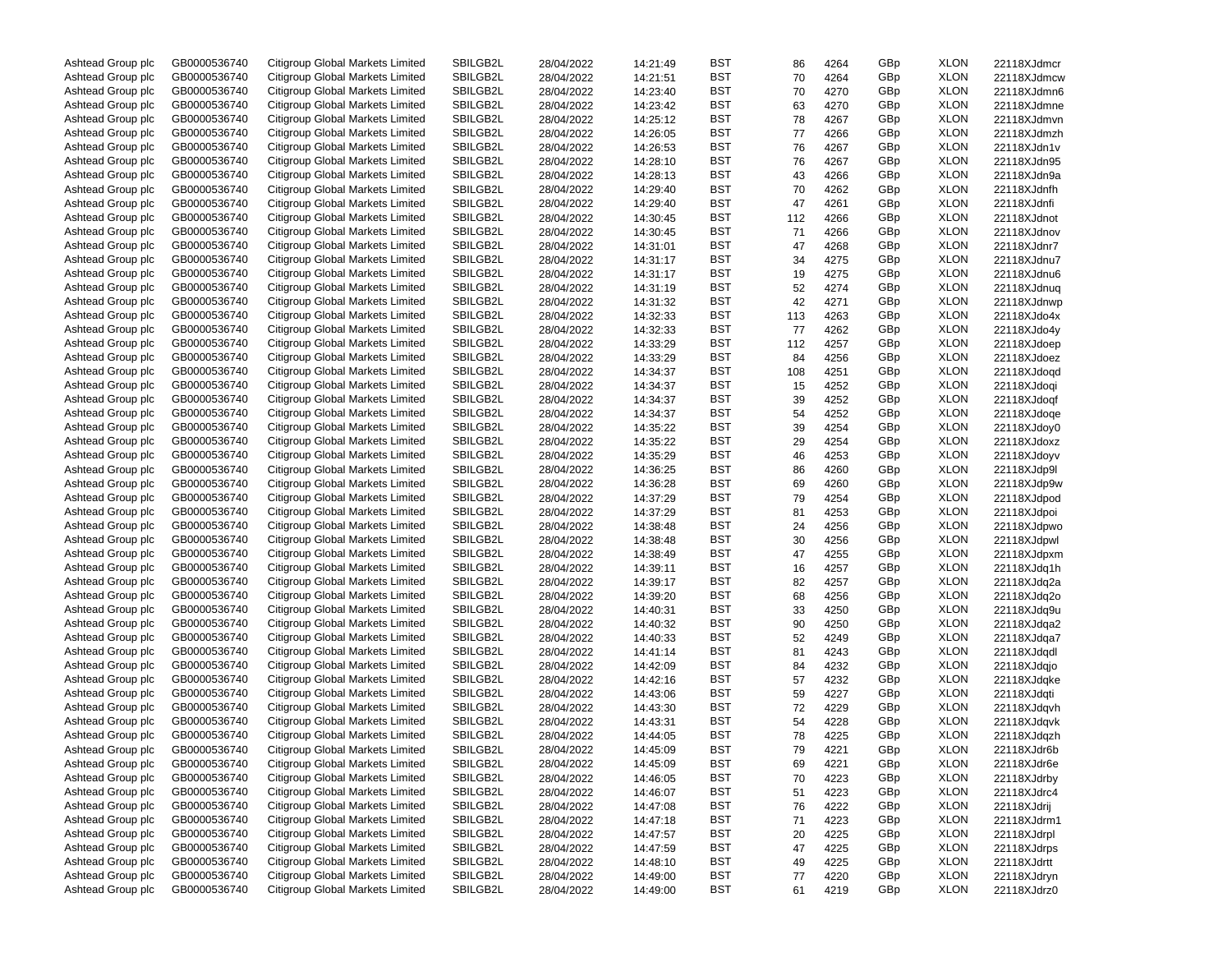| Ashtead Group plc | GB0000536740 | Citigroup Global Markets Limited | SBILGB2L | 28/04/2022 | 14:21:49 | BST        | 86  | 4264 | GBp | <b>XLON</b> | 22118XJdmcr |
|-------------------|--------------|----------------------------------|----------|------------|----------|------------|-----|------|-----|-------------|-------------|
| Ashtead Group plc | GB0000536740 | Citigroup Global Markets Limited | SBILGB2L | 28/04/2022 | 14:21:51 | BST        | 70  | 4264 | GBp | <b>XLON</b> | 22118XJdmcw |
| Ashtead Group plc | GB0000536740 | Citigroup Global Markets Limited | SBILGB2L | 28/04/2022 | 14:23:40 | <b>BST</b> | 70  | 4270 | GBp | <b>XLON</b> | 22118XJdmn6 |
| Ashtead Group plc | GB0000536740 | Citigroup Global Markets Limited | SBILGB2L | 28/04/2022 | 14:23:42 | <b>BST</b> | 63  | 4270 | GBp | <b>XLON</b> | 22118XJdmne |
| Ashtead Group plc | GB0000536740 | Citigroup Global Markets Limited | SBILGB2L | 28/04/2022 | 14:25:12 | BST        | 78  | 4267 | GBp | <b>XLON</b> | 22118XJdmvn |
| Ashtead Group plc | GB0000536740 | Citigroup Global Markets Limited | SBILGB2L | 28/04/2022 | 14:26:05 | <b>BST</b> | 77  | 4266 | GBp | <b>XLON</b> | 22118XJdmzh |
| Ashtead Group plc | GB0000536740 | Citigroup Global Markets Limited | SBILGB2L | 28/04/2022 | 14:26:53 | <b>BST</b> | 76  | 4267 | GBp | <b>XLON</b> | 22118XJdn1v |
| Ashtead Group plc | GB0000536740 | Citigroup Global Markets Limited | SBILGB2L | 28/04/2022 | 14:28:10 | <b>BST</b> | 76  | 4267 | GBp | <b>XLON</b> | 22118XJdn95 |
| Ashtead Group plc | GB0000536740 | Citigroup Global Markets Limited | SBILGB2L | 28/04/2022 | 14:28:13 | BST        | 43  | 4266 | GBp | <b>XLON</b> | 22118XJdn9a |
|                   |              |                                  |          |            |          |            |     |      |     |             |             |
| Ashtead Group plc | GB0000536740 | Citigroup Global Markets Limited | SBILGB2L | 28/04/2022 | 14:29:40 | <b>BST</b> | 70  | 4262 | GBp | <b>XLON</b> | 22118XJdnfh |
| Ashtead Group plc | GB0000536740 | Citigroup Global Markets Limited | SBILGB2L | 28/04/2022 | 14:29:40 | <b>BST</b> | 47  | 4261 | GBp | <b>XLON</b> | 22118XJdnfi |
| Ashtead Group plc | GB0000536740 | Citigroup Global Markets Limited | SBILGB2L | 28/04/2022 | 14:30:45 | <b>BST</b> | 112 | 4266 | GBp | <b>XLON</b> | 22118XJdnot |
| Ashtead Group plc | GB0000536740 | Citigroup Global Markets Limited | SBILGB2L | 28/04/2022 | 14:30:45 | BST        | 71  | 4266 | GBp | <b>XLON</b> | 22118XJdnov |
| Ashtead Group plc | GB0000536740 | Citigroup Global Markets Limited | SBILGB2L | 28/04/2022 | 14:31:01 | <b>BST</b> | 47  | 4268 | GBp | <b>XLON</b> | 22118XJdnr7 |
| Ashtead Group plc | GB0000536740 | Citigroup Global Markets Limited | SBILGB2L | 28/04/2022 | 14:31:17 | <b>BST</b> | 34  | 4275 | GBp | <b>XLON</b> | 22118XJdnu7 |
| Ashtead Group plc | GB0000536740 | Citigroup Global Markets Limited | SBILGB2L | 28/04/2022 | 14:31:17 | <b>BST</b> | 19  | 4275 | GBp | <b>XLON</b> | 22118XJdnu6 |
| Ashtead Group plc | GB0000536740 | Citigroup Global Markets Limited | SBILGB2L | 28/04/2022 | 14:31:19 | <b>BST</b> | 52  | 4274 | GBp | <b>XLON</b> | 22118XJdnuq |
| Ashtead Group plc | GB0000536740 | Citigroup Global Markets Limited | SBILGB2L | 28/04/2022 | 14:31:32 | <b>BST</b> | 42  | 4271 | GBp | <b>XLON</b> | 22118XJdnwp |
| Ashtead Group plc | GB0000536740 | Citigroup Global Markets Limited | SBILGB2L | 28/04/2022 | 14:32:33 | <b>BST</b> | 113 | 4263 | GBp | <b>XLON</b> | 22118XJdo4x |
| Ashtead Group plc | GB0000536740 | Citigroup Global Markets Limited | SBILGB2L | 28/04/2022 | 14:32:33 | <b>BST</b> | 77  | 4262 | GBp | <b>XLON</b> | 22118XJdo4y |
| Ashtead Group plc | GB0000536740 | Citigroup Global Markets Limited | SBILGB2L | 28/04/2022 | 14:33:29 | <b>BST</b> | 112 | 4257 | GBp | <b>XLON</b> | 22118XJdoep |
| Ashtead Group plc | GB0000536740 | Citigroup Global Markets Limited | SBILGB2L | 28/04/2022 | 14:33:29 | <b>BST</b> | 84  | 4256 | GBp | <b>XLON</b> | 22118XJdoez |
| Ashtead Group plc | GB0000536740 | Citigroup Global Markets Limited | SBILGB2L | 28/04/2022 | 14:34:37 | <b>BST</b> | 108 | 4251 | GBp | <b>XLON</b> | 22118XJdoqd |
| Ashtead Group plc | GB0000536740 | Citigroup Global Markets Limited | SBILGB2L | 28/04/2022 | 14:34:37 | BST        | 15  | 4252 | GBp | <b>XLON</b> | 22118XJdoqi |
| Ashtead Group plc | GB0000536740 | Citigroup Global Markets Limited | SBILGB2L | 28/04/2022 | 14:34:37 | BST        | 39  | 4252 | GBp | <b>XLON</b> | 22118XJdogf |
| Ashtead Group plc | GB0000536740 | Citigroup Global Markets Limited | SBILGB2L |            |          | BST        | 54  | 4252 | GBp | <b>XLON</b> |             |
|                   |              | Citigroup Global Markets Limited |          | 28/04/2022 | 14:34:37 |            |     |      |     |             | 22118XJdoqe |
| Ashtead Group plc | GB0000536740 |                                  | SBILGB2L | 28/04/2022 | 14:35:22 | <b>BST</b> | 39  | 4254 | GBp | <b>XLON</b> | 22118XJdoy0 |
| Ashtead Group plc | GB0000536740 | Citigroup Global Markets Limited | SBILGB2L | 28/04/2022 | 14:35:22 | <b>BST</b> | 29  | 4254 | GBp | <b>XLON</b> | 22118XJdoxz |
| Ashtead Group plc | GB0000536740 | Citigroup Global Markets Limited | SBILGB2L | 28/04/2022 | 14:35:29 | <b>BST</b> | 46  | 4253 | GBp | <b>XLON</b> | 22118XJdoyv |
| Ashtead Group plc | GB0000536740 | Citigroup Global Markets Limited | SBILGB2L | 28/04/2022 | 14:36:25 | <b>BST</b> | 86  | 4260 | GBp | <b>XLON</b> | 22118XJdp9l |
| Ashtead Group plc | GB0000536740 | Citigroup Global Markets Limited | SBILGB2L | 28/04/2022 | 14:36:28 | <b>BST</b> | 69  | 4260 | GBp | <b>XLON</b> | 22118XJdp9w |
| Ashtead Group plc | GB0000536740 | Citigroup Global Markets Limited | SBILGB2L | 28/04/2022 | 14:37:29 | <b>BST</b> | 79  | 4254 | GBp | <b>XLON</b> | 22118XJdpod |
| Ashtead Group plc | GB0000536740 | Citigroup Global Markets Limited | SBILGB2L | 28/04/2022 | 14:37:29 | <b>BST</b> | 81  | 4253 | GBp | <b>XLON</b> | 22118XJdpoi |
| Ashtead Group plc | GB0000536740 | Citigroup Global Markets Limited | SBILGB2L | 28/04/2022 | 14:38:48 | <b>BST</b> | 24  | 4256 | GBp | <b>XLON</b> | 22118XJdpwo |
| Ashtead Group plc | GB0000536740 | Citigroup Global Markets Limited | SBILGB2L | 28/04/2022 | 14:38:48 | <b>BST</b> | 30  | 4256 | GBp | <b>XLON</b> | 22118XJdpwl |
| Ashtead Group plc | GB0000536740 | Citigroup Global Markets Limited | SBILGB2L | 28/04/2022 | 14:38:49 | BST        | 47  | 4255 | GBp | <b>XLON</b> | 22118XJdpxm |
| Ashtead Group plc | GB0000536740 | Citigroup Global Markets Limited | SBILGB2L | 28/04/2022 | 14:39:11 | <b>BST</b> | 16  | 4257 | GBp | <b>XLON</b> | 22118XJdq1h |
| Ashtead Group plc | GB0000536740 | Citigroup Global Markets Limited | SBILGB2L | 28/04/2022 | 14:39:17 | BST        | 82  | 4257 | GBp | <b>XLON</b> | 22118XJdq2a |
| Ashtead Group plc | GB0000536740 | Citigroup Global Markets Limited | SBILGB2L | 28/04/2022 | 14:39:20 | <b>BST</b> | 68  | 4256 | GBp | <b>XLON</b> | 22118XJdq2o |
| Ashtead Group plc | GB0000536740 | Citigroup Global Markets Limited | SBILGB2L | 28/04/2022 | 14:40:31 | <b>BST</b> | 33  | 4250 | GBp | <b>XLON</b> | 22118XJdq9u |
| Ashtead Group plc | GB0000536740 | Citigroup Global Markets Limited | SBILGB2L | 28/04/2022 | 14:40:32 | <b>BST</b> | 90  | 4250 | GBp | <b>XLON</b> | 22118XJdqa2 |
| Ashtead Group plc | GB0000536740 | Citigroup Global Markets Limited | SBILGB2L | 28/04/2022 | 14:40:33 | <b>BST</b> | 52  | 4249 | GBp | <b>XLON</b> | 22118XJdqa7 |
| Ashtead Group plc | GB0000536740 | Citigroup Global Markets Limited | SBILGB2L | 28/04/2022 | 14:41:14 | <b>BST</b> | 81  | 4243 | GBp | <b>XLON</b> | 22118XJdqdl |
| Ashtead Group plc | GB0000536740 | Citigroup Global Markets Limited | SBILGB2L |            |          | <b>BST</b> |     |      |     | <b>XLON</b> |             |
|                   |              |                                  |          | 28/04/2022 | 14:42:09 |            | 84  | 4232 | GBp |             | 22118XJdqjo |
| Ashtead Group plc | GB0000536740 | Citigroup Global Markets Limited | SBILGB2L | 28/04/2022 | 14:42:16 | <b>BST</b> | 57  | 4232 | GBp | <b>XLON</b> | 22118XJdqke |
| Ashtead Group plc | GB0000536740 | Citigroup Global Markets Limited | SBILGB2L | 28/04/2022 | 14:43:06 | <b>BST</b> | 59  | 4227 | GBp | <b>XLON</b> | 22118XJdqti |
| Ashtead Group plc | GB0000536740 | Citigroup Global Markets Limited | SBILGB2L | 28/04/2022 | 14:43:30 | <b>BST</b> | 72  | 4229 | GBp | <b>XLON</b> | 22118XJdqvh |
| Ashtead Group plc | GB0000536740 | Citigroup Global Markets Limited | SBILGB2L | 28/04/2022 | 14:43:31 | BST        | 54  | 4228 | GBp | <b>XLON</b> | 22118XJdqvk |
| Ashtead Group plc | GB0000536740 | Citigroup Global Markets Limited | SBILGB2L | 28/04/2022 | 14:44:05 | BST        | 78  | 4225 | GBp | <b>XLON</b> | 22118XJdqzh |
| Ashtead Group plc | GB0000536740 | Citigroup Global Markets Limited | SBILGB2L | 28/04/2022 | 14:45:09 | <b>BST</b> | 79  | 4221 | GBp | <b>XLON</b> | 22118XJdr6b |
| Ashtead Group plc | GB0000536740 | Citigroup Global Markets Limited | SBILGB2L | 28/04/2022 | 14:45:09 | BST        | 69  | 4221 | GBp | <b>XLON</b> | 22118XJdr6e |
| Ashtead Group plc | GB0000536740 | Citigroup Global Markets Limited | SBILGB2L | 28/04/2022 | 14:46:05 | BST        | 70  | 4223 | GBp | <b>XLON</b> | 22118XJdrby |
| Ashtead Group plc | GB0000536740 | Citigroup Global Markets Limited | SBILGB2L | 28/04/2022 | 14:46:07 | BST        | 51  | 4223 | GBp | <b>XLON</b> | 22118XJdrc4 |
| Ashtead Group plc | GB0000536740 | Citigroup Global Markets Limited | SBILGB2L | 28/04/2022 | 14:47:08 | <b>BST</b> | 76  | 4222 | GBp | <b>XLON</b> | 22118XJdrij |
| Ashtead Group plc | GB0000536740 | Citigroup Global Markets Limited | SBILGB2L | 28/04/2022 | 14:47:18 | <b>BST</b> | 71  | 4223 | GBp | <b>XLON</b> | 22118XJdrm1 |
| Ashtead Group plc | GB0000536740 | Citigroup Global Markets Limited | SBILGB2L | 28/04/2022 | 14:47:57 | BST        | 20  | 4225 | GBp | <b>XLON</b> | 22118XJdrpl |
| Ashtead Group plc | GB0000536740 | Citigroup Global Markets Limited | SBILGB2L | 28/04/2022 | 14:47:59 | <b>BST</b> | 47  | 4225 | GBp | <b>XLON</b> | 22118XJdrps |
| Ashtead Group plc | GB0000536740 | Citigroup Global Markets Limited | SBILGB2L | 28/04/2022 | 14:48:10 | BST        | 49  | 4225 | GBp | <b>XLON</b> | 22118XJdrtt |
| Ashtead Group plc | GB0000536740 | Citigroup Global Markets Limited | SBILGB2L | 28/04/2022 | 14:49:00 | <b>BST</b> | 77  | 4220 | GBp | <b>XLON</b> | 22118XJdryn |
| Ashtead Group plc | GB0000536740 | Citigroup Global Markets Limited | SBILGB2L | 28/04/2022 | 14:49:00 | BST        | 61  | 4219 | GBp | <b>XLON</b> | 22118XJdrz0 |
|                   |              |                                  |          |            |          |            |     |      |     |             |             |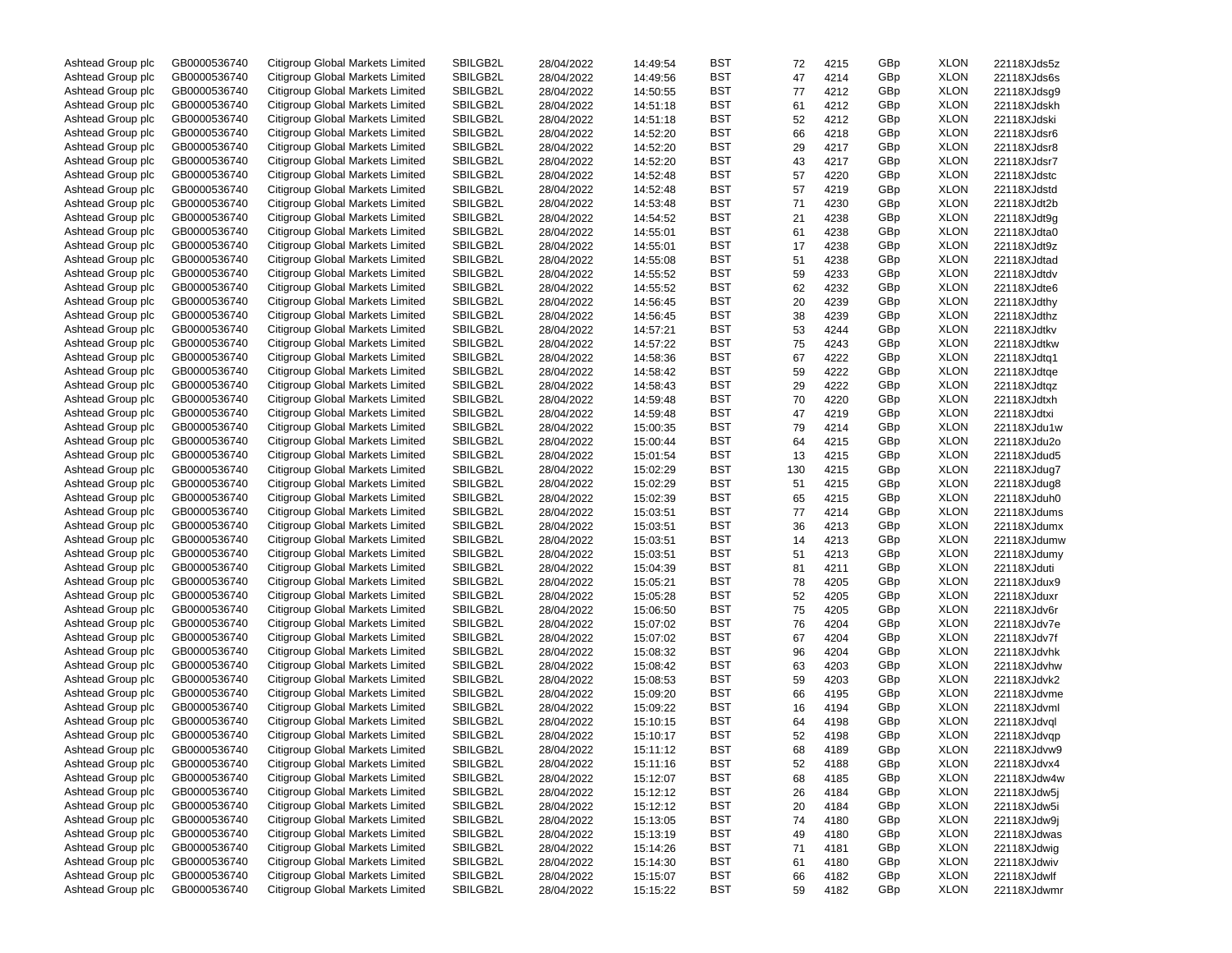| Ashtead Group plc | GB0000536740 | Citigroup Global Markets Limited | SBILGB2L | 28/04/2022 | 14:49:54 | BST | 72  | 4215 | GBp | <b>XLON</b> | 22118XJds5z |
|-------------------|--------------|----------------------------------|----------|------------|----------|-----|-----|------|-----|-------------|-------------|
| Ashtead Group plc | GB0000536740 | Citigroup Global Markets Limited | SBILGB2L | 28/04/2022 | 14:49:56 | BST | 47  | 4214 | GBp | <b>XLON</b> | 22118XJds6s |
| Ashtead Group plc | GB0000536740 | Citigroup Global Markets Limited | SBILGB2L | 28/04/2022 | 14:50:55 | BST | 77  | 4212 | GBp | <b>XLON</b> | 22118XJdsg9 |
| Ashtead Group plc | GB0000536740 | Citigroup Global Markets Limited | SBILGB2L | 28/04/2022 | 14:51:18 | BST | 61  | 4212 | GBp | <b>XLON</b> | 22118XJdskh |
| Ashtead Group plc | GB0000536740 | Citigroup Global Markets Limited | SBILGB2L | 28/04/2022 | 14:51:18 | BST | 52  | 4212 | GBp | <b>XLON</b> | 22118XJdski |
| Ashtead Group plc | GB0000536740 | Citigroup Global Markets Limited | SBILGB2L | 28/04/2022 | 14:52:20 | BST | 66  | 4218 | GBp | <b>XLON</b> | 22118XJdsr6 |
| Ashtead Group plc | GB0000536740 | Citigroup Global Markets Limited | SBILGB2L | 28/04/2022 | 14:52:20 | BST | 29  | 4217 | GBp | <b>XLON</b> | 22118XJdsr8 |
| Ashtead Group plc | GB0000536740 | Citigroup Global Markets Limited | SBILGB2L | 28/04/2022 | 14:52:20 | BST | 43  | 4217 | GBp | <b>XLON</b> | 22118XJdsr7 |
| Ashtead Group plc | GB0000536740 | Citigroup Global Markets Limited | SBILGB2L | 28/04/2022 | 14:52:48 | BST | 57  | 4220 | GBp | <b>XLON</b> | 22118XJdstc |
| Ashtead Group plc | GB0000536740 | Citigroup Global Markets Limited | SBILGB2L |            |          | BST |     |      |     | <b>XLON</b> |             |
|                   |              |                                  |          | 28/04/2022 | 14:52:48 |     | 57  | 4219 | GBp |             | 22118XJdstd |
| Ashtead Group plc | GB0000536740 | Citigroup Global Markets Limited | SBILGB2L | 28/04/2022 | 14:53:48 | BST | 71  | 4230 | GBp | <b>XLON</b> | 22118XJdt2b |
| Ashtead Group plc | GB0000536740 | Citigroup Global Markets Limited | SBILGB2L | 28/04/2022 | 14:54:52 | BST | 21  | 4238 | GBp | <b>XLON</b> | 22118XJdt9q |
| Ashtead Group plc | GB0000536740 | Citigroup Global Markets Limited | SBILGB2L | 28/04/2022 | 14:55:01 | BST | 61  | 4238 | GBp | <b>XLON</b> | 22118XJdta0 |
| Ashtead Group plc | GB0000536740 | Citigroup Global Markets Limited | SBILGB2L | 28/04/2022 | 14:55:01 | BST | 17  | 4238 | GBp | <b>XLON</b> | 22118XJdt9z |
| Ashtead Group plc | GB0000536740 | Citigroup Global Markets Limited | SBILGB2L | 28/04/2022 | 14:55:08 | BST | 51  | 4238 | GBp | <b>XLON</b> | 22118XJdtad |
| Ashtead Group plc | GB0000536740 | Citigroup Global Markets Limited | SBILGB2L | 28/04/2022 | 14:55:52 | BST | 59  | 4233 | GBp | <b>XLON</b> | 22118XJdtdv |
| Ashtead Group plc | GB0000536740 | Citigroup Global Markets Limited | SBILGB2L | 28/04/2022 | 14:55:52 | BST | 62  | 4232 | GBp | <b>XLON</b> | 22118XJdte6 |
| Ashtead Group plc | GB0000536740 | Citigroup Global Markets Limited | SBILGB2L | 28/04/2022 | 14:56:45 | BST | 20  | 4239 | GBp | <b>XLON</b> | 22118XJdthy |
| Ashtead Group plc | GB0000536740 | Citigroup Global Markets Limited | SBILGB2L | 28/04/2022 | 14:56:45 | BST | 38  | 4239 | GBp | <b>XLON</b> | 22118XJdthz |
| Ashtead Group plc | GB0000536740 | Citigroup Global Markets Limited | SBILGB2L | 28/04/2022 | 14:57:21 | BST | 53  | 4244 | GBp | <b>XLON</b> | 22118XJdtkv |
| Ashtead Group plc | GB0000536740 | Citigroup Global Markets Limited | SBILGB2L | 28/04/2022 | 14:57:22 | BST | 75  | 4243 | GBp | <b>XLON</b> | 22118XJdtkw |
| Ashtead Group plc | GB0000536740 | Citigroup Global Markets Limited | SBILGB2L | 28/04/2022 | 14:58:36 | BST | 67  | 4222 | GBp | <b>XLON</b> | 22118XJdtq1 |
| Ashtead Group plc | GB0000536740 | Citigroup Global Markets Limited | SBILGB2L | 28/04/2022 | 14:58:42 | BST | 59  | 4222 | GBp | <b>XLON</b> | 22118XJdtqe |
| Ashtead Group plc | GB0000536740 | Citigroup Global Markets Limited | SBILGB2L | 28/04/2022 | 14:58:43 | BST | 29  | 4222 | GBp | <b>XLON</b> | 22118XJdtqz |
| Ashtead Group plc | GB0000536740 | Citigroup Global Markets Limited | SBILGB2L |            |          | BST |     |      | GBp | <b>XLON</b> |             |
|                   |              |                                  |          | 28/04/2022 | 14:59:48 |     | 70  | 4220 |     |             | 22118XJdtxh |
| Ashtead Group plc | GB0000536740 | Citigroup Global Markets Limited | SBILGB2L | 28/04/2022 | 14:59:48 | BST | 47  | 4219 | GBp | <b>XLON</b> | 22118XJdtxi |
| Ashtead Group plc | GB0000536740 | Citigroup Global Markets Limited | SBILGB2L | 28/04/2022 | 15:00:35 | BST | 79  | 4214 | GBp | <b>XLON</b> | 22118XJdu1w |
| Ashtead Group plc | GB0000536740 | Citigroup Global Markets Limited | SBILGB2L | 28/04/2022 | 15:00:44 | BST | 64  | 4215 | GBp | <b>XLON</b> | 22118XJdu2o |
| Ashtead Group plc | GB0000536740 | Citigroup Global Markets Limited | SBILGB2L | 28/04/2022 | 15:01:54 | BST | 13  | 4215 | GBp | <b>XLON</b> | 22118XJdud5 |
| Ashtead Group plc | GB0000536740 | Citigroup Global Markets Limited | SBILGB2L | 28/04/2022 | 15:02:29 | BST | 130 | 4215 | GBp | <b>XLON</b> | 22118XJdug7 |
| Ashtead Group plc | GB0000536740 | Citigroup Global Markets Limited | SBILGB2L | 28/04/2022 | 15:02:29 | BST | 51  | 4215 | GBp | <b>XLON</b> | 22118XJdug8 |
| Ashtead Group plc | GB0000536740 | Citigroup Global Markets Limited | SBILGB2L | 28/04/2022 | 15:02:39 | BST | 65  | 4215 | GBp | <b>XLON</b> | 22118XJduh0 |
| Ashtead Group plc | GB0000536740 | Citigroup Global Markets Limited | SBILGB2L | 28/04/2022 | 15:03:51 | BST | 77  | 4214 | GBp | <b>XLON</b> | 22118XJdums |
| Ashtead Group plc | GB0000536740 | Citigroup Global Markets Limited | SBILGB2L | 28/04/2022 | 15:03:51 | BST | 36  | 4213 | GBp | <b>XLON</b> | 22118XJdumx |
| Ashtead Group plc | GB0000536740 | Citigroup Global Markets Limited | SBILGB2L | 28/04/2022 | 15:03:51 | BST | 14  | 4213 | GBp | <b>XLON</b> | 22118XJdumw |
| Ashtead Group plc | GB0000536740 | Citigroup Global Markets Limited | SBILGB2L | 28/04/2022 | 15:03:51 | BST | 51  | 4213 | GBp | <b>XLON</b> | 22118XJdumy |
| Ashtead Group plc | GB0000536740 | Citigroup Global Markets Limited | SBILGB2L | 28/04/2022 | 15:04:39 | BST | 81  | 4211 | GBp | <b>XLON</b> | 22118XJduti |
| Ashtead Group plc | GB0000536740 | Citigroup Global Markets Limited | SBILGB2L | 28/04/2022 | 15:05:21 | BST | 78  | 4205 | GBp | <b>XLON</b> | 22118XJdux9 |
| Ashtead Group plc | GB0000536740 | Citigroup Global Markets Limited | SBILGB2L | 28/04/2022 | 15:05:28 | BST | 52  | 4205 | GBp | <b>XLON</b> | 22118XJduxr |
| Ashtead Group plc | GB0000536740 | Citigroup Global Markets Limited | SBILGB2L | 28/04/2022 | 15:06:50 | BST | 75  | 4205 | GBp | <b>XLON</b> | 22118XJdv6r |
| Ashtead Group plc | GB0000536740 | Citigroup Global Markets Limited | SBILGB2L | 28/04/2022 | 15:07:02 | BST | 76  | 4204 | GBp | <b>XLON</b> | 22118XJdv7e |
|                   |              |                                  |          |            |          |     |     |      |     |             |             |
| Ashtead Group plc | GB0000536740 | Citigroup Global Markets Limited | SBILGB2L | 28/04/2022 | 15:07:02 | BST | 67  | 4204 | GBp | <b>XLON</b> | 22118XJdv7f |
| Ashtead Group plc | GB0000536740 | Citigroup Global Markets Limited | SBILGB2L | 28/04/2022 | 15:08:32 | BST | 96  | 4204 | GBp | <b>XLON</b> | 22118XJdvhk |
| Ashtead Group plc | GB0000536740 | Citigroup Global Markets Limited | SBILGB2L | 28/04/2022 | 15:08:42 | BST | 63  | 4203 | GBp | <b>XLON</b> | 22118XJdvhw |
| Ashtead Group plc | GB0000536740 | Citigroup Global Markets Limited | SBILGB2L | 28/04/2022 | 15:08:53 | BST | 59  | 4203 | GBp | <b>XLON</b> | 22118XJdvk2 |
| Ashtead Group plc | GB0000536740 | Citigroup Global Markets Limited | SBILGB2L | 28/04/2022 | 15:09:20 | BST | 66  | 4195 | GBp | <b>XLON</b> | 22118XJdvme |
| Ashtead Group plc | GB0000536740 | Citigroup Global Markets Limited | SBILGB2L | 28/04/2022 | 15:09:22 | BST | 16  | 4194 | GBp | <b>XLON</b> | 22118XJdvml |
| Ashtead Group plc | GB0000536740 | Citigroup Global Markets Limited | SBILGB2L | 28/04/2022 | 15:10:15 | BST | 64  | 4198 | GBp | <b>XLON</b> | 22118XJdvql |
| Ashtead Group plc | GB0000536740 | Citigroup Global Markets Limited | SBILGB2L | 28/04/2022 | 15:10:17 | BST | 52  | 4198 | GBp | <b>XLON</b> | 22118XJdvqp |
| Ashtead Group plc | GB0000536740 | Citigroup Global Markets Limited | SBILGB2L | 28/04/2022 | 15:11:12 | BST | 68  | 4189 | GBp | <b>XLON</b> | 22118XJdvw9 |
| Ashtead Group plc | GB0000536740 | Citigroup Global Markets Limited | SBILGB2L | 28/04/2022 | 15:11:16 | BST | 52  | 4188 | GBp | <b>XLON</b> | 22118XJdvx4 |
| Ashtead Group plc | GB0000536740 | Citigroup Global Markets Limited | SBILGB2L | 28/04/2022 | 15:12:07 | BST | 68  | 4185 | GBp | <b>XLON</b> | 22118XJdw4w |
| Ashtead Group plc | GB0000536740 | Citigroup Global Markets Limited | SBILGB2L | 28/04/2022 | 15:12:12 | BST | 26  | 4184 | GBp | <b>XLON</b> | 22118XJdw5j |
| Ashtead Group plc | GB0000536740 | Citigroup Global Markets Limited | SBILGB2L | 28/04/2022 | 15:12:12 | BST | 20  | 4184 | GBp | <b>XLON</b> | 22118XJdw5i |
| Ashtead Group plc | GB0000536740 | Citigroup Global Markets Limited | SBILGB2L | 28/04/2022 | 15:13:05 | BST | 74  | 4180 | GBp | <b>XLON</b> | 22118XJdw9j |
| Ashtead Group plc | GB0000536740 | Citigroup Global Markets Limited | SBILGB2L | 28/04/2022 | 15:13:19 | BST | 49  | 4180 | GBp | <b>XLON</b> | 22118XJdwas |
| Ashtead Group plc |              | Citigroup Global Markets Limited |          |            |          |     |     |      |     |             |             |
|                   | GB0000536740 |                                  | SBILGB2L | 28/04/2022 | 15:14:26 | BST | 71  | 4181 | GBp | <b>XLON</b> | 22118XJdwig |
| Ashtead Group plc | GB0000536740 | Citigroup Global Markets Limited | SBILGB2L | 28/04/2022 | 15:14:30 | BST | 61  | 4180 | GBp | <b>XLON</b> | 22118XJdwiv |
| Ashtead Group plc | GB0000536740 | Citigroup Global Markets Limited | SBILGB2L | 28/04/2022 | 15:15:07 | BST | 66  | 4182 | GBp | <b>XLON</b> | 22118XJdwlf |
| Ashtead Group plc | GB0000536740 | Citigroup Global Markets Limited | SBILGB2L | 28/04/2022 | 15:15:22 | BST | 59  | 4182 | GBp | <b>XLON</b> | 22118XJdwmr |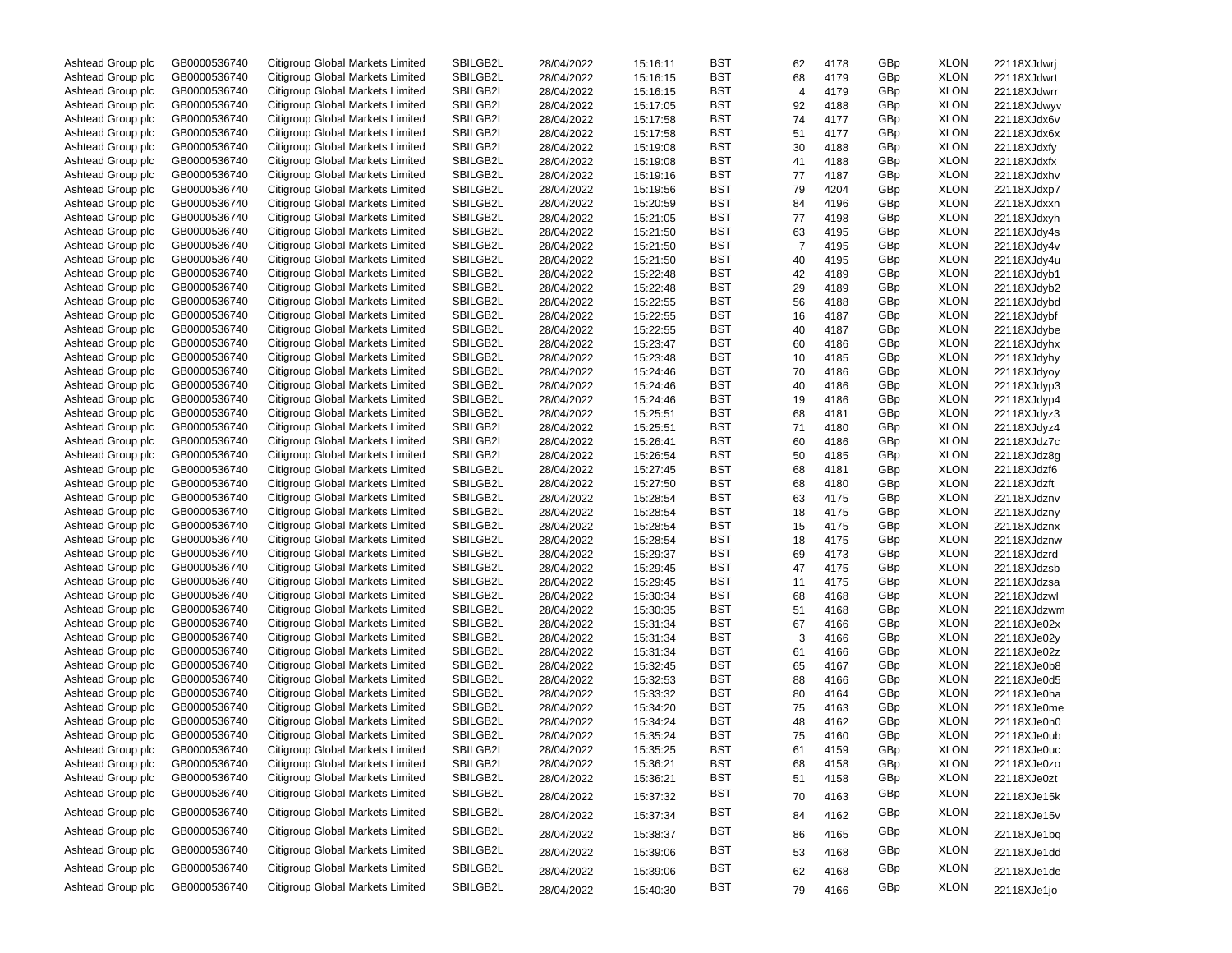| Ashtead Group plc | GB0000536740 | Citigroup Global Markets Limited | SBILGB2L | 28/04/2022 | 15:16:11 | BST        | 62             | 4178 | GBp | <b>XLON</b> | 22118XJdwrj |
|-------------------|--------------|----------------------------------|----------|------------|----------|------------|----------------|------|-----|-------------|-------------|
| Ashtead Group plc | GB0000536740 | Citigroup Global Markets Limited | SBILGB2L | 28/04/2022 | 15:16:15 | <b>BST</b> | 68             | 4179 | GBp | <b>XLON</b> | 22118XJdwrt |
| Ashtead Group plc | GB0000536740 | Citigroup Global Markets Limited | SBILGB2L | 28/04/2022 | 15:16:15 | BST        | $\overline{4}$ | 4179 | GBp | <b>XLON</b> | 22118XJdwrr |
| Ashtead Group plc | GB0000536740 | Citigroup Global Markets Limited | SBILGB2L | 28/04/2022 | 15:17:05 | <b>BST</b> | 92             | 4188 | GBp | <b>XLON</b> | 22118XJdwyv |
| Ashtead Group plc | GB0000536740 | Citigroup Global Markets Limited | SBILGB2L | 28/04/2022 | 15:17:58 | BST        | 74             | 4177 | GBp | <b>XLON</b> | 22118XJdx6v |
| Ashtead Group plc | GB0000536740 | Citigroup Global Markets Limited | SBILGB2L | 28/04/2022 | 15:17:58 | <b>BST</b> | 51             | 4177 | GBp | <b>XLON</b> | 22118XJdx6x |
| Ashtead Group plc | GB0000536740 | Citigroup Global Markets Limited | SBILGB2L | 28/04/2022 | 15:19:08 | <b>BST</b> | 30             | 4188 | GBp | <b>XLON</b> | 22118XJdxfy |
| Ashtead Group plc | GB0000536740 | Citigroup Global Markets Limited | SBILGB2L | 28/04/2022 | 15:19:08 | <b>BST</b> | 41             | 4188 | GBp | <b>XLON</b> | 22118XJdxfx |
| Ashtead Group plc | GB0000536740 | Citigroup Global Markets Limited | SBILGB2L | 28/04/2022 | 15:19:16 | BST        | 77             | 4187 | GBp | <b>XLON</b> | 22118XJdxhv |
| Ashtead Group plc | GB0000536740 | Citigroup Global Markets Limited | SBILGB2L | 28/04/2022 | 15:19:56 | <b>BST</b> | 79             | 4204 | GBp | <b>XLON</b> | 22118XJdxp7 |
| Ashtead Group plc | GB0000536740 | Citigroup Global Markets Limited | SBILGB2L | 28/04/2022 | 15:20:59 | BST        | 84             | 4196 | GBp | <b>XLON</b> | 22118XJdxxn |
| Ashtead Group plc | GB0000536740 | Citigroup Global Markets Limited | SBILGB2L | 28/04/2022 | 15:21:05 | <b>BST</b> | 77             | 4198 | GBp | <b>XLON</b> | 22118XJdxyh |
| Ashtead Group plc | GB0000536740 | Citigroup Global Markets Limited | SBILGB2L | 28/04/2022 | 15:21:50 | BST        | 63             | 4195 | GBp | <b>XLON</b> | 22118XJdy4s |
| Ashtead Group plc | GB0000536740 | Citigroup Global Markets Limited | SBILGB2L | 28/04/2022 | 15:21:50 | <b>BST</b> | $\overline{7}$ | 4195 | GBp | <b>XLON</b> | 22118XJdy4v |
|                   | GB0000536740 | Citigroup Global Markets Limited | SBILGB2L |            |          | <b>BST</b> |                |      | GBp | <b>XLON</b> |             |
| Ashtead Group plc |              | Citigroup Global Markets Limited |          | 28/04/2022 | 15:21:50 |            | 40             | 4195 |     |             | 22118XJdy4u |
| Ashtead Group plc | GB0000536740 |                                  | SBILGB2L | 28/04/2022 | 15:22:48 | <b>BST</b> | 42             | 4189 | GBp | <b>XLON</b> | 22118XJdyb1 |
| Ashtead Group plc | GB0000536740 | Citigroup Global Markets Limited | SBILGB2L | 28/04/2022 | 15:22:48 | BST        | 29             | 4189 | GBp | <b>XLON</b> | 22118XJdyb2 |
| Ashtead Group plc | GB0000536740 | Citigroup Global Markets Limited | SBILGB2L | 28/04/2022 | 15:22:55 | <b>BST</b> | 56             | 4188 | GBp | <b>XLON</b> | 22118XJdybd |
| Ashtead Group plc | GB0000536740 | Citigroup Global Markets Limited | SBILGB2L | 28/04/2022 | 15:22:55 | BST        | 16             | 4187 | GBp | <b>XLON</b> | 22118XJdybf |
| Ashtead Group plc | GB0000536740 | Citigroup Global Markets Limited | SBILGB2L | 28/04/2022 | 15:22:55 | <b>BST</b> | 40             | 4187 | GBp | <b>XLON</b> | 22118XJdybe |
| Ashtead Group plc | GB0000536740 | Citigroup Global Markets Limited | SBILGB2L | 28/04/2022 | 15:23:47 | BST        | 60             | 4186 | GBp | <b>XLON</b> | 22118XJdyhx |
| Ashtead Group plc | GB0000536740 | Citigroup Global Markets Limited | SBILGB2L | 28/04/2022 | 15:23:48 | <b>BST</b> | 10             | 4185 | GBp | <b>XLON</b> | 22118XJdyhy |
| Ashtead Group plc | GB0000536740 | Citigroup Global Markets Limited | SBILGB2L | 28/04/2022 | 15:24:46 | <b>BST</b> | 70             | 4186 | GBp | <b>XLON</b> | 22118XJdyoy |
| Ashtead Group plc | GB0000536740 | Citigroup Global Markets Limited | SBILGB2L | 28/04/2022 | 15:24:46 | <b>BST</b> | 40             | 4186 | GBp | <b>XLON</b> | 22118XJdyp3 |
| Ashtead Group plc | GB0000536740 | Citigroup Global Markets Limited | SBILGB2L | 28/04/2022 | 15:24:46 | BST        | 19             | 4186 | GBp | <b>XLON</b> | 22118XJdyp4 |
| Ashtead Group plc | GB0000536740 | Citigroup Global Markets Limited | SBILGB2L | 28/04/2022 | 15:25:51 | <b>BST</b> | 68             | 4181 | GBp | <b>XLON</b> | 22118XJdyz3 |
| Ashtead Group plc | GB0000536740 | Citigroup Global Markets Limited | SBILGB2L | 28/04/2022 | 15:25:51 | BST        | 71             | 4180 | GBp | <b>XLON</b> | 22118XJdyz4 |
| Ashtead Group plc | GB0000536740 | Citigroup Global Markets Limited | SBILGB2L | 28/04/2022 | 15:26:41 | <b>BST</b> | 60             | 4186 | GBp | <b>XLON</b> | 22118XJdz7c |
| Ashtead Group plc | GB0000536740 | Citigroup Global Markets Limited | SBILGB2L | 28/04/2022 | 15:26:54 | BST        | 50             | 4185 | GBp | <b>XLON</b> | 22118XJdz8q |
| Ashtead Group plc | GB0000536740 | Citigroup Global Markets Limited | SBILGB2L | 28/04/2022 | 15:27:45 | <b>BST</b> | 68             | 4181 | GBp | <b>XLON</b> | 22118XJdzf6 |
| Ashtead Group plc | GB0000536740 | Citigroup Global Markets Limited | SBILGB2L | 28/04/2022 | 15:27:50 | BST        | 68             | 4180 | GBp | <b>XLON</b> | 22118XJdzft |
| Ashtead Group plc | GB0000536740 | Citigroup Global Markets Limited | SBILGB2L | 28/04/2022 | 15:28:54 | <b>BST</b> | 63             | 4175 | GBp | <b>XLON</b> | 22118XJdznv |
| Ashtead Group plc | GB0000536740 | Citigroup Global Markets Limited | SBILGB2L | 28/04/2022 | 15:28:54 | BST        | 18             | 4175 | GBp | <b>XLON</b> | 22118XJdzny |
| Ashtead Group plc | GB0000536740 | Citigroup Global Markets Limited | SBILGB2L | 28/04/2022 | 15:28:54 | <b>BST</b> | 15             | 4175 | GBp | <b>XLON</b> | 22118XJdznx |
| Ashtead Group plc | GB0000536740 | Citigroup Global Markets Limited | SBILGB2L | 28/04/2022 | 15:28:54 | BST        | 18             | 4175 | GBp | <b>XLON</b> | 22118XJdznw |
| Ashtead Group plc | GB0000536740 | Citigroup Global Markets Limited | SBILGB2L | 28/04/2022 | 15:29:37 | <b>BST</b> | 69             | 4173 | GBp | <b>XLON</b> | 22118XJdzrd |
| Ashtead Group plc | GB0000536740 | Citigroup Global Markets Limited | SBILGB2L | 28/04/2022 | 15:29:45 | BST        | 47             | 4175 | GBp | <b>XLON</b> | 22118XJdzsb |
| Ashtead Group plc | GB0000536740 | Citigroup Global Markets Limited | SBILGB2L | 28/04/2022 | 15:29:45 | <b>BST</b> | 11             | 4175 | GBp | <b>XLON</b> | 22118XJdzsa |
| Ashtead Group plc | GB0000536740 | Citigroup Global Markets Limited | SBILGB2L | 28/04/2022 | 15:30:34 | BST        | 68             | 4168 | GBp | <b>XLON</b> | 22118XJdzwl |
| Ashtead Group plc | GB0000536740 | Citigroup Global Markets Limited | SBILGB2L | 28/04/2022 | 15:30:35 | <b>BST</b> | 51             | 4168 | GBp | <b>XLON</b> | 22118XJdzwm |
| Ashtead Group plc | GB0000536740 | Citigroup Global Markets Limited | SBILGB2L | 28/04/2022 | 15:31:34 | BST        | 67             | 4166 | GBp | <b>XLON</b> | 22118XJe02x |
|                   | GB0000536740 | Citigroup Global Markets Limited | SBILGB2L |            |          | <b>BST</b> | 3              | 4166 | GBp | <b>XLON</b> |             |
| Ashtead Group plc | GB0000536740 | Citigroup Global Markets Limited | SBILGB2L | 28/04/2022 | 15:31:34 | BST        |                |      | GBp | <b>XLON</b> | 22118XJe02y |
| Ashtead Group plc |              |                                  |          | 28/04/2022 | 15:31:34 |            | 61             | 4166 |     |             | 22118XJe02z |
| Ashtead Group plc | GB0000536740 | Citigroup Global Markets Limited | SBILGB2L | 28/04/2022 | 15:32:45 | <b>BST</b> | 65             | 4167 | GBp | <b>XLON</b> | 22118XJe0b8 |
| Ashtead Group plc | GB0000536740 | Citigroup Global Markets Limited | SBILGB2L | 28/04/2022 | 15:32:53 | BST        | 88             | 4166 | GBp | <b>XLON</b> | 22118XJe0d5 |
| Ashtead Group plc | GB0000536740 | Citigroup Global Markets Limited | SBILGB2L | 28/04/2022 | 15:33:32 | <b>BST</b> | 80             | 4164 | GBp | <b>XLON</b> | 22118XJe0ha |
| Ashtead Group plc | GB0000536740 | Citigroup Global Markets Limited | SBILGB2L | 28/04/2022 | 15:34:20 | BST        | 75             | 4163 | GBp | <b>XLON</b> | 22118XJe0me |
| Ashtead Group plc | GB0000536740 | Citigroup Global Markets Limited | SBILGB2L | 28/04/2022 | 15:34:24 | <b>BST</b> | 48             | 4162 | GBp | <b>XLON</b> | 22118XJe0n0 |
| Ashtead Group plc | GB0000536740 | Citigroup Global Markets Limited | SBILGB2L | 28/04/2022 | 15:35:24 | <b>BST</b> | 75             | 4160 | GBp | <b>XLON</b> | 22118XJe0ub |
| Ashtead Group plc | GB0000536740 | Citigroup Global Markets Limited | SBILGB2L | 28/04/2022 | 15:35:25 | <b>BST</b> | 61             | 4159 | GBp | <b>XLON</b> | 22118XJe0uc |
| Ashtead Group plc | GB0000536740 | Citigroup Global Markets Limited | SBILGB2L | 28/04/2022 | 15:36:21 | BST        | 68             | 4158 | GBp | <b>XLON</b> | 22118XJe0zo |
| Ashtead Group plc | GB0000536740 | Citigroup Global Markets Limited | SBILGB2L | 28/04/2022 | 15:36:21 | <b>BST</b> | 51             | 4158 | GBp | <b>XLON</b> | 22118XJe0zt |
| Ashtead Group plc | GB0000536740 | Citigroup Global Markets Limited | SBILGB2L | 28/04/2022 | 15:37:32 | <b>BST</b> | 70             | 4163 | GBp | <b>XLON</b> | 22118XJe15k |
| Ashtead Group plc | GB0000536740 | Citigroup Global Markets Limited | SBILGB2L | 28/04/2022 | 15:37:34 | <b>BST</b> | 84             | 4162 | GBp | XLON        | 22118XJe15v |
| Ashtead Group plc | GB0000536740 | Citigroup Global Markets Limited | SBILGB2L | 28/04/2022 | 15:38:37 | <b>BST</b> | 86             | 4165 | GBp | XLON        | 22118XJe1bq |
| Ashtead Group plc | GB0000536740 | Citigroup Global Markets Limited | SBILGB2L | 28/04/2022 | 15:39:06 | <b>BST</b> | 53             | 4168 | GBp | <b>XLON</b> | 22118XJe1dd |
| Ashtead Group plc | GB0000536740 | Citigroup Global Markets Limited | SBILGB2L | 28/04/2022 | 15:39:06 | <b>BST</b> | 62             | 4168 | GBp | XLON        | 22118XJe1de |
| Ashtead Group plc | GB0000536740 | Citigroup Global Markets Limited | SBILGB2L | 28/04/2022 | 15:40:30 | <b>BST</b> | 79             | 4166 | GBp | <b>XLON</b> | 22118XJe1jo |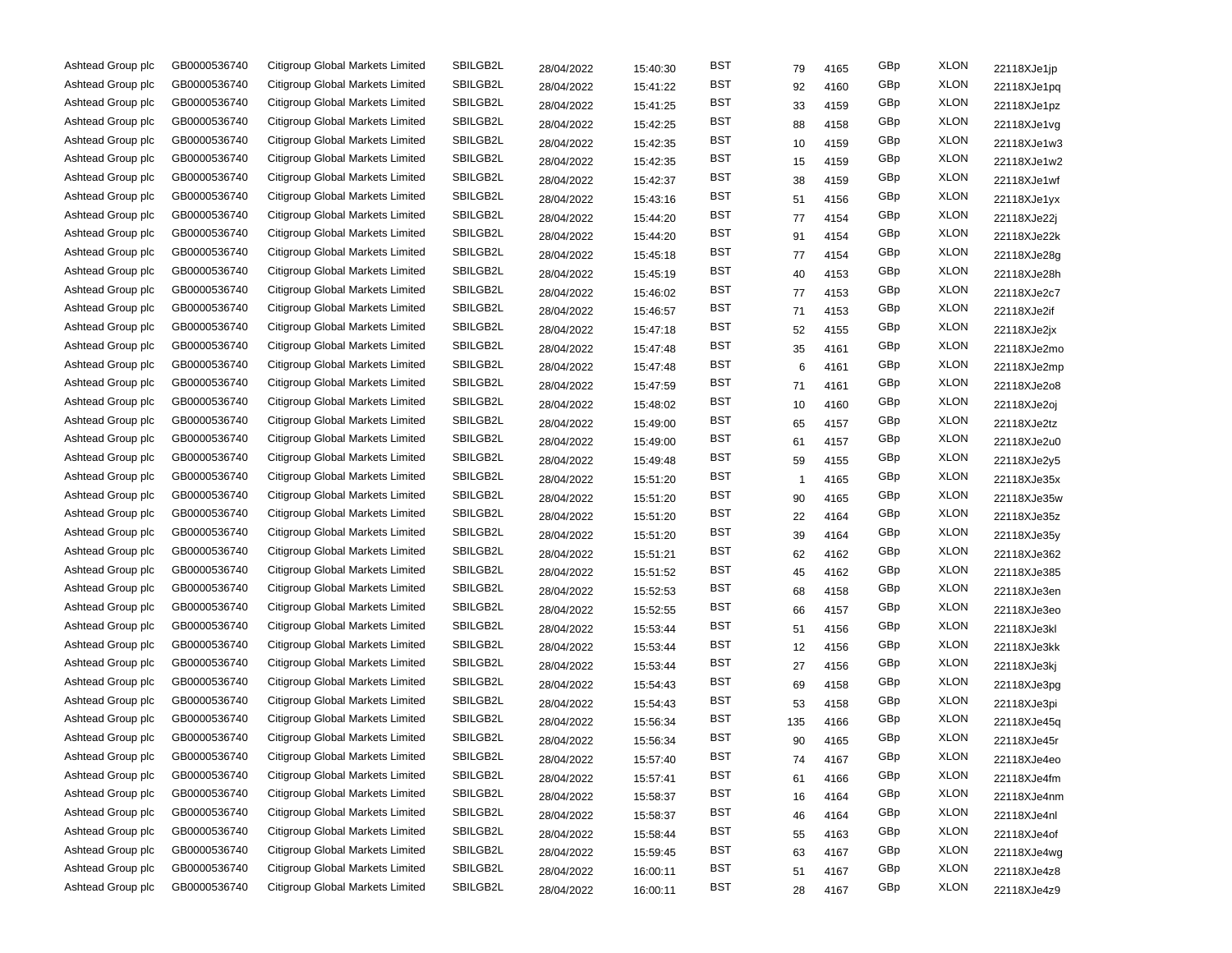| Ashtead Group plc | GB0000536740 | Citigroup Global Markets Limited        | SBILGB2L | 28/04/2022 | 15:40:30 | BST        | 79  | 4165 | GBp | <b>XLON</b> | 22118XJe1jp |
|-------------------|--------------|-----------------------------------------|----------|------------|----------|------------|-----|------|-----|-------------|-------------|
| Ashtead Group plc | GB0000536740 | <b>Citigroup Global Markets Limited</b> | SBILGB2L | 28/04/2022 | 15:41:22 | BST        | 92  | 4160 | GBp | <b>XLON</b> | 22118XJe1pq |
| Ashtead Group plc | GB0000536740 | Citigroup Global Markets Limited        | SBILGB2L | 28/04/2022 | 15:41:25 | <b>BST</b> | 33  | 4159 | GBp | <b>XLON</b> | 22118XJe1pz |
| Ashtead Group plc | GB0000536740 | Citigroup Global Markets Limited        | SBILGB2L | 28/04/2022 | 15:42:25 | <b>BST</b> | 88  | 4158 | GBp | <b>XLON</b> | 22118XJe1vg |
| Ashtead Group plc | GB0000536740 | Citigroup Global Markets Limited        | SBILGB2L | 28/04/2022 | 15:42:35 | <b>BST</b> | 10  | 4159 | GBp | <b>XLON</b> | 22118XJe1w3 |
| Ashtead Group plc | GB0000536740 | Citigroup Global Markets Limited        | SBILGB2L | 28/04/2022 | 15:42:35 | <b>BST</b> | 15  | 4159 | GBp | <b>XLON</b> | 22118XJe1w2 |
| Ashtead Group plc | GB0000536740 | Citigroup Global Markets Limited        | SBILGB2L | 28/04/2022 | 15:42:37 | BST        | 38  | 4159 | GBp | <b>XLON</b> | 22118XJe1wf |
| Ashtead Group plc | GB0000536740 | Citigroup Global Markets Limited        | SBILGB2L | 28/04/2022 | 15:43:16 | BST        | 51  | 4156 | GBp | <b>XLON</b> | 22118XJe1yx |
| Ashtead Group plc | GB0000536740 | Citigroup Global Markets Limited        | SBILGB2L | 28/04/2022 | 15:44:20 | BST        | 77  | 4154 | GBp | <b>XLON</b> | 22118XJe22j |
| Ashtead Group plc | GB0000536740 | Citigroup Global Markets Limited        | SBILGB2L | 28/04/2022 | 15:44:20 | BST        | 91  | 4154 | GBp | <b>XLON</b> | 22118XJe22k |
| Ashtead Group plc | GB0000536740 | Citigroup Global Markets Limited        | SBILGB2L | 28/04/2022 | 15:45:18 | BST        | 77  | 4154 | GBp | <b>XLON</b> | 22118XJe28g |
| Ashtead Group plc | GB0000536740 | Citigroup Global Markets Limited        | SBILGB2L | 28/04/2022 | 15:45:19 | BST        | 40  | 4153 | GBp | <b>XLON</b> | 22118XJe28h |
| Ashtead Group plc | GB0000536740 | Citigroup Global Markets Limited        | SBILGB2L | 28/04/2022 | 15:46:02 | BST        | 77  | 4153 | GBp | <b>XLON</b> | 22118XJe2c7 |
| Ashtead Group plc | GB0000536740 | Citigroup Global Markets Limited        | SBILGB2L | 28/04/2022 | 15:46:57 | BST        | 71  | 4153 | GBp | <b>XLON</b> | 22118XJe2if |
| Ashtead Group plc | GB0000536740 | Citigroup Global Markets Limited        | SBILGB2L | 28/04/2022 | 15:47:18 | BST        | 52  | 4155 | GBp | <b>XLON</b> | 22118XJe2jx |
| Ashtead Group plc | GB0000536740 | Citigroup Global Markets Limited        | SBILGB2L | 28/04/2022 | 15:47:48 | BST        | 35  | 4161 | GBp | <b>XLON</b> | 22118XJe2mo |
| Ashtead Group plc | GB0000536740 | Citigroup Global Markets Limited        | SBILGB2L | 28/04/2022 | 15:47:48 | <b>BST</b> | 6   | 4161 | GBp | <b>XLON</b> | 22118XJe2mp |
| Ashtead Group plc | GB0000536740 | Citigroup Global Markets Limited        | SBILGB2L | 28/04/2022 | 15:47:59 | BST        | 71  | 4161 | GBp | <b>XLON</b> | 22118XJe2o8 |
| Ashtead Group plc | GB0000536740 | Citigroup Global Markets Limited        | SBILGB2L | 28/04/2022 | 15:48:02 | <b>BST</b> | 10  | 4160 | GBp | <b>XLON</b> | 22118XJe2oj |
| Ashtead Group plc | GB0000536740 | Citigroup Global Markets Limited        | SBILGB2L | 28/04/2022 | 15:49:00 | BST        | 65  | 4157 | GBp | <b>XLON</b> | 22118XJe2tz |
| Ashtead Group plc | GB0000536740 | Citigroup Global Markets Limited        | SBILGB2L | 28/04/2022 | 15:49:00 | BST        | 61  | 4157 | GBp | <b>XLON</b> | 22118XJe2u0 |
| Ashtead Group plc | GB0000536740 | Citigroup Global Markets Limited        | SBILGB2L | 28/04/2022 | 15:49:48 | BST        | 59  | 4155 | GBp | <b>XLON</b> | 22118XJe2y5 |
| Ashtead Group plc | GB0000536740 | Citigroup Global Markets Limited        | SBILGB2L | 28/04/2022 | 15:51:20 | BST        | 1   | 4165 | GBp | <b>XLON</b> | 22118XJe35x |
| Ashtead Group plc | GB0000536740 | Citigroup Global Markets Limited        | SBILGB2L | 28/04/2022 | 15:51:20 | BST        | 90  | 4165 | GBp | <b>XLON</b> | 22118XJe35w |
| Ashtead Group plc | GB0000536740 | Citigroup Global Markets Limited        | SBILGB2L | 28/04/2022 | 15:51:20 | BST        | 22  | 4164 | GBp | <b>XLON</b> | 22118XJe35z |
| Ashtead Group plc | GB0000536740 | Citigroup Global Markets Limited        | SBILGB2L | 28/04/2022 | 15:51:20 | BST        | 39  | 4164 | GBp | <b>XLON</b> | 22118XJe35y |
| Ashtead Group plc | GB0000536740 | Citigroup Global Markets Limited        | SBILGB2L | 28/04/2022 | 15:51:21 | BST        | 62  | 4162 | GBp | <b>XLON</b> | 22118XJe362 |
| Ashtead Group plc | GB0000536740 | Citigroup Global Markets Limited        | SBILGB2L | 28/04/2022 | 15:51:52 | BST        | 45  | 4162 | GBp | <b>XLON</b> | 22118XJe385 |
| Ashtead Group plc | GB0000536740 | Citigroup Global Markets Limited        | SBILGB2L | 28/04/2022 | 15:52:53 | <b>BST</b> | 68  | 4158 | GBp | <b>XLON</b> | 22118XJe3en |
| Ashtead Group plc | GB0000536740 | Citigroup Global Markets Limited        | SBILGB2L | 28/04/2022 | 15:52:55 | <b>BST</b> | 66  | 4157 | GBp | <b>XLON</b> | 22118XJe3eo |
| Ashtead Group plc | GB0000536740 | Citigroup Global Markets Limited        | SBILGB2L | 28/04/2022 | 15:53:44 | <b>BST</b> | 51  | 4156 | GBp | <b>XLON</b> | 22118XJe3kl |
| Ashtead Group plc | GB0000536740 | Citigroup Global Markets Limited        | SBILGB2L | 28/04/2022 | 15:53:44 | BST        | 12  | 4156 | GBp | <b>XLON</b> | 22118XJe3kk |
| Ashtead Group plc | GB0000536740 | Citigroup Global Markets Limited        | SBILGB2L | 28/04/2022 | 15:53:44 | BST        | 27  | 4156 | GBp | <b>XLON</b> | 22118XJe3kj |
| Ashtead Group plc | GB0000536740 | Citigroup Global Markets Limited        | SBILGB2L | 28/04/2022 | 15:54:43 | BST        | 69  | 4158 | GBp | <b>XLON</b> | 22118XJe3pg |
| Ashtead Group plc | GB0000536740 | Citigroup Global Markets Limited        | SBILGB2L | 28/04/2022 | 15:54:43 | BST        | 53  | 4158 | GBp | <b>XLON</b> | 22118XJe3pi |
| Ashtead Group plc | GB0000536740 | Citigroup Global Markets Limited        | SBILGB2L | 28/04/2022 | 15:56:34 | BST        | 135 | 4166 | GBp | <b>XLON</b> | 22118XJe45q |
| Ashtead Group plc | GB0000536740 | Citigroup Global Markets Limited        | SBILGB2L | 28/04/2022 | 15:56:34 | BST        | 90  | 4165 | GBp | <b>XLON</b> | 22118XJe45r |
| Ashtead Group plc | GB0000536740 | Citigroup Global Markets Limited        | SBILGB2L | 28/04/2022 | 15:57:40 | <b>BST</b> | 74  | 4167 | GBp | <b>XLON</b> | 22118XJe4eo |
| Ashtead Group plc | GB0000536740 | Citigroup Global Markets Limited        | SBILGB2L | 28/04/2022 | 15:57:41 | <b>BST</b> | 61  | 4166 | GBp | <b>XLON</b> | 22118XJe4fm |
| Ashtead Group plc | GB0000536740 | Citigroup Global Markets Limited        | SBILGB2L | 28/04/2022 | 15:58:37 | <b>BST</b> | 16  | 4164 | GBp | <b>XLON</b> | 22118XJe4nm |
| Ashtead Group plc | GB0000536740 | Citigroup Global Markets Limited        | SBILGB2L | 28/04/2022 | 15:58:37 | <b>BST</b> | 46  | 4164 | GBp | <b>XLON</b> | 22118XJe4nl |
| Ashtead Group plc | GB0000536740 | Citigroup Global Markets Limited        | SBILGB2L | 28/04/2022 | 15:58:44 | <b>BST</b> | 55  | 4163 | GBp | <b>XLON</b> | 22118XJe4of |
| Ashtead Group plc | GB0000536740 | Citigroup Global Markets Limited        | SBILGB2L | 28/04/2022 | 15:59:45 | <b>BST</b> | 63  | 4167 | GBp | <b>XLON</b> | 22118XJe4wg |
| Ashtead Group plc | GB0000536740 | Citigroup Global Markets Limited        | SBILGB2L | 28/04/2022 | 16:00:11 | <b>BST</b> | 51  | 4167 | GBp | <b>XLON</b> | 22118XJe4z8 |
| Ashtead Group plc | GB0000536740 | Citigroup Global Markets Limited        | SBILGB2L | 28/04/2022 | 16:00:11 | <b>BST</b> | 28  | 4167 | GBp | <b>XLON</b> | 22118XJe4z9 |
|                   |              |                                         |          |            |          |            |     |      |     |             |             |